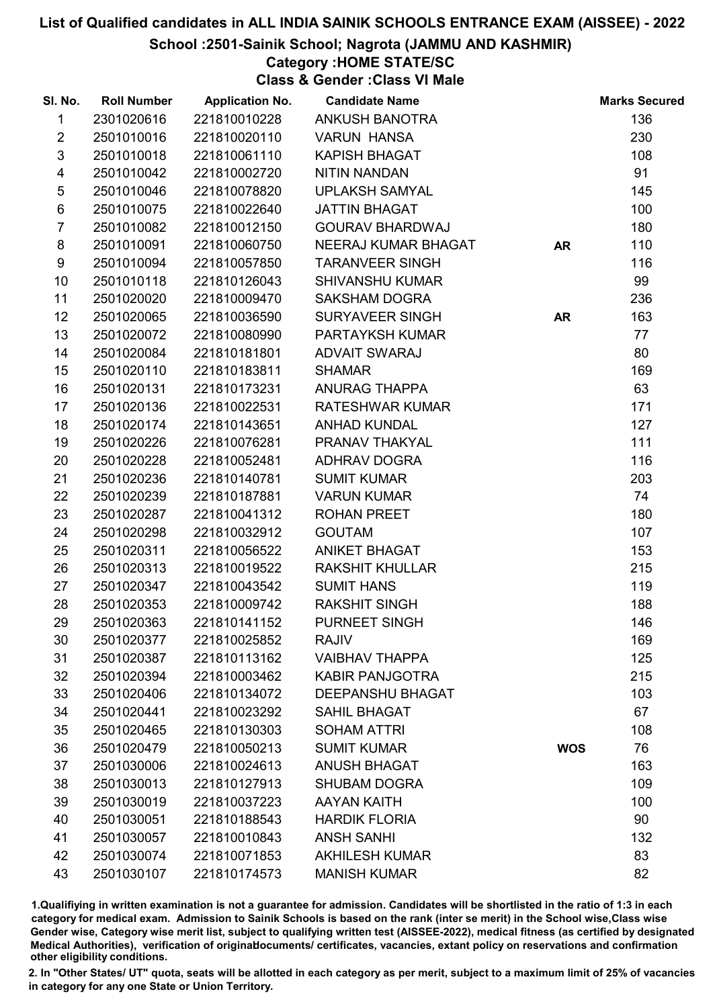School :2501-Sainik School; Nagrota (JAMMU AND KASHMIR)

### Category :HOME STATE/SC

Class & Gender :Class VI Male

| SI. No.                 | <b>Roll Number</b> | <b>Application No.</b> | <b>Candidate Name</b>   |            | <b>Marks Secured</b> |
|-------------------------|--------------------|------------------------|-------------------------|------------|----------------------|
| $\mathbf{1}$            | 2301020616         | 221810010228           | <b>ANKUSH BANOTRA</b>   |            | 136                  |
| $\overline{2}$          | 2501010016         | 221810020110           | <b>VARUN HANSA</b>      |            | 230                  |
| 3                       | 2501010018         | 221810061110           | <b>KAPISH BHAGAT</b>    |            | 108                  |
| $\overline{\mathbf{4}}$ | 2501010042         | 221810002720           | <b>NITIN NANDAN</b>     |            | 91                   |
| 5                       | 2501010046         | 221810078820           | <b>UPLAKSH SAMYAL</b>   |            | 145                  |
| $\,6$                   | 2501010075         | 221810022640           | <b>JATTIN BHAGAT</b>    |            | 100                  |
| $\overline{7}$          | 2501010082         | 221810012150           | <b>GOURAV BHARDWAJ</b>  |            | 180                  |
| 8                       | 2501010091         | 221810060750           | NEERAJ KUMAR BHAGAT     | <b>AR</b>  | 110                  |
| 9                       | 2501010094         | 221810057850           | <b>TARANVEER SINGH</b>  |            | 116                  |
| 10                      | 2501010118         | 221810126043           | <b>SHIVANSHU KUMAR</b>  |            | 99                   |
| 11                      | 2501020020         | 221810009470           | <b>SAKSHAM DOGRA</b>    |            | 236                  |
| 12 <sup>2</sup>         | 2501020065         | 221810036590           | SURYAVEER SINGH         | <b>AR</b>  | 163                  |
| 13                      | 2501020072         | 221810080990           | <b>PARTAYKSH KUMAR</b>  |            | 77                   |
| 14                      | 2501020084         | 221810181801           | <b>ADVAIT SWARAJ</b>    |            | 80                   |
| 15                      | 2501020110         | 221810183811           | <b>SHAMAR</b>           |            | 169                  |
| 16                      | 2501020131         | 221810173231           | ANURAG THAPPA           |            | 63                   |
| 17                      | 2501020136         | 221810022531           | RATESHWAR KUMAR         |            | 171                  |
| 18                      | 2501020174         | 221810143651           | <b>ANHAD KUNDAL</b>     |            | 127                  |
| 19                      | 2501020226         | 221810076281           | PRANAV THAKYAL          |            | 111                  |
| 20                      | 2501020228         | 221810052481           | <b>ADHRAV DOGRA</b>     |            | 116                  |
| 21                      | 2501020236         | 221810140781           | <b>SUMIT KUMAR</b>      |            | 203                  |
| 22                      | 2501020239         | 221810187881           | <b>VARUN KUMAR</b>      |            | 74                   |
| 23                      | 2501020287         | 221810041312           | <b>ROHAN PREET</b>      |            | 180                  |
| 24                      | 2501020298         | 221810032912           | <b>GOUTAM</b>           |            | 107                  |
| 25                      | 2501020311         | 221810056522           | <b>ANIKET BHAGAT</b>    |            | 153                  |
| 26                      | 2501020313         | 221810019522           | <b>RAKSHIT KHULLAR</b>  |            | 215                  |
| 27                      | 2501020347         | 221810043542           | <b>SUMIT HANS</b>       |            | 119                  |
| 28                      | 2501020353         | 221810009742           | <b>RAKSHIT SINGH</b>    |            | 188                  |
| 29                      | 2501020363         | 221810141152           | PURNEET SINGH           |            | 146                  |
| 30                      | 2501020377         | 221810025852           | <b>RAJIV</b>            |            | 169                  |
| 31                      | 2501020387         | 221810113162           | <b>VAIBHAV THAPPA</b>   |            | 125                  |
| 32                      | 2501020394         | 221810003462           | <b>KABIR PANJGOTRA</b>  |            | 215                  |
| 33                      | 2501020406         | 221810134072           | <b>DEEPANSHU BHAGAT</b> |            | 103                  |
| 34                      | 2501020441         | 221810023292           | <b>SAHIL BHAGAT</b>     |            | 67                   |
| 35                      | 2501020465         | 221810130303           | <b>SOHAM ATTRI</b>      |            | 108                  |
| 36                      | 2501020479         | 221810050213           | <b>SUMIT KUMAR</b>      | <b>WOS</b> | 76                   |
| 37                      | 2501030006         | 221810024613           | <b>ANUSH BHAGAT</b>     |            | 163                  |
| 38                      | 2501030013         | 221810127913           | <b>SHUBAM DOGRA</b>     |            | 109                  |
| 39                      | 2501030019         | 221810037223           | <b>AAYAN KAITH</b>      |            | 100                  |
| 40                      | 2501030051         | 221810188543           | <b>HARDIK FLORIA</b>    |            | 90                   |
| 41                      | 2501030057         | 221810010843           | <b>ANSH SANHI</b>       |            | 132                  |
| 42                      | 2501030074         | 221810071853           | <b>AKHILESH KUMAR</b>   |            | 83                   |
| 43                      | 2501030107         | 221810174573           | <b>MANISH KUMAR</b>     |            | 82                   |

1.Qualifiying in written examination is not a guarantee for admission. Candidates will be shortlisted in the ratio of 1:3 in each category for medical exam. Admission to Sainik Schools is based on the rank (inter se merit) in the School wise,Class wise Gender wise, Category wise merit list, subject to qualifying written test (AISSEE-2022), medical fitness (as certified by designated Medical Authorities), verification of originablocuments/ certificates, vacancies, extant policy on reservations and confirmation other eligibility conditions.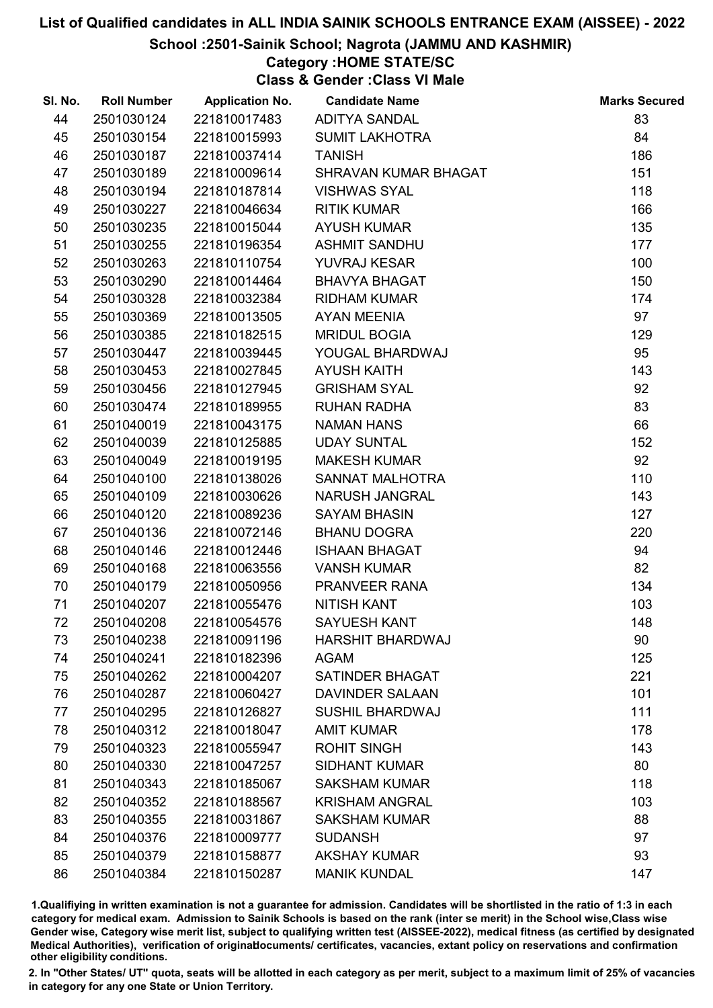School :2501-Sainik School; Nagrota (JAMMU AND KASHMIR)

# Category :HOME STATE/SC

Class & Gender :Class VI Male

| SI. No. | <b>Roll Number</b> | <b>Application No.</b> | <b>Candidate Name</b>   | <b>Marks Secured</b> |
|---------|--------------------|------------------------|-------------------------|----------------------|
| 44      | 2501030124         | 221810017483           | ADITYA SANDAL           | 83                   |
| 45      | 2501030154         | 221810015993           | <b>SUMIT LAKHOTRA</b>   | 84                   |
| 46      | 2501030187         | 221810037414           | <b>TANISH</b>           | 186                  |
| 47      | 2501030189         | 221810009614           | SHRAVAN KUMAR BHAGAT    | 151                  |
| 48      | 2501030194         | 221810187814           | <b>VISHWAS SYAL</b>     | 118                  |
| 49      | 2501030227         | 221810046634           | <b>RITIK KUMAR</b>      | 166                  |
| 50      | 2501030235         | 221810015044           | <b>AYUSH KUMAR</b>      | 135                  |
| 51      | 2501030255         | 221810196354           | <b>ASHMIT SANDHU</b>    | 177                  |
| 52      | 2501030263         | 221810110754           | YUVRAJ KESAR            | 100                  |
| 53      | 2501030290         | 221810014464           | <b>BHAVYA BHAGAT</b>    | 150                  |
| 54      | 2501030328         | 221810032384           | <b>RIDHAM KUMAR</b>     | 174                  |
| 55      | 2501030369         | 221810013505           | <b>AYAN MEENIA</b>      | 97                   |
| 56      | 2501030385         | 221810182515           | <b>MRIDUL BOGIA</b>     | 129                  |
| 57      | 2501030447         | 221810039445           | YOUGAL BHARDWAJ         | 95                   |
| 58      | 2501030453         | 221810027845           | <b>AYUSH KAITH</b>      | 143                  |
| 59      | 2501030456         | 221810127945           | <b>GRISHAM SYAL</b>     | 92                   |
| 60      | 2501030474         | 221810189955           | <b>RUHAN RADHA</b>      | 83                   |
| 61      | 2501040019         | 221810043175           | <b>NAMAN HANS</b>       | 66                   |
| 62      | 2501040039         | 221810125885           | <b>UDAY SUNTAL</b>      | 152                  |
| 63      | 2501040049         | 221810019195           | <b>MAKESH KUMAR</b>     | 92                   |
| 64      | 2501040100         | 221810138026           | <b>SANNAT MALHOTRA</b>  | 110                  |
| 65      | 2501040109         | 221810030626           | <b>NARUSH JANGRAL</b>   | 143                  |
| 66      | 2501040120         | 221810089236           | <b>SAYAM BHASIN</b>     | 127                  |
| 67      | 2501040136         | 221810072146           | <b>BHANU DOGRA</b>      | 220                  |
| 68      | 2501040146         | 221810012446           | <b>ISHAAN BHAGAT</b>    | 94                   |
| 69      | 2501040168         | 221810063556           | <b>VANSH KUMAR</b>      | 82                   |
| 70      | 2501040179         | 221810050956           | PRANVEER RANA           | 134                  |
| 71      | 2501040207         | 221810055476           | <b>NITISH KANT</b>      | 103                  |
| 72      | 2501040208         | 221810054576           | <b>SAYUESH KANT</b>     | 148                  |
| 73      | 2501040238         | 221810091196           | <b>HARSHIT BHARDWAJ</b> | 90                   |
| 74      | 2501040241         | 221810182396           | <b>AGAM</b>             | 125                  |
| 75      | 2501040262         | 221810004207           | <b>SATINDER BHAGAT</b>  | 221                  |
| 76      | 2501040287         | 221810060427           | <b>DAVINDER SALAAN</b>  | 101                  |
| 77      | 2501040295         | 221810126827           | <b>SUSHIL BHARDWAJ</b>  | 111                  |
| 78      | 2501040312         | 221810018047           | <b>AMIT KUMAR</b>       | 178                  |
| 79      | 2501040323         | 221810055947           | <b>ROHIT SINGH</b>      | 143                  |
| 80      | 2501040330         | 221810047257           | <b>SIDHANT KUMAR</b>    | 80                   |
| 81      | 2501040343         | 221810185067           | <b>SAKSHAM KUMAR</b>    | 118                  |
| 82      | 2501040352         | 221810188567           | <b>KRISHAM ANGRAL</b>   | 103                  |
| 83      | 2501040355         | 221810031867           | <b>SAKSHAM KUMAR</b>    | 88                   |
| 84      | 2501040376         | 221810009777           | <b>SUDANSH</b>          | 97                   |
| 85      | 2501040379         | 221810158877           | <b>AKSHAY KUMAR</b>     | 93                   |
| 86      | 2501040384         | 221810150287           | <b>MANIK KUNDAL</b>     | 147                  |

1.Qualifiying in written examination is not a guarantee for admission. Candidates will be shortlisted in the ratio of 1:3 in each category for medical exam. Admission to Sainik Schools is based on the rank (inter se merit) in the School wise,Class wise Gender wise, Category wise merit list, subject to qualifying written test (AISSEE-2022), medical fitness (as certified by designated Medical Authorities), verification of originablocuments/ certificates, vacancies, extant policy on reservations and confirmation other eligibility conditions.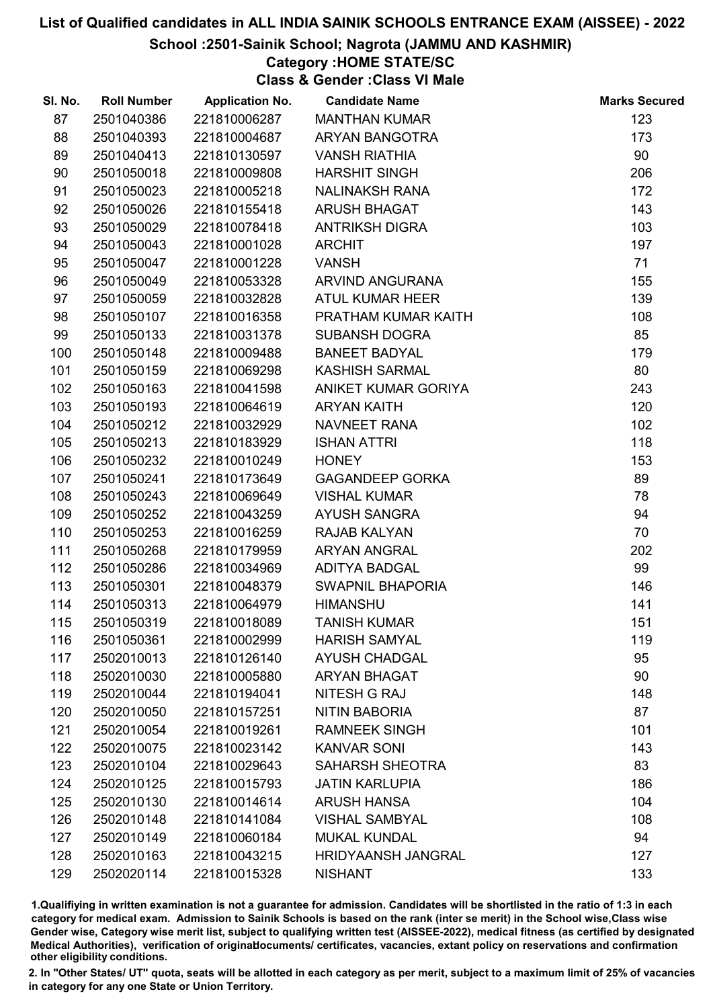#### School :2501-Sainik School; Nagrota (JAMMU AND KASHMIR)

### Category :HOME STATE/SC

Class & Gender :Class VI Male

| SI. No. | <b>Roll Number</b> | <b>Application No.</b> | <b>Candidate Name</b>     | <b>Marks Secured</b> |
|---------|--------------------|------------------------|---------------------------|----------------------|
| 87      | 2501040386         | 221810006287           | <b>MANTHAN KUMAR</b>      | 123                  |
| 88      | 2501040393         | 221810004687           | <b>ARYAN BANGOTRA</b>     | 173                  |
| 89      | 2501040413         | 221810130597           | <b>VANSH RIATHIA</b>      | 90                   |
| 90      | 2501050018         | 221810009808           | <b>HARSHIT SINGH</b>      | 206                  |
| 91      | 2501050023         | 221810005218           | <b>NALINAKSH RANA</b>     | 172                  |
| 92      | 2501050026         | 221810155418           | <b>ARUSH BHAGAT</b>       | 143                  |
| 93      | 2501050029         | 221810078418           | <b>ANTRIKSH DIGRA</b>     | 103                  |
| 94      | 2501050043         | 221810001028           | <b>ARCHIT</b>             | 197                  |
| 95      | 2501050047         | 221810001228           | <b>VANSH</b>              | 71                   |
| 96      | 2501050049         | 221810053328           | ARVIND ANGURANA           | 155                  |
| 97      | 2501050059         | 221810032828           | <b>ATUL KUMAR HEER</b>    | 139                  |
| 98      | 2501050107         | 221810016358           | PRATHAM KUMAR KAITH       | 108                  |
| 99      | 2501050133         | 221810031378           | <b>SUBANSH DOGRA</b>      | 85                   |
| 100     | 2501050148         | 221810009488           | <b>BANEET BADYAL</b>      | 179                  |
| 101     | 2501050159         | 221810069298           | <b>KASHISH SARMAL</b>     | 80                   |
| 102     | 2501050163         | 221810041598           | ANIKET KUMAR GORIYA       | 243                  |
| 103     | 2501050193         | 221810064619           | <b>ARYAN KAITH</b>        | 120                  |
| 104     | 2501050212         | 221810032929           | NAVNEET RANA              | 102                  |
| 105     | 2501050213         | 221810183929           | <b>ISHAN ATTRI</b>        | 118                  |
| 106     | 2501050232         | 221810010249           | <b>HONEY</b>              | 153                  |
| 107     | 2501050241         | 221810173649           | <b>GAGANDEEP GORKA</b>    | 89                   |
| 108     | 2501050243         | 221810069649           | <b>VISHAL KUMAR</b>       | 78                   |
| 109     | 2501050252         | 221810043259           | <b>AYUSH SANGRA</b>       | 94                   |
| 110     | 2501050253         | 221810016259           | RAJAB KALYAN              | 70                   |
| 111     | 2501050268         | 221810179959           | ARYAN ANGRAL              | 202                  |
| 112     | 2501050286         | 221810034969           | <b>ADITYA BADGAL</b>      | 99                   |
| 113     | 2501050301         | 221810048379           | <b>SWAPNIL BHAPORIA</b>   | 146                  |
| 114     | 2501050313         | 221810064979           | <b>HIMANSHU</b>           | 141                  |
| 115     | 2501050319         | 221810018089           | <b>TANISH KUMAR</b>       | 151                  |
| 116     | 2501050361         | 221810002999           | <b>HARISH SAMYAL</b>      | 119                  |
| 117     | 2502010013         | 221810126140           | <b>AYUSH CHADGAL</b>      | 95                   |
| 118     | 2502010030         | 221810005880           | <b>ARYAN BHAGAT</b>       | 90                   |
| 119     | 2502010044         | 221810194041           | NITESH G RAJ              | 148                  |
| 120     | 2502010050         | 221810157251           | <b>NITIN BABORIA</b>      | 87                   |
| 121     | 2502010054         | 221810019261           | <b>RAMNEEK SINGH</b>      | 101                  |
| 122     | 2502010075         | 221810023142           | <b>KANVAR SONI</b>        | 143                  |
| 123     | 2502010104         | 221810029643           | <b>SAHARSH SHEOTRA</b>    | 83                   |
| 124     | 2502010125         | 221810015793           | <b>JATIN KARLUPIA</b>     | 186                  |
| 125     | 2502010130         | 221810014614           | <b>ARUSH HANSA</b>        | 104                  |
| 126     | 2502010148         | 221810141084           | <b>VISHAL SAMBYAL</b>     | 108                  |
| 127     | 2502010149         | 221810060184           | <b>MUKAL KUNDAL</b>       | 94                   |
| 128     | 2502010163         | 221810043215           | <b>HRIDYAANSH JANGRAL</b> | 127                  |
| 129     | 2502020114         | 221810015328           | <b>NISHANT</b>            | 133                  |

1.Qualifiying in written examination is not a guarantee for admission. Candidates will be shortlisted in the ratio of 1:3 in each category for medical exam. Admission to Sainik Schools is based on the rank (inter se merit) in the School wise,Class wise Gender wise, Category wise merit list, subject to qualifying written test (AISSEE-2022), medical fitness (as certified by designated Medical Authorities), verification of originablocuments/ certificates, vacancies, extant policy on reservations and confirmation other eligibility conditions.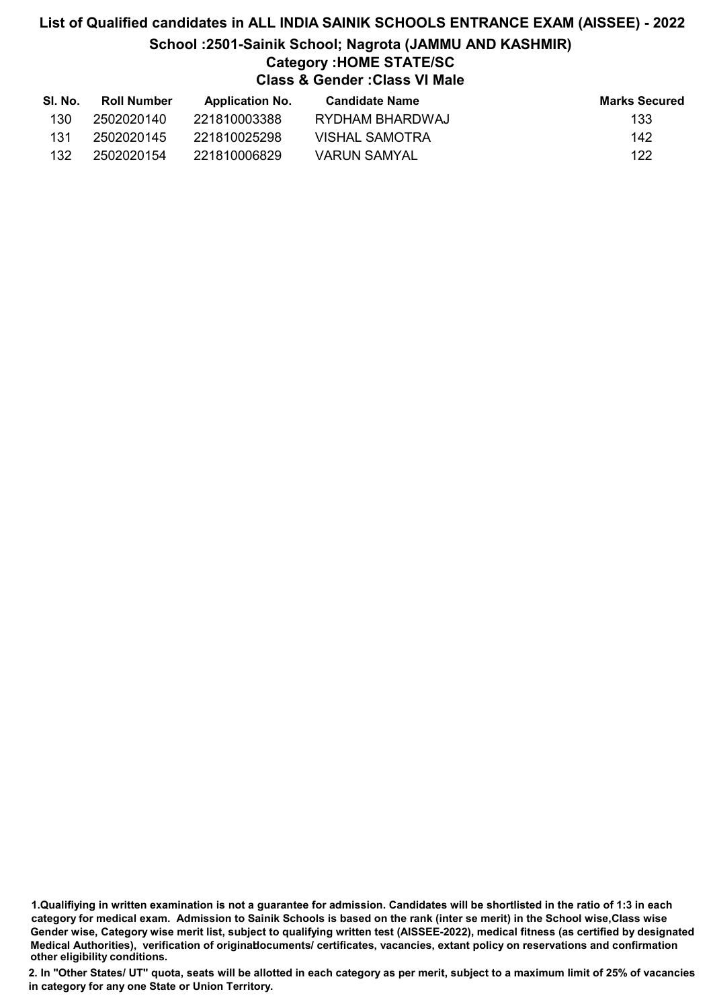# List of Qualified candidates in ALL INDIA SAINIK SCHOOLS ENTRANCE EXAM (AISSEE) - 2022 School :2501-Sainik School; Nagrota (JAMMU AND KASHMIR) Category :HOME STATE/SC Class & Gender :Class VI Male

| SI. No. | <b>Roll Number</b> | <b>Application No.</b> | Candidate Name        | <b>Marks Secured</b> |
|---------|--------------------|------------------------|-----------------------|----------------------|
| 130     | 2502020140         | 221810003388           | RYDHAM BHARDWAJ       | 133                  |
| 131     | 2502020145         | 221810025298           | <b>VISHAL SAMOTRA</b> | 142                  |
| 132     | 2502020154         | 221810006829           | VARUN SAMYAL          | 122                  |

1.Qualifiying in written examination is not a guarantee for admission. Candidates will be shortlisted in the ratio of 1:3 in each category for medical exam. Admission to Sainik Schools is based on the rank (inter se merit) in the School wise,Class wise Gender wise, Category wise merit list, subject to qualifying written test (AISSEE-2022), medical fitness (as certified by designated Medical Authorities), verification of originablocuments/ certificates, vacancies, extant policy on reservations and confirmation other eligibility conditions.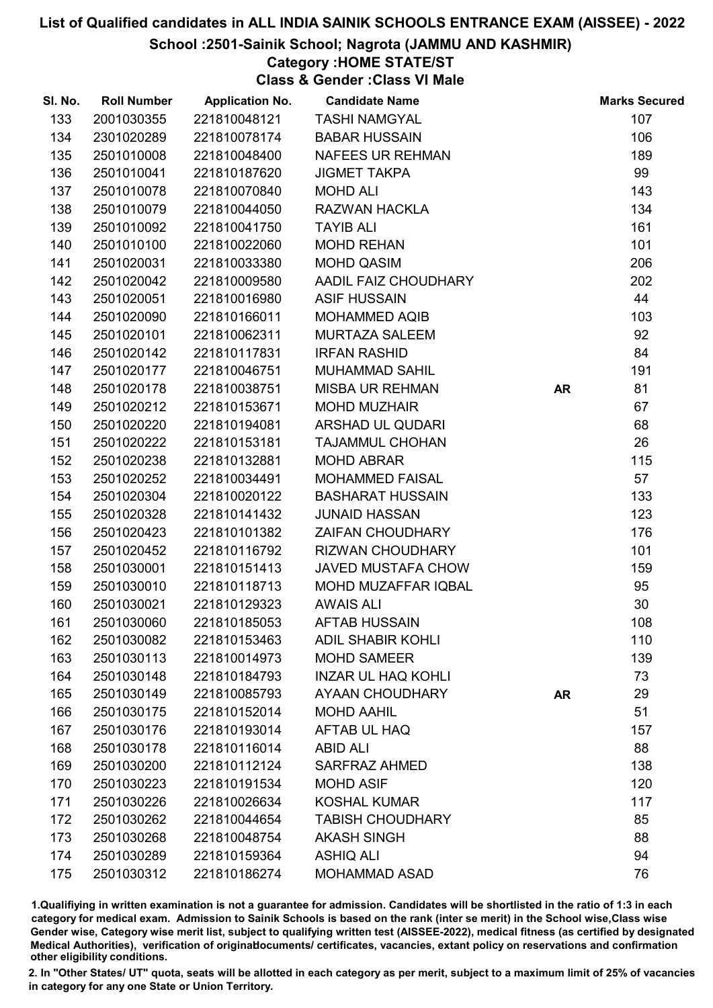School :2501-Sainik School; Nagrota (JAMMU AND KASHMIR)

### Category :HOME STATE/ST

Class & Gender :Class VI Male

| SI. No. | <b>Roll Number</b> | <b>Application No.</b> | <b>Candidate Name</b>     |           | <b>Marks Secured</b> |
|---------|--------------------|------------------------|---------------------------|-----------|----------------------|
| 133     | 2001030355         | 221810048121           | <b>TASHI NAMGYAL</b>      |           | 107                  |
| 134     | 2301020289         | 221810078174           | <b>BABAR HUSSAIN</b>      |           | 106                  |
| 135     | 2501010008         | 221810048400           | <b>NAFEES UR REHMAN</b>   |           | 189                  |
| 136     | 2501010041         | 221810187620           | <b>JIGMET TAKPA</b>       |           | 99                   |
| 137     | 2501010078         | 221810070840           | <b>MOHD ALI</b>           |           | 143                  |
| 138     | 2501010079         | 221810044050           | <b>RAZWAN HACKLA</b>      |           | 134                  |
| 139     | 2501010092         | 221810041750           | <b>TAYIB ALI</b>          |           | 161                  |
| 140     | 2501010100         | 221810022060           | <b>MOHD REHAN</b>         |           | 101                  |
| 141     | 2501020031         | 221810033380           | <b>MOHD QASIM</b>         |           | 206                  |
| 142     | 2501020042         | 221810009580           | AADIL FAIZ CHOUDHARY      |           | 202                  |
| 143     | 2501020051         | 221810016980           | <b>ASIF HUSSAIN</b>       |           | 44                   |
| 144     | 2501020090         | 221810166011           | <b>MOHAMMED AQIB</b>      |           | 103                  |
| 145     | 2501020101         | 221810062311           | <b>MURTAZA SALEEM</b>     |           | 92                   |
| 146     | 2501020142         | 221810117831           | <b>IRFAN RASHID</b>       |           | 84                   |
| 147     | 2501020177         | 221810046751           | <b>MUHAMMAD SAHIL</b>     |           | 191                  |
| 148     | 2501020178         | 221810038751           | <b>MISBA UR REHMAN</b>    | <b>AR</b> | 81                   |
| 149     | 2501020212         | 221810153671           | <b>MOHD MUZHAIR</b>       |           | 67                   |
| 150     | 2501020220         | 221810194081           | ARSHAD UL QUDARI          |           | 68                   |
| 151     | 2501020222         | 221810153181           | <b>TAJAMMUL CHOHAN</b>    |           | 26                   |
| 152     | 2501020238         | 221810132881           | <b>MOHD ABRAR</b>         |           | 115                  |
| 153     | 2501020252         | 221810034491           | <b>MOHAMMED FAISAL</b>    |           | 57                   |
| 154     | 2501020304         | 221810020122           | <b>BASHARAT HUSSAIN</b>   |           | 133                  |
| 155     | 2501020328         | 221810141432           | <b>JUNAID HASSAN</b>      |           | 123                  |
| 156     | 2501020423         | 221810101382           | ZAIFAN CHOUDHARY          |           | 176                  |
| 157     | 2501020452         | 221810116792           | <b>RIZWAN CHOUDHARY</b>   |           | 101                  |
| 158     | 2501030001         | 221810151413           | JAVED MUSTAFA CHOW        |           | 159                  |
| 159     | 2501030010         | 221810118713           | MOHD MUZAFFAR IQBAL       |           | 95                   |
| 160     | 2501030021         | 221810129323           | <b>AWAIS ALI</b>          |           | 30                   |
| 161     | 2501030060         | 221810185053           | <b>AFTAB HUSSAIN</b>      |           | 108                  |
| 162     | 2501030082         | 221810153463           | <b>ADIL SHABIR KOHLI</b>  |           | 110                  |
| 163     | 2501030113         | 221810014973           | <b>MOHD SAMEER</b>        |           | 139                  |
| 164     | 2501030148         | 221810184793           | <b>INZAR UL HAQ KOHLI</b> |           | 73                   |
| 165     | 2501030149         | 221810085793           | AYAAN CHOUDHARY           | <b>AR</b> | 29                   |
| 166     | 2501030175         | 221810152014           | <b>MOHD AAHIL</b>         |           | 51                   |
| 167     | 2501030176         | 221810193014           | AFTAB UL HAQ              |           | 157                  |
| 168     | 2501030178         | 221810116014           | <b>ABID ALI</b>           |           | 88                   |
| 169     | 2501030200         | 221810112124           | <b>SARFRAZ AHMED</b>      |           | 138                  |
| 170     | 2501030223         | 221810191534           | <b>MOHD ASIF</b>          |           | 120                  |
| 171     | 2501030226         | 221810026634           | <b>KOSHAL KUMAR</b>       |           | 117                  |
| 172     | 2501030262         | 221810044654           | <b>TABISH CHOUDHARY</b>   |           | 85                   |
| 173     | 2501030268         | 221810048754           | <b>AKASH SINGH</b>        |           | 88                   |
| 174     | 2501030289         | 221810159364           | <b>ASHIQ ALI</b>          |           | 94                   |
| 175     | 2501030312         | 221810186274           | <b>MOHAMMAD ASAD</b>      |           | 76                   |

1.Qualifiying in written examination is not a guarantee for admission. Candidates will be shortlisted in the ratio of 1:3 in each category for medical exam. Admission to Sainik Schools is based on the rank (inter se merit) in the School wise,Class wise Gender wise, Category wise merit list, subject to qualifying written test (AISSEE-2022), medical fitness (as certified by designated Medical Authorities), verification of originablocuments/ certificates, vacancies, extant policy on reservations and confirmation other eligibility conditions.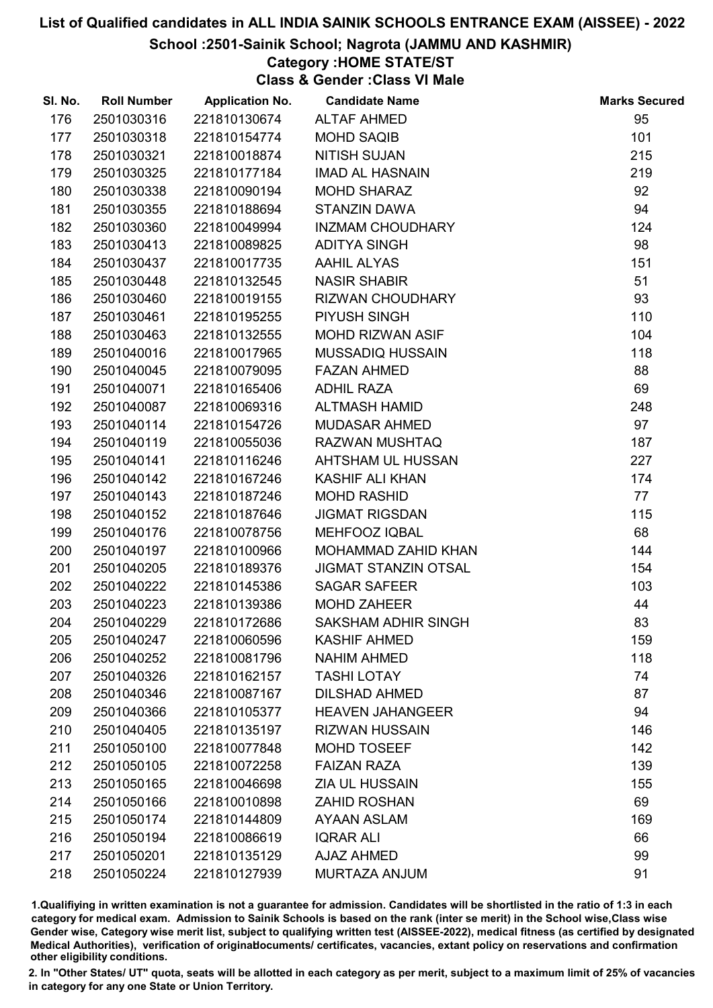School :2501-Sainik School; Nagrota (JAMMU AND KASHMIR)

# Category :HOME STATE/ST

Class & Gender :Class VI Male

| SI. No. | <b>Roll Number</b> | <b>Application No.</b> | <b>Candidate Name</b>       | <b>Marks Secured</b> |
|---------|--------------------|------------------------|-----------------------------|----------------------|
| 176     | 2501030316         | 221810130674           | <b>ALTAF AHMED</b>          | 95                   |
| 177     | 2501030318         | 221810154774           | <b>MOHD SAQIB</b>           | 101                  |
| 178     | 2501030321         | 221810018874           | <b>NITISH SUJAN</b>         | 215                  |
| 179     | 2501030325         | 221810177184           | <b>IMAD AL HASNAIN</b>      | 219                  |
| 180     | 2501030338         | 221810090194           | <b>MOHD SHARAZ</b>          | 92                   |
| 181     | 2501030355         | 221810188694           | <b>STANZIN DAWA</b>         | 94                   |
| 182     | 2501030360         | 221810049994           | <b>INZMAM CHOUDHARY</b>     | 124                  |
| 183     | 2501030413         | 221810089825           | <b>ADITYA SINGH</b>         | 98                   |
| 184     | 2501030437         | 221810017735           | <b>AAHIL ALYAS</b>          | 151                  |
| 185     | 2501030448         | 221810132545           | <b>NASIR SHABIR</b>         | 51                   |
| 186     | 2501030460         | 221810019155           | RIZWAN CHOUDHARY            | 93                   |
| 187     | 2501030461         | 221810195255           | PIYUSH SINGH                | 110                  |
| 188     | 2501030463         | 221810132555           | <b>MOHD RIZWAN ASIF</b>     | 104                  |
| 189     | 2501040016         | 221810017965           | <b>MUSSADIQ HUSSAIN</b>     | 118                  |
| 190     | 2501040045         | 221810079095           | <b>FAZAN AHMED</b>          | 88                   |
| 191     | 2501040071         | 221810165406           | <b>ADHIL RAZA</b>           | 69                   |
| 192     | 2501040087         | 221810069316           | ALTMASH HAMID               | 248                  |
| 193     | 2501040114         | 221810154726           | MUDASAR AHMED               | 97                   |
| 194     | 2501040119         | 221810055036           | RAZWAN MUSHTAQ              | 187                  |
| 195     | 2501040141         | 221810116246           | AHTSHAM UL HUSSAN           | 227                  |
| 196     | 2501040142         | 221810167246           | <b>KASHIF ALI KHAN</b>      | 174                  |
| 197     | 2501040143         | 221810187246           | <b>MOHD RASHID</b>          | 77                   |
| 198     | 2501040152         | 221810187646           | <b>JIGMAT RIGSDAN</b>       | 115                  |
| 199     | 2501040176         | 221810078756           | <b>MEHFOOZ IQBAL</b>        | 68                   |
| 200     | 2501040197         | 221810100966           | MOHAMMAD ZAHID KHAN         | 144                  |
| 201     | 2501040205         | 221810189376           | <b>JIGMAT STANZIN OTSAL</b> | 154                  |
| 202     | 2501040222         | 221810145386           | <b>SAGAR SAFEER</b>         | 103                  |
| 203     | 2501040223         | 221810139386           | <b>MOHD ZAHEER</b>          | 44                   |
| 204     | 2501040229         | 221810172686           | <b>SAKSHAM ADHIR SINGH</b>  | 83                   |
| 205     | 2501040247         | 221810060596           | <b>KASHIF AHMED</b>         | 159                  |
| 206     | 2501040252         | 221810081796           | <b>NAHIM AHMED</b>          | 118                  |
| 207     | 2501040326         | 221810162157           | <b>TASHI LOTAY</b>          | 74                   |
| 208     | 2501040346         | 221810087167           | <b>DILSHAD AHMED</b>        | 87                   |
| 209     | 2501040366         | 221810105377           | <b>HEAVEN JAHANGEER</b>     | 94                   |
| 210     | 2501040405         | 221810135197           | <b>RIZWAN HUSSAIN</b>       | 146                  |
| 211     | 2501050100         | 221810077848           | <b>MOHD TOSEEF</b>          | 142                  |
| 212     | 2501050105         | 221810072258           | <b>FAIZAN RAZA</b>          | 139                  |
| 213     | 2501050165         | 221810046698           | <b>ZIA UL HUSSAIN</b>       | 155                  |
| 214     | 2501050166         | 221810010898           | <b>ZAHID ROSHAN</b>         | 69                   |
| 215     | 2501050174         | 221810144809           | <b>AYAAN ASLAM</b>          | 169                  |
| 216     | 2501050194         | 221810086619           | <b>IQRAR ALI</b>            | 66                   |
| 217     | 2501050201         | 221810135129           | <b>AJAZ AHMED</b>           | 99                   |
| 218     | 2501050224         | 221810127939           | MURTAZA ANJUM               | 91                   |

1.Qualifiying in written examination is not a guarantee for admission. Candidates will be shortlisted in the ratio of 1:3 in each category for medical exam. Admission to Sainik Schools is based on the rank (inter se merit) in the School wise,Class wise Gender wise, Category wise merit list, subject to qualifying written test (AISSEE-2022), medical fitness (as certified by designated Medical Authorities), verification of originablocuments/ certificates, vacancies, extant policy on reservations and confirmation other eligibility conditions.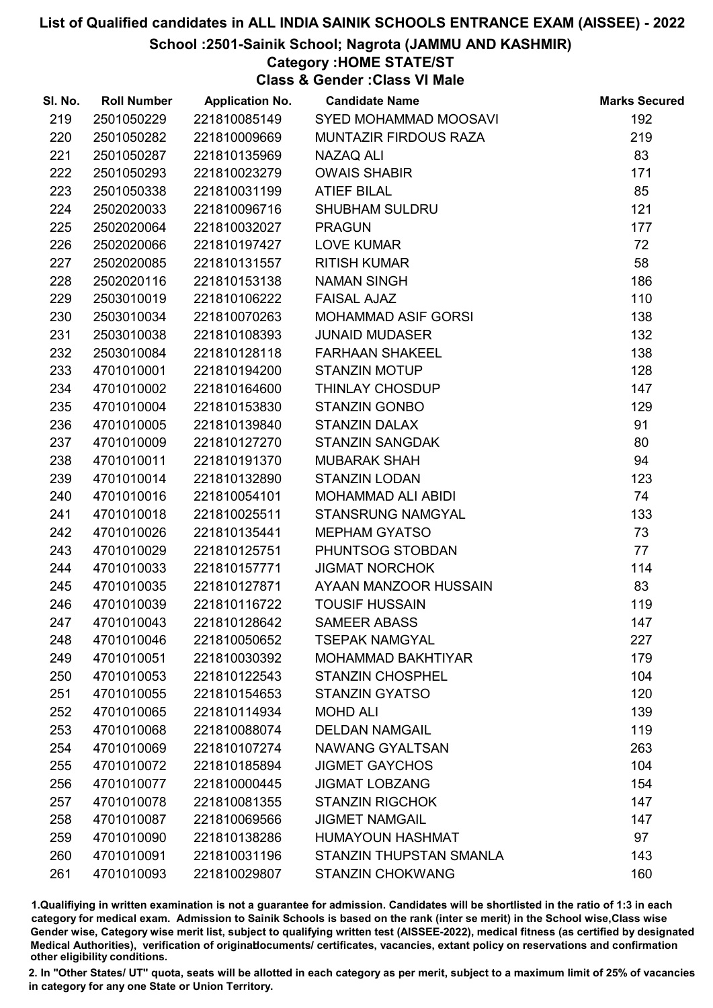School :2501-Sainik School; Nagrota (JAMMU AND KASHMIR)

### Category :HOME STATE/ST

Class & Gender :Class VI Male

| SI. No. | <b>Roll Number</b> | <b>Application No.</b> | <b>Candidate Name</b>        | <b>Marks Secured</b> |
|---------|--------------------|------------------------|------------------------------|----------------------|
| 219     | 2501050229         | 221810085149           | SYED MOHAMMAD MOOSAVI        | 192                  |
| 220     | 2501050282         | 221810009669           | <b>MUNTAZIR FIRDOUS RAZA</b> | 219                  |
| 221     | 2501050287         | 221810135969           | NAZAQ ALI                    | 83                   |
| 222     | 2501050293         | 221810023279           | <b>OWAIS SHABIR</b>          | 171                  |
| 223     | 2501050338         | 221810031199           | <b>ATIEF BILAL</b>           | 85                   |
| 224     | 2502020033         | 221810096716           | <b>SHUBHAM SULDRU</b>        | 121                  |
| 225     | 2502020064         | 221810032027           | <b>PRAGUN</b>                | 177                  |
| 226     | 2502020066         | 221810197427           | <b>LOVE KUMAR</b>            | 72                   |
| 227     | 2502020085         | 221810131557           | <b>RITISH KUMAR</b>          | 58                   |
| 228     | 2502020116         | 221810153138           | <b>NAMAN SINGH</b>           | 186                  |
| 229     | 2503010019         | 221810106222           | <b>FAISAL AJAZ</b>           | 110                  |
| 230     | 2503010034         | 221810070263           | <b>MOHAMMAD ASIF GORSI</b>   | 138                  |
| 231     | 2503010038         | 221810108393           | <b>JUNAID MUDASER</b>        | 132                  |
| 232     | 2503010084         | 221810128118           | <b>FARHAAN SHAKEEL</b>       | 138                  |
| 233     | 4701010001         | 221810194200           | <b>STANZIN MOTUP</b>         | 128                  |
| 234     | 4701010002         | 221810164600           | THINLAY CHOSDUP              | 147                  |
| 235     | 4701010004         | 221810153830           | <b>STANZIN GONBO</b>         | 129                  |
| 236     | 4701010005         | 221810139840           | <b>STANZIN DALAX</b>         | 91                   |
| 237     | 4701010009         | 221810127270           | <b>STANZIN SANGDAK</b>       | 80                   |
| 238     | 4701010011         | 221810191370           | <b>MUBARAK SHAH</b>          | 94                   |
| 239     | 4701010014         | 221810132890           | <b>STANZIN LODAN</b>         | 123                  |
| 240     | 4701010016         | 221810054101           | MOHAMMAD ALI ABIDI           | 74                   |
| 241     | 4701010018         | 221810025511           | STANSRUNG NAMGYAL            | 133                  |
| 242     | 4701010026         | 221810135441           | <b>MEPHAM GYATSO</b>         | 73                   |
| 243     | 4701010029         | 221810125751           | PHUNTSOG STOBDAN             | 77                   |
| 244     | 4701010033         | 221810157771           | <b>JIGMAT NORCHOK</b>        | 114                  |
| 245     | 4701010035         | 221810127871           | AYAAN MANZOOR HUSSAIN        | 83                   |
| 246     | 4701010039         | 221810116722           | <b>TOUSIF HUSSAIN</b>        | 119                  |
| 247     | 4701010043         | 221810128642           | <b>SAMEER ABASS</b>          | 147                  |
| 248     | 4701010046         | 221810050652           | <b>TSEPAK NAMGYAL</b>        | 227                  |
| 249     | 4701010051         | 221810030392           | <b>MOHAMMAD BAKHTIYAR</b>    | 179                  |
| 250     | 4701010053         | 221810122543           | <b>STANZIN CHOSPHEL</b>      | 104                  |
| 251     | 4701010055         | 221810154653           | <b>STANZIN GYATSO</b>        | 120                  |
| 252     | 4701010065         | 221810114934           | <b>MOHD ALI</b>              | 139                  |
| 253     | 4701010068         | 221810088074           | <b>DELDAN NAMGAIL</b>        | 119                  |
| 254     | 4701010069         | 221810107274           | <b>NAWANG GYALTSAN</b>       | 263                  |
| 255     | 4701010072         | 221810185894           | <b>JIGMET GAYCHOS</b>        | 104                  |
| 256     | 4701010077         | 221810000445           | <b>JIGMAT LOBZANG</b>        | 154                  |
| 257     | 4701010078         | 221810081355           | <b>STANZIN RIGCHOK</b>       | 147                  |
| 258     | 4701010087         | 221810069566           | <b>JIGMET NAMGAIL</b>        | 147                  |
| 259     | 4701010090         | 221810138286           | <b>HUMAYOUN HASHMAT</b>      | 97                   |
| 260     | 4701010091         | 221810031196           | STANZIN THUPSTAN SMANLA      | 143                  |
| 261     | 4701010093         | 221810029807           | <b>STANZIN CHOKWANG</b>      | 160                  |

1.Qualifiying in written examination is not a guarantee for admission. Candidates will be shortlisted in the ratio of 1:3 in each category for medical exam. Admission to Sainik Schools is based on the rank (inter se merit) in the School wise,Class wise Gender wise, Category wise merit list, subject to qualifying written test (AISSEE-2022), medical fitness (as certified by designated Medical Authorities), verification of originablocuments/ certificates, vacancies, extant policy on reservations and confirmation other eligibility conditions.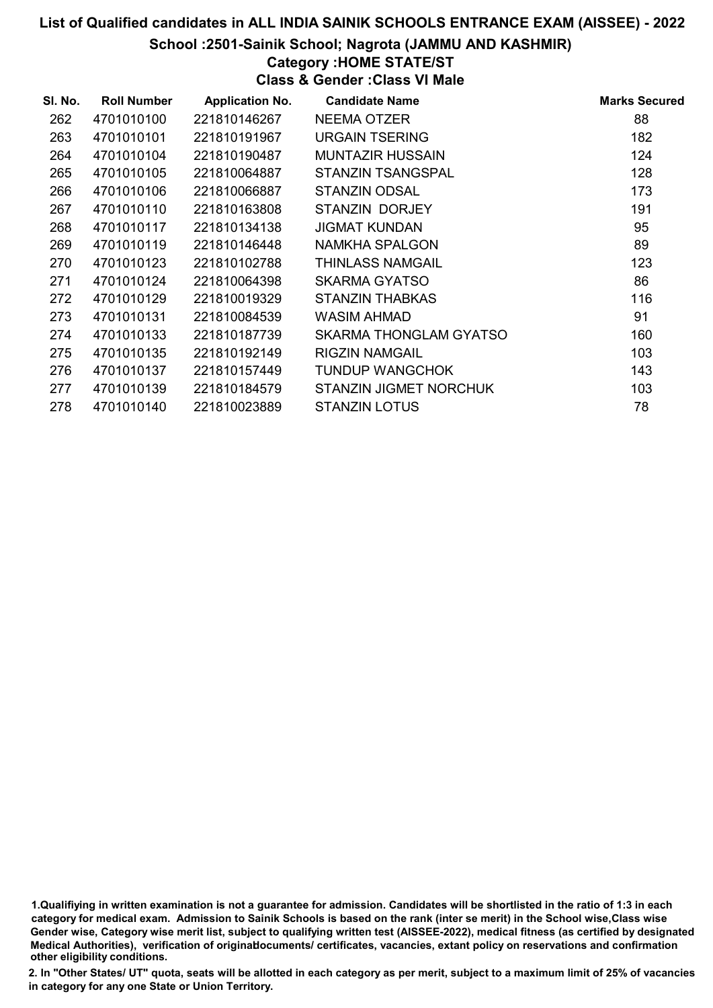School :2501-Sainik School; Nagrota (JAMMU AND KASHMIR)

# Category :HOME STATE/ST

Class & Gender :Class VI Male

| SI. No. | <b>Roll Number</b> | <b>Application No.</b> | <b>Candidate Name</b>    | <b>Marks Secured</b> |
|---------|--------------------|------------------------|--------------------------|----------------------|
| 262     | 4701010100         | 221810146267           | <b>NEEMA OTZER</b>       | 88                   |
| 263     | 4701010101         | 221810191967           | URGAIN TSERING           | 182                  |
| 264     | 4701010104         | 221810190487           | <b>MUNTAZIR HUSSAIN</b>  | 124                  |
| 265     | 4701010105         | 221810064887           | <b>STANZIN TSANGSPAL</b> | 128                  |
| 266     | 4701010106         | 221810066887           | <b>STANZIN ODSAL</b>     | 173                  |
| 267     | 4701010110         | 221810163808           | STANZIN DORJEY           | 191                  |
| 268     | 4701010117         | 221810134138           | <b>JIGMAT KUNDAN</b>     | 95                   |
| 269     | 4701010119         | 221810146448           | NAMKHA SPALGON           | 89                   |
| 270     | 4701010123         | 221810102788           | <b>THINLASS NAMGAIL</b>  | 123                  |
| 271     | 4701010124         | 221810064398           | SKARMA GYATSO            | 86                   |
| 272     | 4701010129         | 221810019329           | STANZIN THABKAS          | 116                  |
| 273     | 4701010131         | 221810084539           | WASIM AHMAD              | 91                   |
| 274     | 4701010133         | 221810187739           | SKARMA THONGLAM GYATSO   | 160                  |
| 275     | 4701010135         | 221810192149           | RIGZIN NAMGAIL           | 103                  |
| 276     | 4701010137         | 221810157449           | <b>TUNDUP WANGCHOK</b>   | 143                  |
| 277     | 4701010139         | 221810184579           | STANZIN JIGMET NORCHUK   | 103                  |
| 278     | 4701010140         | 221810023889           | <b>STANZIN LOTUS</b>     | 78                   |

1.Qualifiying in written examination is not a guarantee for admission. Candidates will be shortlisted in the ratio of 1:3 in each category for medical exam. Admission to Sainik Schools is based on the rank (inter se merit) in the School wise,Class wise Gender wise, Category wise merit list, subject to qualifying written test (AISSEE-2022), medical fitness (as certified by designated Medical Authorities), verification of originablocuments/ certificates, vacancies, extant policy on reservations and confirmation other eligibility conditions.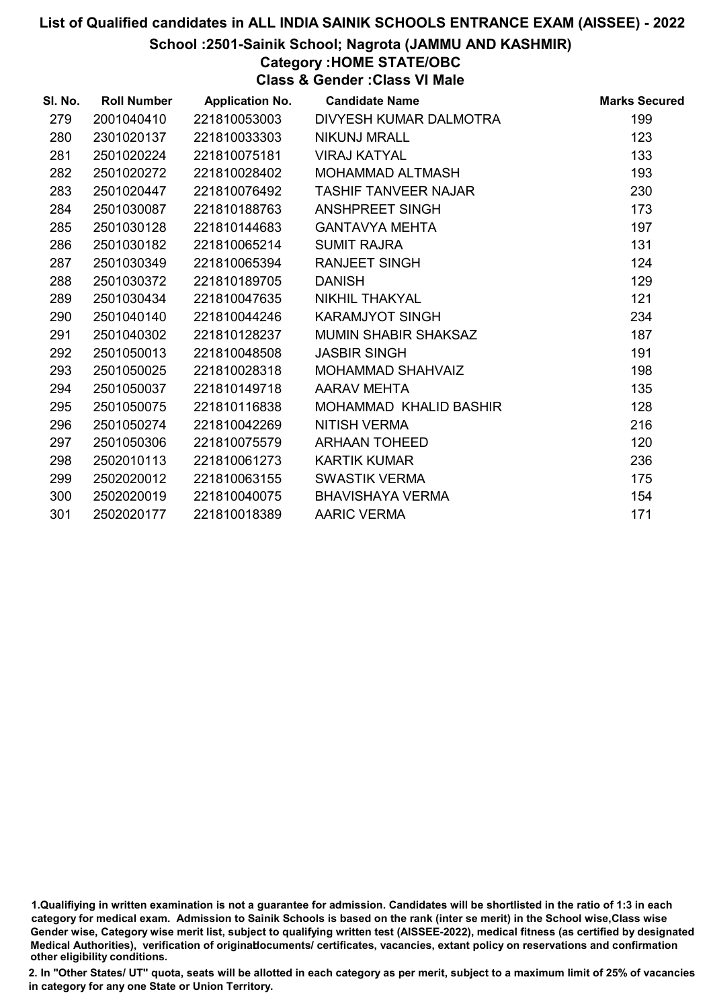#### School :2501-Sainik School; Nagrota (JAMMU AND KASHMIR)

Category :HOME STATE/OBC

Class & Gender :Class VI Male

| SI. No. | <b>Roll Number</b> | <b>Application No.</b> | <b>Candidate Name</b>       | <b>Marks Secured</b> |
|---------|--------------------|------------------------|-----------------------------|----------------------|
| 279     | 2001040410         | 221810053003           | DIVYESH KUMAR DALMOTRA      | 199                  |
| 280     | 2301020137         | 221810033303           | <b>NIKUNJ MRALL</b>         | 123                  |
| 281     | 2501020224         | 221810075181           | <b>VIRAJ KATYAL</b>         | 133                  |
| 282     | 2501020272         | 221810028402           | MOHAMMAD ALTMASH            | 193                  |
| 283     | 2501020447         | 221810076492           | <b>TASHIF TANVEER NAJAR</b> | 230                  |
| 284     | 2501030087         | 221810188763           | <b>ANSHPREET SINGH</b>      | 173                  |
| 285     | 2501030128         | 221810144683           | <b>GANTAVYA MEHTA</b>       | 197                  |
| 286     | 2501030182         | 221810065214           | <b>SUMIT RAJRA</b>          | 131                  |
| 287     | 2501030349         | 221810065394           | <b>RANJEET SINGH</b>        | 124                  |
| 288     | 2501030372         | 221810189705           | <b>DANISH</b>               | 129                  |
| 289     | 2501030434         | 221810047635           | NIKHIL THAKYAL              | 121                  |
| 290     | 2501040140         | 221810044246           | <b>KARAMJYOT SINGH</b>      | 234                  |
| 291     | 2501040302         | 221810128237           | <b>MUMIN SHABIR SHAKSAZ</b> | 187                  |
| 292     | 2501050013         | 221810048508           | <b>JASBIR SINGH</b>         | 191                  |
| 293     | 2501050025         | 221810028318           | MOHAMMAD SHAHVAIZ           | 198                  |
| 294     | 2501050037         | 221810149718           | AARAV MEHTA                 | 135                  |
| 295     | 2501050075         | 221810116838           | MOHAMMAD KHALID BASHIR      | 128                  |
| 296     | 2501050274         | 221810042269           | <b>NITISH VERMA</b>         | 216                  |
| 297     | 2501050306         | 221810075579           | <b>ARHAAN TOHEED</b>        | 120                  |
| 298     | 2502010113         | 221810061273           | <b>KARTIK KUMAR</b>         | 236                  |
| 299     | 2502020012         | 221810063155           | <b>SWASTIK VERMA</b>        | 175                  |
| 300     | 2502020019         | 221810040075           | <b>BHAVISHAYA VERMA</b>     | 154                  |
| 301     | 2502020177         | 221810018389           | <b>AARIC VERMA</b>          | 171                  |

<sup>1.</sup>Qualifiying in written examination is not a guarantee for admission. Candidates will be shortlisted in the ratio of 1:3 in each category for medical exam. Admission to Sainik Schools is based on the rank (inter se merit) in the School wise,Class wise Gender wise, Category wise merit list, subject to qualifying written test (AISSEE-2022), medical fitness (as certified by designated Medical Authorities), verification of originablocuments/ certificates, vacancies, extant policy on reservations and confirmation other eligibility conditions.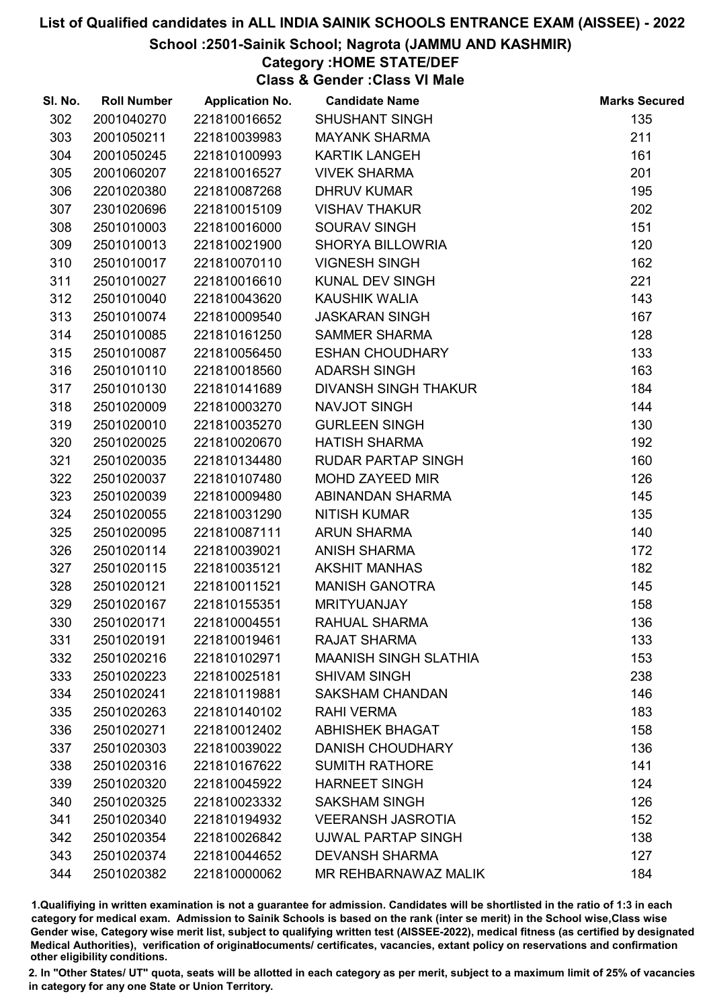#### School :2501-Sainik School; Nagrota (JAMMU AND KASHMIR)

# Category :HOME STATE/DEF

Class & Gender :Class VI Male

| SI. No. | <b>Roll Number</b> | <b>Application No.</b> | <b>Candidate Name</b>        | <b>Marks Secured</b> |
|---------|--------------------|------------------------|------------------------------|----------------------|
| 302     | 2001040270         | 221810016652           | <b>SHUSHANT SINGH</b>        | 135                  |
| 303     | 2001050211         | 221810039983           | <b>MAYANK SHARMA</b>         | 211                  |
| 304     | 2001050245         | 221810100993           | <b>KARTIK LANGEH</b>         | 161                  |
| 305     | 2001060207         | 221810016527           | <b>VIVEK SHARMA</b>          | 201                  |
| 306     | 2201020380         | 221810087268           | <b>DHRUV KUMAR</b>           | 195                  |
| 307     | 2301020696         | 221810015109           | <b>VISHAV THAKUR</b>         | 202                  |
| 308     | 2501010003         | 221810016000           | <b>SOURAV SINGH</b>          | 151                  |
| 309     | 2501010013         | 221810021900           | <b>SHORYA BILLOWRIA</b>      | 120                  |
| 310     | 2501010017         | 221810070110           | <b>VIGNESH SINGH</b>         | 162                  |
| 311     | 2501010027         | 221810016610           | KUNAL DEV SINGH              | 221                  |
| 312     | 2501010040         | 221810043620           | <b>KAUSHIK WALIA</b>         | 143                  |
| 313     | 2501010074         | 221810009540           | <b>JASKARAN SINGH</b>        | 167                  |
| 314     | 2501010085         | 221810161250           | <b>SAMMER SHARMA</b>         | 128                  |
| 315     | 2501010087         | 221810056450           | <b>ESHAN CHOUDHARY</b>       | 133                  |
| 316     | 2501010110         | 221810018560           | <b>ADARSH SINGH</b>          | 163                  |
| 317     | 2501010130         | 221810141689           | DIVANSH SINGH THAKUR         | 184                  |
| 318     | 2501020009         | 221810003270           | NAVJOT SINGH                 | 144                  |
| 319     | 2501020010         | 221810035270           | <b>GURLEEN SINGH</b>         | 130                  |
| 320     | 2501020025         | 221810020670           | <b>HATISH SHARMA</b>         | 192                  |
| 321     | 2501020035         | 221810134480           | RUDAR PARTAP SINGH           | 160                  |
| 322     | 2501020037         | 221810107480           | MOHD ZAYEED MIR              | 126                  |
| 323     | 2501020039         | 221810009480           | ABINANDAN SHARMA             | 145                  |
| 324     | 2501020055         | 221810031290           | <b>NITISH KUMAR</b>          | 135                  |
| 325     | 2501020095         | 221810087111           | <b>ARUN SHARMA</b>           | 140                  |
| 326     | 2501020114         | 221810039021           | <b>ANISH SHARMA</b>          | 172                  |
| 327     | 2501020115         | 221810035121           | <b>AKSHIT MANHAS</b>         | 182                  |
| 328     | 2501020121         | 221810011521           | <b>MANISH GANOTRA</b>        | 145                  |
| 329     | 2501020167         | 221810155351           | <b>MRITYUANJAY</b>           | 158                  |
| 330     | 2501020171         | 221810004551           | RAHUAL SHARMA                | 136                  |
| 331     | 2501020191         | 221810019461           | <b>RAJAT SHARMA</b>          | 133                  |
| 332     | 2501020216         | 221810102971           | <b>MAANISH SINGH SLATHIA</b> | 153                  |
| 333     | 2501020223         | 221810025181           | <b>SHIVAM SINGH</b>          | 238                  |
| 334     | 2501020241         | 221810119881           | <b>SAKSHAM CHANDAN</b>       | 146                  |
| 335     | 2501020263         | 221810140102           | <b>RAHI VERMA</b>            | 183                  |
| 336     | 2501020271         | 221810012402           | <b>ABHISHEK BHAGAT</b>       | 158                  |
| 337     | 2501020303         | 221810039022           | <b>DANISH CHOUDHARY</b>      | 136                  |
| 338     | 2501020316         | 221810167622           | <b>SUMITH RATHORE</b>        | 141                  |
| 339     | 2501020320         | 221810045922           | <b>HARNEET SINGH</b>         | 124                  |
| 340     | 2501020325         | 221810023332           | <b>SAKSHAM SINGH</b>         | 126                  |
| 341     | 2501020340         | 221810194932           | <b>VEERANSH JASROTIA</b>     | 152                  |
| 342     | 2501020354         | 221810026842           | UJWAL PARTAP SINGH           | 138                  |
| 343     | 2501020374         | 221810044652           | <b>DEVANSH SHARMA</b>        | 127                  |
| 344     | 2501020382         | 221810000062           | MR REHBARNAWAZ MALIK         | 184                  |

1.Qualifiying in written examination is not a guarantee for admission. Candidates will be shortlisted in the ratio of 1:3 in each category for medical exam. Admission to Sainik Schools is based on the rank (inter se merit) in the School wise,Class wise Gender wise, Category wise merit list, subject to qualifying written test (AISSEE-2022), medical fitness (as certified by designated Medical Authorities), verification of originablocuments/ certificates, vacancies, extant policy on reservations and confirmation other eligibility conditions.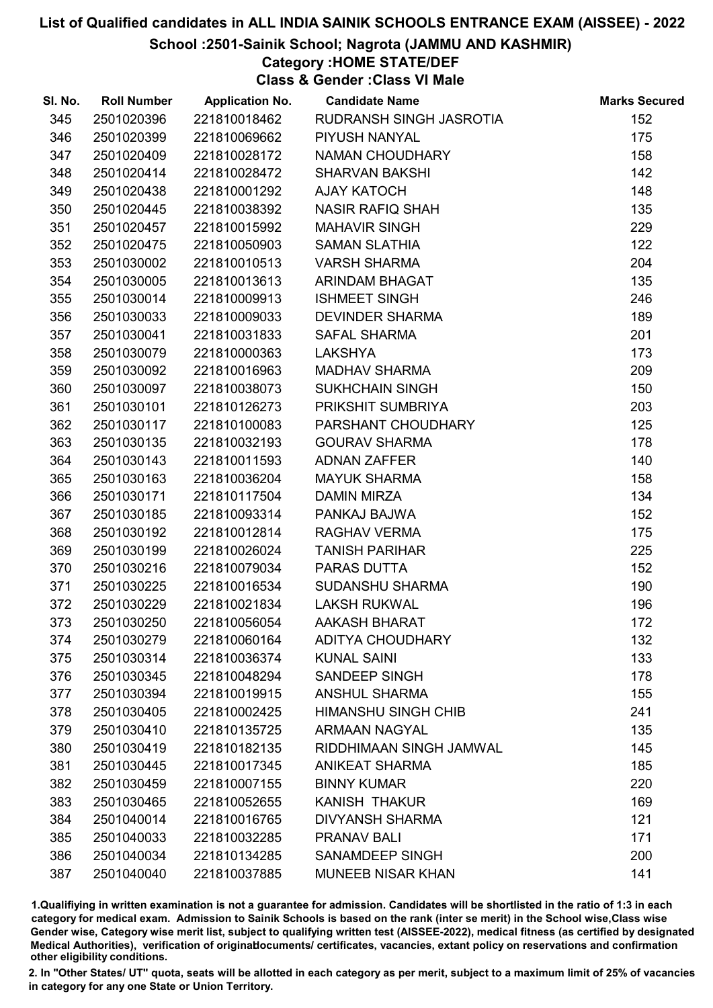School :2501-Sainik School; Nagrota (JAMMU AND KASHMIR)

# Category :HOME STATE/DEF

Class & Gender :Class VI Male

| SI. No. | <b>Roll Number</b> | <b>Application No.</b> | <b>Candidate Name</b>      | <b>Marks Secured</b> |
|---------|--------------------|------------------------|----------------------------|----------------------|
| 345     | 2501020396         | 221810018462           | RUDRANSH SINGH JASROTIA    | 152                  |
| 346     | 2501020399         | 221810069662           | PIYUSH NANYAL              | 175                  |
| 347     | 2501020409         | 221810028172           | NAMAN CHOUDHARY            | 158                  |
| 348     | 2501020414         | 221810028472           | <b>SHARVAN BAKSHI</b>      | 142                  |
| 349     | 2501020438         | 221810001292           | <b>AJAY KATOCH</b>         | 148                  |
| 350     | 2501020445         | 221810038392           | <b>NASIR RAFIQ SHAH</b>    | 135                  |
| 351     | 2501020457         | 221810015992           | <b>MAHAVIR SINGH</b>       | 229                  |
| 352     | 2501020475         | 221810050903           | <b>SAMAN SLATHIA</b>       | 122                  |
| 353     | 2501030002         | 221810010513           | <b>VARSH SHARMA</b>        | 204                  |
| 354     | 2501030005         | 221810013613           | <b>ARINDAM BHAGAT</b>      | 135                  |
| 355     | 2501030014         | 221810009913           | <b>ISHMEET SINGH</b>       | 246                  |
| 356     | 2501030033         | 221810009033           | <b>DEVINDER SHARMA</b>     | 189                  |
| 357     | 2501030041         | 221810031833           | <b>SAFAL SHARMA</b>        | 201                  |
| 358     | 2501030079         | 221810000363           | <b>LAKSHYA</b>             | 173                  |
| 359     | 2501030092         | 221810016963           | <b>MADHAV SHARMA</b>       | 209                  |
| 360     | 2501030097         | 221810038073           | <b>SUKHCHAIN SINGH</b>     | 150                  |
| 361     | 2501030101         | 221810126273           | PRIKSHIT SUMBRIYA          | 203                  |
| 362     | 2501030117         | 221810100083           | PARSHANT CHOUDHARY         | 125                  |
| 363     | 2501030135         | 221810032193           | <b>GOURAV SHARMA</b>       | 178                  |
| 364     | 2501030143         | 221810011593           | <b>ADNAN ZAFFER</b>        | 140                  |
| 365     | 2501030163         | 221810036204           | <b>MAYUK SHARMA</b>        | 158                  |
| 366     | 2501030171         | 221810117504           | <b>DAMIN MIRZA</b>         | 134                  |
| 367     | 2501030185         | 221810093314           | PANKAJ BAJWA               | 152                  |
| 368     | 2501030192         | 221810012814           | RAGHAV VERMA               | 175                  |
| 369     | 2501030199         | 221810026024           | <b>TANISH PARIHAR</b>      | 225                  |
| 370     | 2501030216         | 221810079034           | PARAS DUTTA                | 152                  |
| 371     | 2501030225         | 221810016534           | <b>SUDANSHU SHARMA</b>     | 190                  |
| 372     | 2501030229         | 221810021834           | <b>LAKSH RUKWAL</b>        | 196                  |
| 373     | 2501030250         | 221810056054           | <b>AAKASH BHARAT</b>       | 172                  |
| 374     | 2501030279         | 221810060164           | <b>ADITYA CHOUDHARY</b>    | 132                  |
| 375     | 2501030314         | 221810036374           | <b>KUNAL SAINI</b>         | 133                  |
| 376     | 2501030345         | 221810048294           | SANDEEP SINGH              | 178                  |
| 377     | 2501030394         | 221810019915           | <b>ANSHUL SHARMA</b>       | 155                  |
| 378     | 2501030405         | 221810002425           | <b>HIMANSHU SINGH CHIB</b> | 241                  |
| 379     | 2501030410         | 221810135725           | <b>ARMAAN NAGYAL</b>       | 135                  |
| 380     | 2501030419         | 221810182135           | RIDDHIMAAN SINGH JAMWAL    | 145                  |
| 381     | 2501030445         | 221810017345           | <b>ANIKEAT SHARMA</b>      | 185                  |
| 382     | 2501030459         | 221810007155           | <b>BINNY KUMAR</b>         | 220                  |
| 383     | 2501030465         | 221810052655           | <b>KANISH THAKUR</b>       | 169                  |
| 384     | 2501040014         | 221810016765           | <b>DIVYANSH SHARMA</b>     | 121                  |
| 385     | 2501040033         | 221810032285           | <b>PRANAV BALI</b>         | 171                  |
| 386     | 2501040034         | 221810134285           | <b>SANAMDEEP SINGH</b>     | 200                  |
| 387     | 2501040040         | 221810037885           | <b>MUNEEB NISAR KHAN</b>   | 141                  |

1.Qualifiying in written examination is not a guarantee for admission. Candidates will be shortlisted in the ratio of 1:3 in each category for medical exam. Admission to Sainik Schools is based on the rank (inter se merit) in the School wise,Class wise Gender wise, Category wise merit list, subject to qualifying written test (AISSEE-2022), medical fitness (as certified by designated Medical Authorities), verification of originablocuments/ certificates, vacancies, extant policy on reservations and confirmation other eligibility conditions.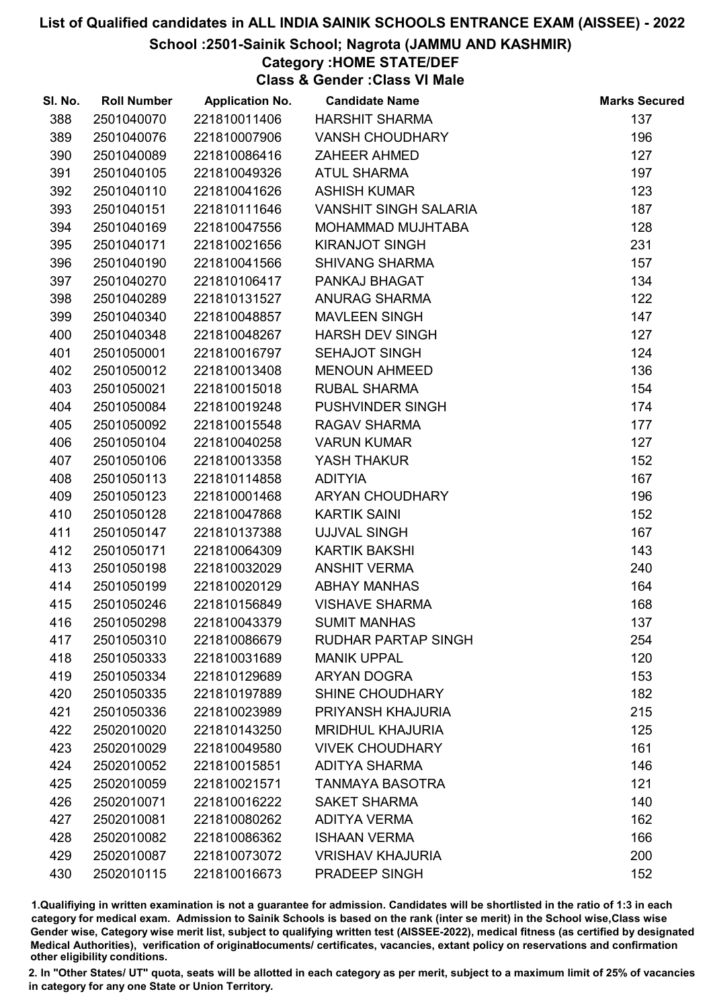#### School :2501-Sainik School; Nagrota (JAMMU AND KASHMIR)

# Category :HOME STATE/DEF

Class & Gender :Class VI Male

| SI. No. | <b>Roll Number</b> | <b>Application No.</b> | <b>Candidate Name</b>        | <b>Marks Secured</b> |
|---------|--------------------|------------------------|------------------------------|----------------------|
| 388     | 2501040070         | 221810011406           | <b>HARSHIT SHARMA</b>        | 137                  |
| 389     | 2501040076         | 221810007906           | <b>VANSH CHOUDHARY</b>       | 196                  |
| 390     | 2501040089         | 221810086416           | <b>ZAHEER AHMED</b>          | 127                  |
| 391     | 2501040105         | 221810049326           | <b>ATUL SHARMA</b>           | 197                  |
| 392     | 2501040110         | 221810041626           | <b>ASHISH KUMAR</b>          | 123                  |
| 393     | 2501040151         | 221810111646           | <b>VANSHIT SINGH SALARIA</b> | 187                  |
| 394     | 2501040169         | 221810047556           | MOHAMMAD MUJHTABA            | 128                  |
| 395     | 2501040171         | 221810021656           | <b>KIRANJOT SINGH</b>        | 231                  |
| 396     | 2501040190         | 221810041566           | <b>SHIVANG SHARMA</b>        | 157                  |
| 397     | 2501040270         | 221810106417           | PANKAJ BHAGAT                | 134                  |
| 398     | 2501040289         | 221810131527           | <b>ANURAG SHARMA</b>         | 122                  |
| 399     | 2501040340         | 221810048857           | <b>MAVLEEN SINGH</b>         | 147                  |
| 400     | 2501040348         | 221810048267           | <b>HARSH DEV SINGH</b>       | 127                  |
| 401     | 2501050001         | 221810016797           | <b>SEHAJOT SINGH</b>         | 124                  |
| 402     | 2501050012         | 221810013408           | <b>MENOUN AHMEED</b>         | 136                  |
| 403     | 2501050021         | 221810015018           | <b>RUBAL SHARMA</b>          | 154                  |
| 404     | 2501050084         | 221810019248           | PUSHVINDER SINGH             | 174                  |
| 405     | 2501050092         | 221810015548           | RAGAV SHARMA                 | 177                  |
| 406     | 2501050104         | 221810040258           | <b>VARUN KUMAR</b>           | 127                  |
| 407     | 2501050106         | 221810013358           | YASH THAKUR                  | 152                  |
| 408     | 2501050113         | 221810114858           | <b>ADITYIA</b>               | 167                  |
| 409     | 2501050123         | 221810001468           | ARYAN CHOUDHARY              | 196                  |
| 410     | 2501050128         | 221810047868           | <b>KARTIK SAINI</b>          | 152                  |
| 411     | 2501050147         | 221810137388           | <b>UJJVAL SINGH</b>          | 167                  |
| 412     | 2501050171         | 221810064309           | KARTIK BAKSHI                | 143                  |
| 413     | 2501050198         | 221810032029           | <b>ANSHIT VERMA</b>          | 240                  |
| 414     | 2501050199         | 221810020129           | <b>ABHAY MANHAS</b>          | 164                  |
| 415     | 2501050246         | 221810156849           | <b>VISHAVE SHARMA</b>        | 168                  |
| 416     | 2501050298         | 221810043379           | <b>SUMIT MANHAS</b>          | 137                  |
| 417     | 2501050310         | 221810086679           | RUDHAR PARTAP SINGH          | 254                  |
| 418     | 2501050333         | 221810031689           | <b>MANIK UPPAL</b>           | 120                  |
| 419     | 2501050334         | 221810129689           | <b>ARYAN DOGRA</b>           | 153                  |
| 420     | 2501050335         | 221810197889           | SHINE CHOUDHARY              | 182                  |
| 421     | 2501050336         | 221810023989           | PRIYANSH KHAJURIA            | 215                  |
| 422     | 2502010020         | 221810143250           | <b>MRIDHUL KHAJURIA</b>      | 125                  |
| 423     | 2502010029         | 221810049580           | <b>VIVEK CHOUDHARY</b>       | 161                  |
| 424     | 2502010052         | 221810015851           | <b>ADITYA SHARMA</b>         | 146                  |
| 425     | 2502010059         | 221810021571           | <b>TANMAYA BASOTRA</b>       | 121                  |
| 426     | 2502010071         | 221810016222           | <b>SAKET SHARMA</b>          | 140                  |
| 427     | 2502010081         | 221810080262           | <b>ADITYA VERMA</b>          | 162                  |
| 428     | 2502010082         | 221810086362           | <b>ISHAAN VERMA</b>          | 166                  |
| 429     | 2502010087         | 221810073072           | <b>VRISHAV KHAJURIA</b>      | 200                  |
| 430     | 2502010115         | 221810016673           | PRADEEP SINGH                | 152                  |

1.Qualifiying in written examination is not a guarantee for admission. Candidates will be shortlisted in the ratio of 1:3 in each category for medical exam. Admission to Sainik Schools is based on the rank (inter se merit) in the School wise,Class wise Gender wise, Category wise merit list, subject to qualifying written test (AISSEE-2022), medical fitness (as certified by designated Medical Authorities), verification of originablocuments/ certificates, vacancies, extant policy on reservations and confirmation other eligibility conditions.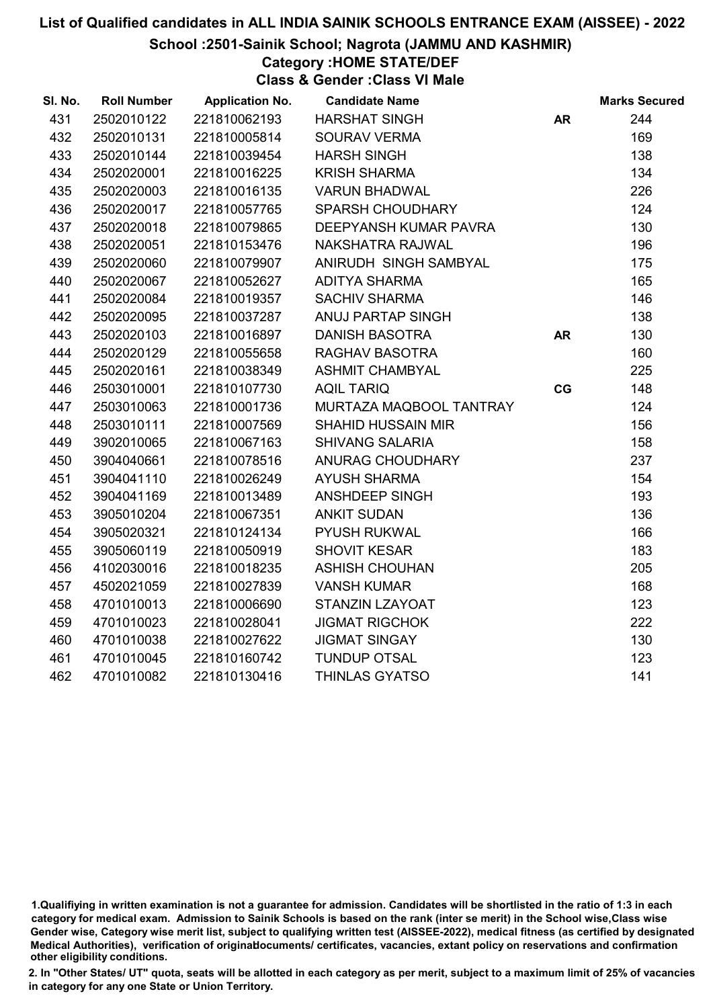School :2501-Sainik School; Nagrota (JAMMU AND KASHMIR)

# Category :HOME STATE/DEF

Class & Gender :Class VI Male

| SI. No. | <b>Roll Number</b> | <b>Application No.</b> | <b>Candidate Name</b>     |           | <b>Marks Secured</b> |
|---------|--------------------|------------------------|---------------------------|-----------|----------------------|
| 431     | 2502010122         | 221810062193           | <b>HARSHAT SINGH</b>      | <b>AR</b> | 244                  |
| 432     | 2502010131         | 221810005814           | <b>SOURAV VERMA</b>       |           | 169                  |
| 433     | 2502010144         | 221810039454           | <b>HARSH SINGH</b>        |           | 138                  |
| 434     | 2502020001         | 221810016225           | <b>KRISH SHARMA</b>       |           | 134                  |
| 435     | 2502020003         | 221810016135           | <b>VARUN BHADWAL</b>      |           | 226                  |
| 436     | 2502020017         | 221810057765           | <b>SPARSH CHOUDHARY</b>   |           | 124                  |
| 437     | 2502020018         | 221810079865           | DEEPYANSH KUMAR PAVRA     |           | 130                  |
| 438     | 2502020051         | 221810153476           | NAKSHATRA RAJWAL          |           | 196                  |
| 439     | 2502020060         | 221810079907           | ANIRUDH SINGH SAMBYAL     |           | 175                  |
| 440     | 2502020067         | 221810052627           | <b>ADITYA SHARMA</b>      |           | 165                  |
| 441     | 2502020084         | 221810019357           | <b>SACHIV SHARMA</b>      |           | 146                  |
| 442     | 2502020095         | 221810037287           | ANUJ PARTAP SINGH         |           | 138                  |
| 443     | 2502020103         | 221810016897           | <b>DANISH BASOTRA</b>     | <b>AR</b> | 130                  |
| 444     | 2502020129         | 221810055658           | RAGHAV BASOTRA            |           | 160                  |
| 445     | 2502020161         | 221810038349           | <b>ASHMIT CHAMBYAL</b>    |           | 225                  |
| 446     | 2503010001         | 221810107730           | <b>AQIL TARIQ</b>         | CG        | 148                  |
| 447     | 2503010063         | 221810001736           | MURTAZA MAQBOOL TANTRAY   |           | 124                  |
| 448     | 2503010111         | 221810007569           | <b>SHAHID HUSSAIN MIR</b> |           | 156                  |
| 449     | 3902010065         | 221810067163           | <b>SHIVANG SALARIA</b>    |           | 158                  |
| 450     | 3904040661         | 221810078516           | <b>ANURAG CHOUDHARY</b>   |           | 237                  |
| 451     | 3904041110         | 221810026249           | <b>AYUSH SHARMA</b>       |           | 154                  |
| 452     | 3904041169         | 221810013489           | ANSHDEEP SINGH            |           | 193                  |
| 453     | 3905010204         | 221810067351           | <b>ANKIT SUDAN</b>        |           | 136                  |
| 454     | 3905020321         | 221810124134           | <b>PYUSH RUKWAL</b>       |           | 166                  |
| 455     | 3905060119         | 221810050919           | <b>SHOVIT KESAR</b>       |           | 183                  |
| 456     | 4102030016         | 221810018235           | <b>ASHISH CHOUHAN</b>     |           | 205                  |
| 457     | 4502021059         | 221810027839           | <b>VANSH KUMAR</b>        |           | 168                  |
| 458     | 4701010013         | 221810006690           | STANZIN LZAYOAT           |           | 123                  |
| 459     | 4701010023         | 221810028041           | <b>JIGMAT RIGCHOK</b>     |           | 222                  |
| 460     | 4701010038         | 221810027622           | <b>JIGMAT SINGAY</b>      |           | 130                  |
| 461     | 4701010045         | 221810160742           | <b>TUNDUP OTSAL</b>       |           | 123                  |
| 462     | 4701010082         | 221810130416           | THINLAS GYATSO            |           | 141                  |
|         |                    |                        |                           |           |                      |

<sup>1.</sup>Qualifiying in written examination is not a guarantee for admission. Candidates will be shortlisted in the ratio of 1:3 in each category for medical exam. Admission to Sainik Schools is based on the rank (inter se merit) in the School wise,Class wise Gender wise, Category wise merit list, subject to qualifying written test (AISSEE-2022), medical fitness (as certified by designated Medical Authorities), verification of originablocuments/ certificates, vacancies, extant policy on reservations and confirmation other eligibility conditions.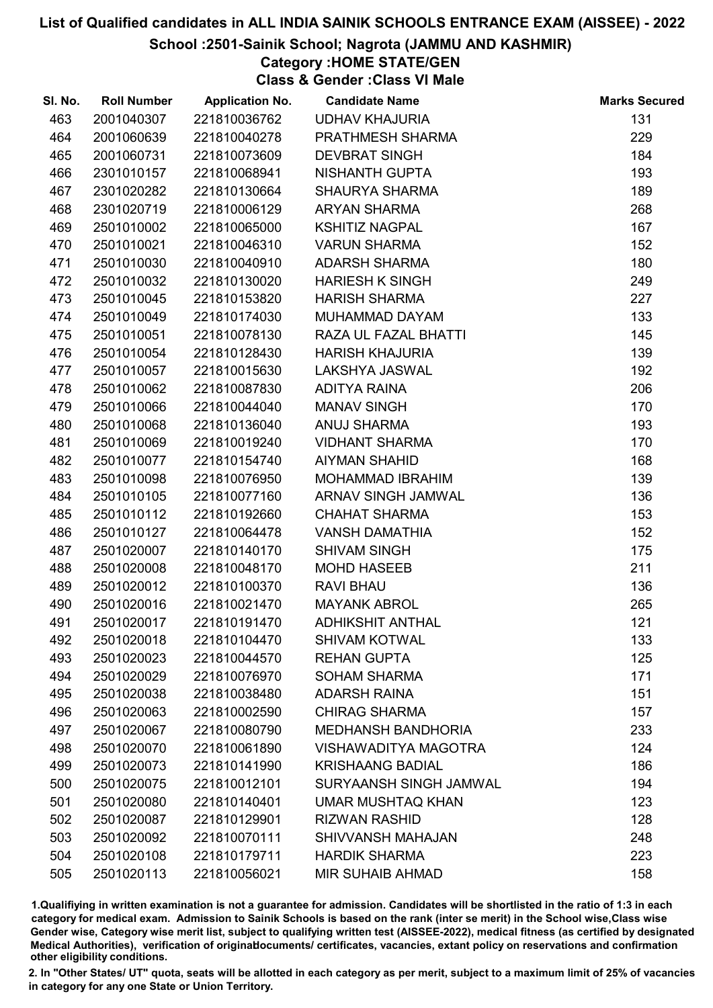#### School :2501-Sainik School; Nagrota (JAMMU AND KASHMIR)

Category :HOME STATE/GEN

Class & Gender :Class VI Male

| SI. No. | <b>Roll Number</b> | <b>Application No.</b> | <b>Candidate Name</b>       | <b>Marks Secured</b> |
|---------|--------------------|------------------------|-----------------------------|----------------------|
| 463     | 2001040307         | 221810036762           | <b>UDHAV KHAJURIA</b>       | 131                  |
| 464     | 2001060639         | 221810040278           | PRATHMESH SHARMA            | 229                  |
| 465     | 2001060731         | 221810073609           | <b>DEVBRAT SINGH</b>        | 184                  |
| 466     | 2301010157         | 221810068941           | <b>NISHANTH GUPTA</b>       | 193                  |
| 467     | 2301020282         | 221810130664           | <b>SHAURYA SHARMA</b>       | 189                  |
| 468     | 2301020719         | 221810006129           | <b>ARYAN SHARMA</b>         | 268                  |
| 469     | 2501010002         | 221810065000           | <b>KSHITIZ NAGPAL</b>       | 167                  |
| 470     | 2501010021         | 221810046310           | <b>VARUN SHARMA</b>         | 152                  |
| 471     | 2501010030         | 221810040910           | <b>ADARSH SHARMA</b>        | 180                  |
| 472     | 2501010032         | 221810130020           | <b>HARIESH K SINGH</b>      | 249                  |
| 473     | 2501010045         | 221810153820           | <b>HARISH SHARMA</b>        | 227                  |
| 474     | 2501010049         | 221810174030           | MUHAMMAD DAYAM              | 133                  |
| 475     | 2501010051         | 221810078130           | RAZA UL FAZAL BHATTI        | 145                  |
| 476     | 2501010054         | 221810128430           | <b>HARISH KHAJURIA</b>      | 139                  |
| 477     | 2501010057         | 221810015630           | <b>LAKSHYA JASWAL</b>       | 192                  |
| 478     | 2501010062         | 221810087830           | <b>ADITYA RAINA</b>         | 206                  |
| 479     | 2501010066         | 221810044040           | <b>MANAV SINGH</b>          | 170                  |
| 480     | 2501010068         | 221810136040           | <b>ANUJ SHARMA</b>          | 193                  |
| 481     | 2501010069         | 221810019240           | <b>VIDHANT SHARMA</b>       | 170                  |
| 482     | 2501010077         | 221810154740           | <b>AIYMAN SHAHID</b>        | 168                  |
| 483     | 2501010098         | 221810076950           | <b>MOHAMMAD IBRAHIM</b>     | 139                  |
| 484     | 2501010105         | 221810077160           | ARNAV SINGH JAMWAL          | 136                  |
| 485     | 2501010112         | 221810192660           | <b>CHAHAT SHARMA</b>        | 153                  |
| 486     | 2501010127         | 221810064478           | <b>VANSH DAMATHIA</b>       | 152                  |
| 487     | 2501020007         | 221810140170           | <b>SHIVAM SINGH</b>         | 175                  |
| 488     | 2501020008         | 221810048170           | <b>MOHD HASEEB</b>          | 211                  |
| 489     | 2501020012         | 221810100370           | <b>RAVI BHAU</b>            | 136                  |
| 490     | 2501020016         | 221810021470           | <b>MAYANK ABROL</b>         | 265                  |
| 491     | 2501020017         | 221810191470           | <b>ADHIKSHIT ANTHAL</b>     | 121                  |
| 492     | 2501020018         | 221810104470           | <b>SHIVAM KOTWAL</b>        | 133                  |
| 493     | 2501020023         | 221810044570           | <b>REHAN GUPTA</b>          | 125                  |
| 494     | 2501020029         | 221810076970           | <b>SOHAM SHARMA</b>         | 171                  |
| 495     | 2501020038         | 221810038480           | <b>ADARSH RAINA</b>         | 151                  |
| 496     | 2501020063         | 221810002590           | <b>CHIRAG SHARMA</b>        | 157                  |
| 497     | 2501020067         | 221810080790           | <b>MEDHANSH BANDHORIA</b>   | 233                  |
| 498     | 2501020070         | 221810061890           | <b>VISHAWADITYA MAGOTRA</b> | 124                  |
| 499     | 2501020073         | 221810141990           | <b>KRISHAANG BADIAL</b>     | 186                  |
| 500     | 2501020075         | 221810012101           | SURYAANSH SINGH JAMWAL      | 194                  |
| 501     | 2501020080         | 221810140401           | <b>UMAR MUSHTAQ KHAN</b>    | 123                  |
| 502     | 2501020087         | 221810129901           | <b>RIZWAN RASHID</b>        | 128                  |
| 503     | 2501020092         | 221810070111           | <b>SHIVVANSH MAHAJAN</b>    | 248                  |
| 504     | 2501020108         | 221810179711           | <b>HARDIK SHARMA</b>        | 223                  |
| 505     | 2501020113         | 221810056021           | <b>MIR SUHAIB AHMAD</b>     | 158                  |

1.Qualifiying in written examination is not a guarantee for admission. Candidates will be shortlisted in the ratio of 1:3 in each category for medical exam. Admission to Sainik Schools is based on the rank (inter se merit) in the School wise,Class wise Gender wise, Category wise merit list, subject to qualifying written test (AISSEE-2022), medical fitness (as certified by designated Medical Authorities), verification of originablocuments/ certificates, vacancies, extant policy on reservations and confirmation other eligibility conditions.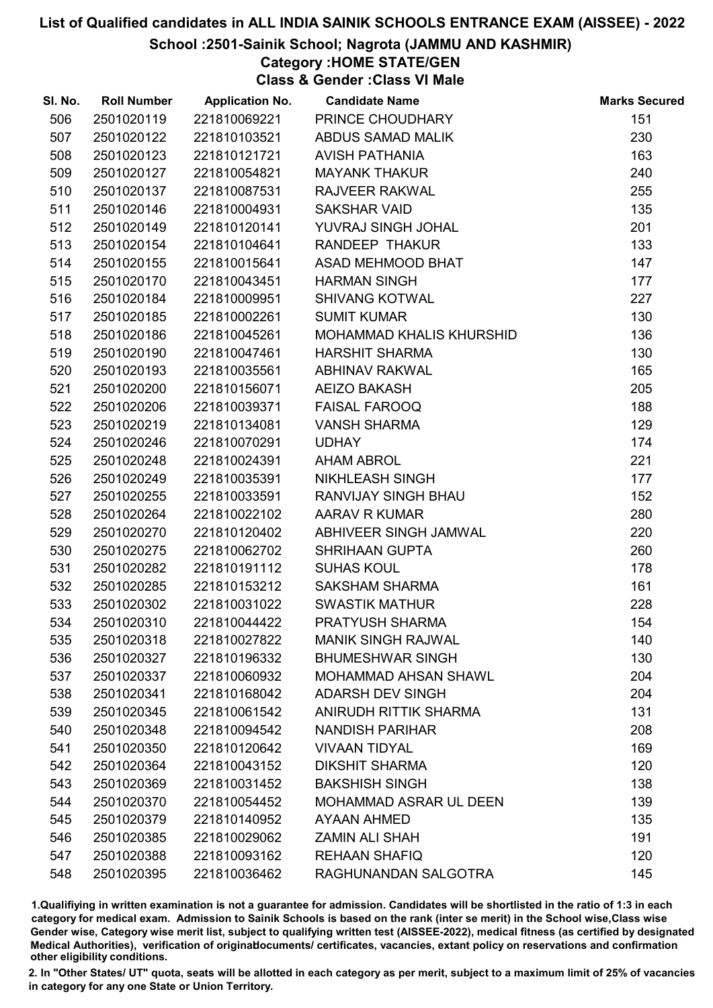#### School :2501-Sainik School; Nagrota (JAMMU AND KASHMIR)

Category :HOME STATE/GEN

Class & Gender :Class VI Male

| SI. No. | <b>Roll Number</b> | <b>Application No.</b> | <b>Candidate Name</b>           | <b>Marks Secured</b> |
|---------|--------------------|------------------------|---------------------------------|----------------------|
| 506     | 2501020119         | 221810069221           | PRINCE CHOUDHARY                | 151                  |
| 507     | 2501020122         | 221810103521           | ABDUS SAMAD MALIK               | 230                  |
| 508     | 2501020123         | 221810121721           | <b>AVISH PATHANIA</b>           | 163                  |
| 509     | 2501020127         | 221810054821           | <b>MAYANK THAKUR</b>            | 240                  |
| 510     | 2501020137         | 221810087531           | <b>RAJVEER RAKWAL</b>           | 255                  |
| 511     | 2501020146         | 221810004931           | <b>SAKSHAR VAID</b>             | 135                  |
| 512     | 2501020149         | 221810120141           | YUVRAJ SINGH JOHAL              | 201                  |
| 513     | 2501020154         | 221810104641           | <b>RANDEEP THAKUR</b>           | 133                  |
| 514     | 2501020155         | 221810015641           | ASAD MEHMOOD BHAT               | 147                  |
| 515     | 2501020170         | 221810043451           | <b>HARMAN SINGH</b>             | 177                  |
| 516     | 2501020184         | 221810009951           | <b>SHIVANG KOTWAL</b>           | 227                  |
| 517     | 2501020185         | 221810002261           | <b>SUMIT KUMAR</b>              | 130                  |
| 518     | 2501020186         | 221810045261           | <b>MOHAMMAD KHALIS KHURSHID</b> | 136                  |
| 519     | 2501020190         | 221810047461           | <b>HARSHIT SHARMA</b>           | 130                  |
| 520     | 2501020193         | 221810035561           | <b>ABHINAV RAKWAL</b>           | 165                  |
| 521     | 2501020200         | 221810156071           | <b>AEIZO BAKASH</b>             | 205                  |
| 522     | 2501020206         | 221810039371           | <b>FAISAL FAROOQ</b>            | 188                  |
| 523     | 2501020219         | 221810134081           | <b>VANSH SHARMA</b>             | 129                  |
| 524     | 2501020246         | 221810070291           | <b>UDHAY</b>                    | 174                  |
| 525     | 2501020248         | 221810024391           | <b>AHAM ABROL</b>               | 221                  |
| 526     | 2501020249         | 221810035391           | NIKHLEASH SINGH                 | 177                  |
| 527     | 2501020255         | 221810033591           | RANVIJAY SINGH BHAU             | 152                  |
| 528     | 2501020264         | 221810022102           | <b>AARAV R KUMAR</b>            | 280                  |
| 529     | 2501020270         | 221810120402           | ABHIVEER SINGH JAMWAL           | 220                  |
| 530     | 2501020275         | 221810062702           | <b>SHRIHAAN GUPTA</b>           | 260                  |
| 531     | 2501020282         | 221810191112           | <b>SUHAS KOUL</b>               | 178                  |
| 532     | 2501020285         | 221810153212           | <b>SAKSHAM SHARMA</b>           | 161                  |
| 533     | 2501020302         | 221810031022           | <b>SWASTIK MATHUR</b>           | 228                  |
| 534     | 2501020310         | 221810044422           | PRATYUSH SHARMA                 | 154                  |
| 535     | 2501020318         | 221810027822           | <b>MANIK SINGH RAJWAL</b>       | 140                  |
| 536     | 2501020327         | 221810196332           | <b>BHUMESHWAR SINGH</b>         | 130                  |
| 537     | 2501020337         | 221810060932           | <b>MOHAMMAD AHSAN SHAWL</b>     | 204                  |
| 538     | 2501020341         | 221810168042           | <b>ADARSH DEV SINGH</b>         | 204                  |
| 539     | 2501020345         | 221810061542           | ANIRUDH RITTIK SHARMA           | 131                  |
| 540     | 2501020348         | 221810094542           | <b>NANDISH PARIHAR</b>          | 208                  |
| 541     | 2501020350         | 221810120642           | <b>VIVAAN TIDYAL</b>            | 169                  |
| 542     | 2501020364         | 221810043152           | <b>DIKSHIT SHARMA</b>           | 120                  |
| 543     | 2501020369         | 221810031452           | <b>BAKSHISH SINGH</b>           | 138                  |
| 544     | 2501020370         | 221810054452           | <b>MOHAMMAD ASRAR UL DEEN</b>   | 139                  |
| 545     | 2501020379         | 221810140952           | AYAAN AHMED                     | 135                  |
| 546     | 2501020385         | 221810029062           | <b>ZAMIN ALI SHAH</b>           | 191                  |
| 547     | 2501020388         | 221810093162           | <b>REHAAN SHAFIQ</b>            | 120                  |
| 548     | 2501020395         | 221810036462           | RAGHUNANDAN SALGOTRA            | 145                  |

1.Qualifiying in written examination is not a guarantee for admission. Candidates will be shortlisted in the ratio of 1:3 in each category for medical exam. Admission to Sainik Schools is based on the rank (inter se merit) in the School wise,Class wise Gender wise, Category wise merit list, subject to qualifying written test (AISSEE-2022), medical fitness (as certified by designated Medical Authorities), verification of originablocuments/ certificates, vacancies, extant policy on reservations and confirmation other eligibility conditions.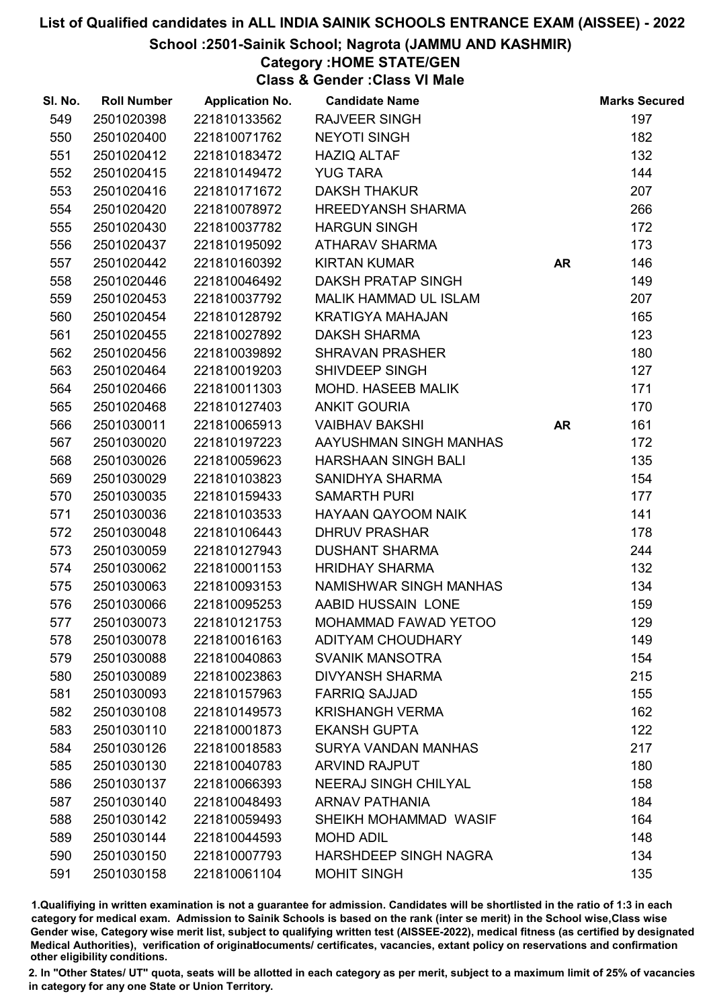School :2501-Sainik School; Nagrota (JAMMU AND KASHMIR)

# Category :HOME STATE/GEN

Class & Gender :Class VI Male

| SI. No. | <b>Roll Number</b> | <b>Application No.</b> | <b>Candidate Name</b>        |           | <b>Marks Secured</b> |
|---------|--------------------|------------------------|------------------------------|-----------|----------------------|
| 549     | 2501020398         | 221810133562           | <b>RAJVEER SINGH</b>         |           | 197                  |
| 550     | 2501020400         | 221810071762           | <b>NEYOTI SINGH</b>          |           | 182                  |
| 551     | 2501020412         | 221810183472           | <b>HAZIQ ALTAF</b>           |           | 132                  |
| 552     | 2501020415         | 221810149472           | <b>YUG TARA</b>              |           | 144                  |
| 553     | 2501020416         | 221810171672           | <b>DAKSH THAKUR</b>          |           | 207                  |
| 554     | 2501020420         | 221810078972           | <b>HREEDYANSH SHARMA</b>     |           | 266                  |
| 555     | 2501020430         | 221810037782           | <b>HARGUN SINGH</b>          |           | 172                  |
| 556     | 2501020437         | 221810195092           | ATHARAV SHARMA               |           | 173                  |
| 557     | 2501020442         | 221810160392           | <b>KIRTAN KUMAR</b>          | <b>AR</b> | 146                  |
| 558     | 2501020446         | 221810046492           | <b>DAKSH PRATAP SINGH</b>    |           | 149                  |
| 559     | 2501020453         | 221810037792           | <b>MALIK HAMMAD UL ISLAM</b> |           | 207                  |
| 560     | 2501020454         | 221810128792           | <b>KRATIGYA MAHAJAN</b>      |           | 165                  |
| 561     | 2501020455         | 221810027892           | <b>DAKSH SHARMA</b>          |           | 123                  |
| 562     | 2501020456         | 221810039892           | <b>SHRAVAN PRASHER</b>       |           | 180                  |
| 563     | 2501020464         | 221810019203           | <b>SHIVDEEP SINGH</b>        |           | 127                  |
| 564     | 2501020466         | 221810011303           | MOHD. HASEEB MALIK           |           | 171                  |
| 565     | 2501020468         | 221810127403           | <b>ANKIT GOURIA</b>          |           | 170                  |
| 566     | 2501030011         | 221810065913           | <b>VAIBHAV BAKSHI</b>        | <b>AR</b> | 161                  |
| 567     | 2501030020         | 221810197223           | AAYUSHMAN SINGH MANHAS       |           | 172                  |
| 568     | 2501030026         | 221810059623           | <b>HARSHAAN SINGH BALI</b>   |           | 135                  |
| 569     | 2501030029         | 221810103823           | SANIDHYA SHARMA              |           | 154                  |
| 570     | 2501030035         | 221810159433           | <b>SAMARTH PURI</b>          |           | 177                  |
| 571     | 2501030036         | 221810103533           | <b>HAYAAN QAYOOM NAIK</b>    |           | 141                  |
| 572     | 2501030048         | 221810106443           | <b>DHRUV PRASHAR</b>         |           | 178                  |
| 573     | 2501030059         | 221810127943           | <b>DUSHANT SHARMA</b>        |           | 244                  |
| 574     | 2501030062         | 221810001153           | <b>HRIDHAY SHARMA</b>        |           | 132                  |
| 575     | 2501030063         | 221810093153           | NAMISHWAR SINGH MANHAS       |           | 134                  |
| 576     | 2501030066         | 221810095253           | AABID HUSSAIN LONE           |           | 159                  |
| 577     | 2501030073         | 221810121753           | MOHAMMAD FAWAD YETOO         |           | 129                  |
| 578     | 2501030078         | 221810016163           | <b>ADITYAM CHOUDHARY</b>     |           | 149                  |
| 579     | 2501030088         | 221810040863           | <b>SVANIK MANSOTRA</b>       |           | 154                  |
| 580     | 2501030089         | 221810023863           | <b>DIVYANSH SHARMA</b>       |           | 215                  |
| 581     | 2501030093         | 221810157963           | <b>FARRIQ SAJJAD</b>         |           | 155                  |
| 582     | 2501030108         | 221810149573           | <b>KRISHANGH VERMA</b>       |           | 162                  |
| 583     | 2501030110         | 221810001873           | <b>EKANSH GUPTA</b>          |           | 122                  |
| 584     | 2501030126         | 221810018583           | <b>SURYA VANDAN MANHAS</b>   |           | 217                  |
| 585     | 2501030130         | 221810040783           | <b>ARVIND RAJPUT</b>         |           | 180                  |
| 586     | 2501030137         | 221810066393           | <b>NEERAJ SINGH CHILYAL</b>  |           | 158                  |
| 587     | 2501030140         | 221810048493           | <b>ARNAV PATHANIA</b>        |           | 184                  |
| 588     | 2501030142         | 221810059493           | SHEIKH MOHAMMAD WASIF        |           | 164                  |
| 589     | 2501030144         | 221810044593           | <b>MOHD ADIL</b>             |           | 148                  |
| 590     | 2501030150         | 221810007793           | <b>HARSHDEEP SINGH NAGRA</b> |           | 134                  |
| 591     | 2501030158         | 221810061104           | <b>MOHIT SINGH</b>           |           | 135                  |

1.Qualifiying in written examination is not a guarantee for admission. Candidates will be shortlisted in the ratio of 1:3 in each category for medical exam. Admission to Sainik Schools is based on the rank (inter se merit) in the School wise,Class wise Gender wise, Category wise merit list, subject to qualifying written test (AISSEE-2022), medical fitness (as certified by designated Medical Authorities), verification of originablocuments/ certificates, vacancies, extant policy on reservations and confirmation other eligibility conditions.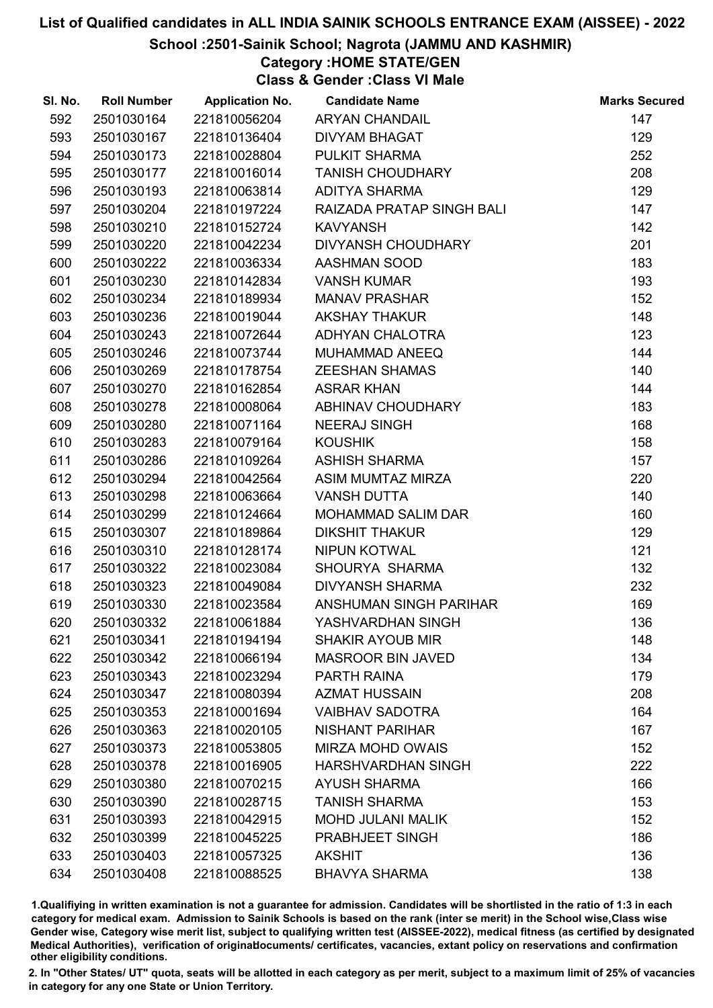School :2501-Sainik School; Nagrota (JAMMU AND KASHMIR)

# Category :HOME STATE/GEN

Class & Gender :Class VI Male

| SI. No. | <b>Roll Number</b> | <b>Application No.</b> | <b>Candidate Name</b>     | <b>Marks Secured</b> |
|---------|--------------------|------------------------|---------------------------|----------------------|
| 592     | 2501030164         | 221810056204           | <b>ARYAN CHANDAIL</b>     | 147                  |
| 593     | 2501030167         | 221810136404           | <b>DIVYAM BHAGAT</b>      | 129                  |
| 594     | 2501030173         | 221810028804           | PULKIT SHARMA             | 252                  |
| 595     | 2501030177         | 221810016014           | <b>TANISH CHOUDHARY</b>   | 208                  |
| 596     | 2501030193         | 221810063814           | <b>ADITYA SHARMA</b>      | 129                  |
| 597     | 2501030204         | 221810197224           | RAIZADA PRATAP SINGH BALI | 147                  |
| 598     | 2501030210         | 221810152724           | <b>KAVYANSH</b>           | 142                  |
| 599     | 2501030220         | 221810042234           | <b>DIVYANSH CHOUDHARY</b> | 201                  |
| 600     | 2501030222         | 221810036334           | <b>AASHMAN SOOD</b>       | 183                  |
| 601     | 2501030230         | 221810142834           | <b>VANSH KUMAR</b>        | 193                  |
| 602     | 2501030234         | 221810189934           | <b>MANAV PRASHAR</b>      | 152                  |
| 603     | 2501030236         | 221810019044           | <b>AKSHAY THAKUR</b>      | 148                  |
| 604     | 2501030243         | 221810072644           | ADHYAN CHALOTRA           | 123                  |
| 605     | 2501030246         | 221810073744           | MUHAMMAD ANEEQ            | 144                  |
| 606     | 2501030269         | 221810178754           | <b>ZEESHAN SHAMAS</b>     | 140                  |
| 607     | 2501030270         | 221810162854           | <b>ASRAR KHAN</b>         | 144                  |
| 608     | 2501030278         | 221810008064           | ABHINAV CHOUDHARY         | 183                  |
| 609     | 2501030280         | 221810071164           | <b>NEERAJ SINGH</b>       | 168                  |
| 610     | 2501030283         | 221810079164           | <b>KOUSHIK</b>            | 158                  |
| 611     | 2501030286         | 221810109264           | <b>ASHISH SHARMA</b>      | 157                  |
| 612     | 2501030294         | 221810042564           | ASIM MUMTAZ MIRZA         | 220                  |
| 613     | 2501030298         | 221810063664           | <b>VANSH DUTTA</b>        | 140                  |
| 614     | 2501030299         | 221810124664           | <b>MOHAMMAD SALIM DAR</b> | 160                  |
| 615     | 2501030307         | 221810189864           | <b>DIKSHIT THAKUR</b>     | 129                  |
| 616     | 2501030310         | 221810128174           | <b>NIPUN KOTWAL</b>       | 121                  |
| 617     | 2501030322         | 221810023084           | SHOURYA SHARMA            | 132                  |
| 618     | 2501030323         | 221810049084           | <b>DIVYANSH SHARMA</b>    | 232                  |
| 619     | 2501030330         | 221810023584           | ANSHUMAN SINGH PARIHAR    | 169                  |
| 620     | 2501030332         | 221810061884           | YASHVARDHAN SINGH         | 136                  |
| 621     | 2501030341         | 221810194194           | <b>SHAKIR AYOUB MIR</b>   | 148                  |
| 622     | 2501030342         | 221810066194           | <b>MASROOR BIN JAVED</b>  | 134                  |
| 623     | 2501030343         | 221810023294           | PARTH RAINA               | 179                  |
| 624     | 2501030347         | 221810080394           | <b>AZMAT HUSSAIN</b>      | 208                  |
| 625     | 2501030353         | 221810001694           | <b>VAIBHAV SADOTRA</b>    | 164                  |
| 626     | 2501030363         | 221810020105           | <b>NISHANT PARIHAR</b>    | 167                  |
| 627     | 2501030373         | 221810053805           | <b>MIRZA MOHD OWAIS</b>   | 152                  |
| 628     | 2501030378         | 221810016905           | <b>HARSHVARDHAN SINGH</b> | 222                  |
| 629     | 2501030380         | 221810070215           | <b>AYUSH SHARMA</b>       | 166                  |
| 630     | 2501030390         | 221810028715           | <b>TANISH SHARMA</b>      | 153                  |
| 631     | 2501030393         | 221810042915           | <b>MOHD JULANI MALIK</b>  | 152                  |
| 632     | 2501030399         | 221810045225           | PRABHJEET SINGH           | 186                  |
| 633     | 2501030403         | 221810057325           | <b>AKSHIT</b>             | 136                  |
| 634     | 2501030408         | 221810088525           | <b>BHAVYA SHARMA</b>      | 138                  |

1.Qualifiying in written examination is not a guarantee for admission. Candidates will be shortlisted in the ratio of 1:3 in each category for medical exam. Admission to Sainik Schools is based on the rank (inter se merit) in the School wise,Class wise Gender wise, Category wise merit list, subject to qualifying written test (AISSEE-2022), medical fitness (as certified by designated Medical Authorities), verification of originablocuments/ certificates, vacancies, extant policy on reservations and confirmation other eligibility conditions.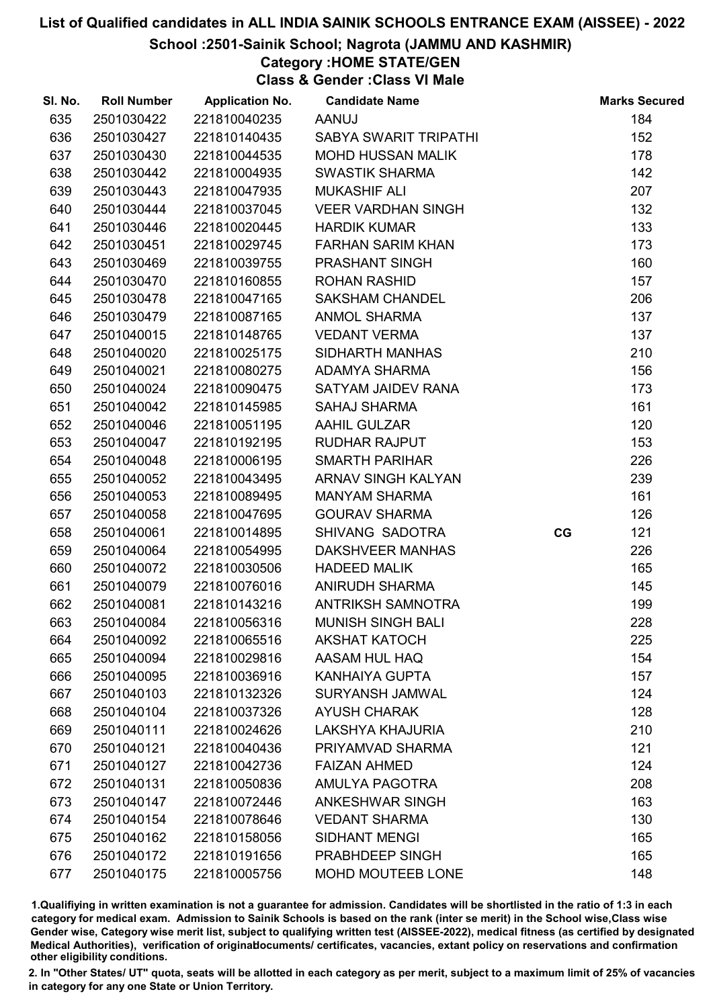#### School :2501-Sainik School; Nagrota (JAMMU AND KASHMIR)

Category :HOME STATE/GEN

Class & Gender :Class VI Male

| SI. No. | <b>Roll Number</b> | <b>Application No.</b> | <b>Candidate Name</b>     |    | <b>Marks Secured</b> |
|---------|--------------------|------------------------|---------------------------|----|----------------------|
| 635     | 2501030422         | 221810040235           | <b>AANUJ</b>              |    | 184                  |
| 636     | 2501030427         | 221810140435           | SABYA SWARIT TRIPATHI     |    | 152                  |
| 637     | 2501030430         | 221810044535           | <b>MOHD HUSSAN MALIK</b>  |    | 178                  |
| 638     | 2501030442         | 221810004935           | <b>SWASTIK SHARMA</b>     |    | 142                  |
| 639     | 2501030443         | 221810047935           | <b>MUKASHIF ALI</b>       |    | 207                  |
| 640     | 2501030444         | 221810037045           | <b>VEER VARDHAN SINGH</b> |    | 132                  |
| 641     | 2501030446         | 221810020445           | <b>HARDIK KUMAR</b>       |    | 133                  |
| 642     | 2501030451         | 221810029745           | <b>FARHAN SARIM KHAN</b>  |    | 173                  |
| 643     | 2501030469         | 221810039755           | PRASHANT SINGH            |    | 160                  |
| 644     | 2501030470         | 221810160855           | <b>ROHAN RASHID</b>       |    | 157                  |
| 645     | 2501030478         | 221810047165           | <b>SAKSHAM CHANDEL</b>    |    | 206                  |
| 646     | 2501030479         | 221810087165           | <b>ANMOL SHARMA</b>       |    | 137                  |
| 647     | 2501040015         | 221810148765           | <b>VEDANT VERMA</b>       |    | 137                  |
| 648     | 2501040020         | 221810025175           | SIDHARTH MANHAS           |    | 210                  |
| 649     | 2501040021         | 221810080275           | <b>ADAMYA SHARMA</b>      |    | 156                  |
| 650     | 2501040024         | 221810090475           | SATYAM JAIDEV RANA        |    | 173                  |
| 651     | 2501040042         | 221810145985           | <b>SAHAJ SHARMA</b>       |    | 161                  |
| 652     | 2501040046         | 221810051195           | <b>AAHIL GULZAR</b>       |    | 120                  |
| 653     | 2501040047         | 221810192195           | <b>RUDHAR RAJPUT</b>      |    | 153                  |
| 654     | 2501040048         | 221810006195           | <b>SMARTH PARIHAR</b>     |    | 226                  |
| 655     | 2501040052         | 221810043495           | ARNAV SINGH KALYAN        |    | 239                  |
| 656     | 2501040053         | 221810089495           | <b>MANYAM SHARMA</b>      |    | 161                  |
| 657     | 2501040058         | 221810047695           | <b>GOURAV SHARMA</b>      |    | 126                  |
| 658     | 2501040061         | 221810014895           | SHIVANG SADOTRA           | CG | 121                  |
| 659     | 2501040064         | 221810054995           | DAKSHVEER MANHAS          |    | 226                  |
| 660     | 2501040072         | 221810030506           | <b>HADEED MALIK</b>       |    | 165                  |
| 661     | 2501040079         | 221810076016           | ANIRUDH SHARMA            |    | 145                  |
| 662     | 2501040081         | 221810143216           | ANTRIKSH SAMNOTRA         |    | 199                  |
| 663     | 2501040084         | 221810056316           | <b>MUNISH SINGH BALI</b>  |    | 228                  |
| 664     | 2501040092         | 221810065516           | <b>AKSHAT KATOCH</b>      |    | 225                  |
| 665     | 2501040094         | 221810029816           | AASAM HUL HAQ             |    | 154                  |
| 666     | 2501040095         | 221810036916           | <b>KANHAIYA GUPTA</b>     |    | 157                  |
| 667     | 2501040103         | 221810132326           | <b>SURYANSH JAMWAL</b>    |    | 124                  |
| 668     | 2501040104         | 221810037326           | <b>AYUSH CHARAK</b>       |    | 128                  |
| 669     | 2501040111         | 221810024626           | <b>LAKSHYA KHAJURIA</b>   |    | 210                  |
| 670     | 2501040121         | 221810040436           | PRIYAMVAD SHARMA          |    | 121                  |
| 671     | 2501040127         | 221810042736           | <b>FAIZAN AHMED</b>       |    | 124                  |
| 672     | 2501040131         | 221810050836           | AMULYA PAGOTRA            |    | 208                  |
| 673     | 2501040147         | 221810072446           | <b>ANKESHWAR SINGH</b>    |    | 163                  |
| 674     | 2501040154         | 221810078646           | <b>VEDANT SHARMA</b>      |    | 130                  |
| 675     | 2501040162         | 221810158056           | <b>SIDHANT MENGI</b>      |    | 165                  |
| 676     | 2501040172         | 221810191656           | PRABHDEEP SINGH           |    | 165                  |
| 677     | 2501040175         | 221810005756           | <b>MOHD MOUTEEB LONE</b>  |    | 148                  |

1.Qualifiying in written examination is not a guarantee for admission. Candidates will be shortlisted in the ratio of 1:3 in each category for medical exam. Admission to Sainik Schools is based on the rank (inter se merit) in the School wise,Class wise Gender wise, Category wise merit list, subject to qualifying written test (AISSEE-2022), medical fitness (as certified by designated Medical Authorities), verification of originablocuments/ certificates, vacancies, extant policy on reservations and confirmation other eligibility conditions.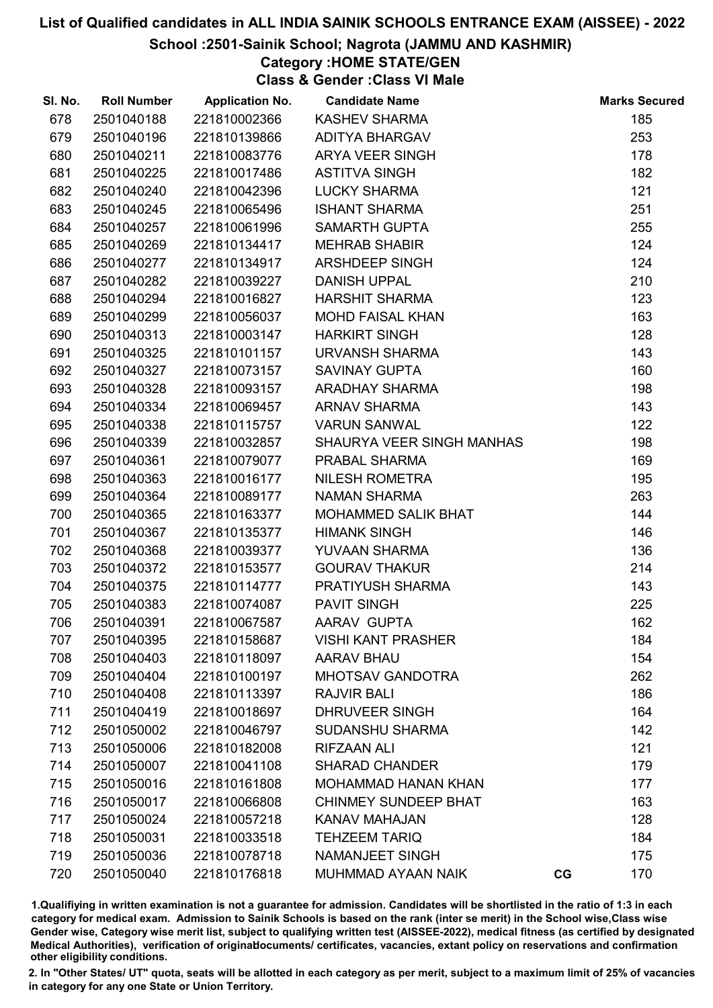#### School :2501-Sainik School; Nagrota (JAMMU AND KASHMIR)

### Category :HOME STATE/GEN

Class & Gender :Class VI Male

| SI. No. | <b>Roll Number</b> | <b>Application No.</b> | <b>Candidate Name</b>       |    | <b>Marks Secured</b> |
|---------|--------------------|------------------------|-----------------------------|----|----------------------|
| 678     | 2501040188         | 221810002366           | <b>KASHEV SHARMA</b>        |    | 185                  |
| 679     | 2501040196         | 221810139866           | <b>ADITYA BHARGAV</b>       |    | 253                  |
| 680     | 2501040211         | 221810083776           | <b>ARYA VEER SINGH</b>      |    | 178                  |
| 681     | 2501040225         | 221810017486           | <b>ASTITVA SINGH</b>        |    | 182                  |
| 682     | 2501040240         | 221810042396           | <b>LUCKY SHARMA</b>         |    | 121                  |
| 683     | 2501040245         | 221810065496           | <b>ISHANT SHARMA</b>        |    | 251                  |
| 684     | 2501040257         | 221810061996           | <b>SAMARTH GUPTA</b>        |    | 255                  |
| 685     | 2501040269         | 221810134417           | <b>MEHRAB SHABIR</b>        |    | 124                  |
| 686     | 2501040277         | 221810134917           | ARSHDEEP SINGH              |    | 124                  |
| 687     | 2501040282         | 221810039227           | <b>DANISH UPPAL</b>         |    | 210                  |
| 688     | 2501040294         | 221810016827           | <b>HARSHIT SHARMA</b>       |    | 123                  |
| 689     | 2501040299         | 221810056037           | <b>MOHD FAISAL KHAN</b>     |    | 163                  |
| 690     | 2501040313         | 221810003147           | <b>HARKIRT SINGH</b>        |    | 128                  |
| 691     | 2501040325         | 221810101157           | URVANSH SHARMA              |    | 143                  |
| 692     | 2501040327         | 221810073157           | <b>SAVINAY GUPTA</b>        |    | 160                  |
| 693     | 2501040328         | 221810093157           | ARADHAY SHARMA              |    | 198                  |
| 694     | 2501040334         | 221810069457           | <b>ARNAV SHARMA</b>         |    | 143                  |
| 695     | 2501040338         | 221810115757           | <b>VARUN SANWAL</b>         |    | 122                  |
| 696     | 2501040339         | 221810032857           | SHAURYA VEER SINGH MANHAS   |    | 198                  |
| 697     | 2501040361         | 221810079077           | PRABAL SHARMA               |    | 169                  |
| 698     | 2501040363         | 221810016177           | <b>NILESH ROMETRA</b>       |    | 195                  |
| 699     | 2501040364         | 221810089177           | <b>NAMAN SHARMA</b>         |    | 263                  |
| 700     | 2501040365         | 221810163377           | MOHAMMED SALIK BHAT         |    | 144                  |
| 701     | 2501040367         | 221810135377           | <b>HIMANK SINGH</b>         |    | 146                  |
| 702     | 2501040368         | 221810039377           | <b>YUVAAN SHARMA</b>        |    | 136                  |
| 703     | 2501040372         | 221810153577           | <b>GOURAV THAKUR</b>        |    | 214                  |
| 704     | 2501040375         | 221810114777           | PRATIYUSH SHARMA            |    | 143                  |
| 705     | 2501040383         | 221810074087           | <b>PAVIT SINGH</b>          |    | 225                  |
| 706     | 2501040391         | 221810067587           | AARAV GUPTA                 |    | 162                  |
| 707     | 2501040395         | 221810158687           | <b>VISHI KANT PRASHER</b>   |    | 184                  |
| 708     | 2501040403         | 221810118097           | <b>AARAV BHAU</b>           |    | 154                  |
| 709     | 2501040404         | 221810100197           | <b>MHOTSAV GANDOTRA</b>     |    | 262                  |
| 710     | 2501040408         | 221810113397           | <b>RAJVIR BALI</b>          |    | 186                  |
| 711     | 2501040419         | 221810018697           | <b>DHRUVEER SINGH</b>       |    | 164                  |
| 712     | 2501050002         | 221810046797           | <b>SUDANSHU SHARMA</b>      |    | 142                  |
| 713     | 2501050006         | 221810182008           | <b>RIFZAAN ALI</b>          |    | 121                  |
| 714     | 2501050007         | 221810041108           | <b>SHARAD CHANDER</b>       |    | 179                  |
| 715     | 2501050016         | 221810161808           | <b>MOHAMMAD HANAN KHAN</b>  |    | 177                  |
| 716     | 2501050017         | 221810066808           | <b>CHINMEY SUNDEEP BHAT</b> |    | 163                  |
| 717     | 2501050024         | 221810057218           | <b>KANAV MAHAJAN</b>        |    | 128                  |
| 718     | 2501050031         | 221810033518           | <b>TEHZEEM TARIQ</b>        |    | 184                  |
| 719     | 2501050036         | 221810078718           | NAMANJEET SINGH             |    | 175                  |
| 720     | 2501050040         | 221810176818           | MUHMMAD AYAAN NAIK          | CG | 170                  |

1.Qualifiying in written examination is not a guarantee for admission. Candidates will be shortlisted in the ratio of 1:3 in each category for medical exam. Admission to Sainik Schools is based on the rank (inter se merit) in the School wise,Class wise Gender wise, Category wise merit list, subject to qualifying written test (AISSEE-2022), medical fitness (as certified by designated Medical Authorities), verification of originablocuments/ certificates, vacancies, extant policy on reservations and confirmation other eligibility conditions.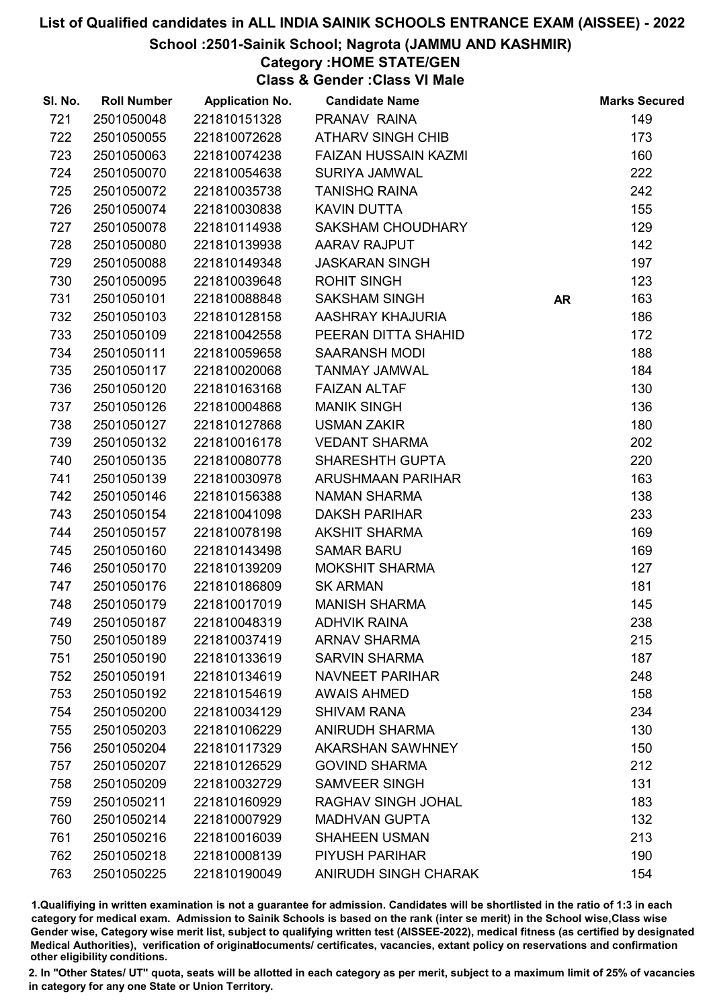#### School :2501-Sainik School; Nagrota (JAMMU AND KASHMIR)

Category :HOME STATE/GEN

Class & Gender :Class VI Male

| SI. No. | <b>Roll Number</b> | <b>Application No.</b> | <b>Candidate Name</b>       |           | <b>Marks Secured</b> |
|---------|--------------------|------------------------|-----------------------------|-----------|----------------------|
| 721     | 2501050048         | 221810151328           | PRANAV RAINA                |           | 149                  |
| 722     | 2501050055         | 221810072628           | <b>ATHARV SINGH CHIB</b>    |           | 173                  |
| 723     | 2501050063         | 221810074238           | <b>FAIZAN HUSSAIN KAZMI</b> |           | 160                  |
| 724     | 2501050070         | 221810054638           | <b>SURIYA JAMWAL</b>        |           | 222                  |
| 725     | 2501050072         | 221810035738           | <b>TANISHQ RAINA</b>        |           | 242                  |
| 726     | 2501050074         | 221810030838           | <b>KAVIN DUTTA</b>          |           | 155                  |
| 727     | 2501050078         | 221810114938           | <b>SAKSHAM CHOUDHARY</b>    |           | 129                  |
| 728     | 2501050080         | 221810139938           | AARAV RAJPUT                |           | 142                  |
| 729     | 2501050088         | 221810149348           | <b>JASKARAN SINGH</b>       |           | 197                  |
| 730     | 2501050095         | 221810039648           | <b>ROHIT SINGH</b>          |           | 123                  |
| 731     | 2501050101         | 221810088848           | <b>SAKSHAM SINGH</b>        | <b>AR</b> | 163                  |
| 732     | 2501050103         | 221810128158           | AASHRAY KHAJURIA            |           | 186                  |
| 733     | 2501050109         | 221810042558           | PEERAN DITTA SHAHID         |           | 172                  |
| 734     | 2501050111         | 221810059658           | <b>SAARANSH MODI</b>        |           | 188                  |
| 735     | 2501050117         | 221810020068           | <b>TANMAY JAMWAL</b>        |           | 184                  |
| 736     | 2501050120         | 221810163168           | <b>FAIZAN ALTAF</b>         |           | 130                  |
| 737     | 2501050126         | 221810004868           | <b>MANIK SINGH</b>          |           | 136                  |
| 738     | 2501050127         | 221810127868           | <b>USMAN ZAKIR</b>          |           | 180                  |
| 739     | 2501050132         | 221810016178           | <b>VEDANT SHARMA</b>        |           | 202                  |
| 740     | 2501050135         | 221810080778           | <b>SHARESHTH GUPTA</b>      |           | 220                  |
| 741     | 2501050139         | 221810030978           | ARUSHMAAN PARIHAR           |           | 163                  |
| 742     | 2501050146         | 221810156388           | <b>NAMAN SHARMA</b>         |           | 138                  |
| 743     | 2501050154         | 221810041098           | <b>DAKSH PARIHAR</b>        |           | 233                  |
| 744     | 2501050157         | 221810078198           | <b>AKSHIT SHARMA</b>        |           | 169                  |
| 745     | 2501050160         | 221810143498           | <b>SAMAR BARU</b>           |           | 169                  |
| 746     | 2501050170         | 221810139209           | <b>MOKSHIT SHARMA</b>       |           | 127                  |
| 747     | 2501050176         | 221810186809           | <b>SK ARMAN</b>             |           | 181                  |
| 748     | 2501050179         | 221810017019           | <b>MANISH SHARMA</b>        |           | 145                  |
| 749     | 2501050187         | 221810048319           | <b>ADHVIK RAINA</b>         |           | 238                  |
| 750     | 2501050189         | 221810037419           | <b>ARNAV SHARMA</b>         |           | 215                  |
| 751     | 2501050190         | 221810133619           | <b>SARVIN SHARMA</b>        |           | 187                  |
| 752     | 2501050191         | 221810134619           | <b>NAVNEET PARIHAR</b>      |           | 248                  |
| 753     | 2501050192         | 221810154619           | <b>AWAIS AHMED</b>          |           | 158                  |
| 754     | 2501050200         | 221810034129           | <b>SHIVAM RANA</b>          |           | 234                  |
| 755     | 2501050203         | 221810106229           | <b>ANIRUDH SHARMA</b>       |           | 130                  |
| 756     | 2501050204         | 221810117329           | <b>AKARSHAN SAWHNEY</b>     |           | 150                  |
| 757     | 2501050207         | 221810126529           | <b>GOVIND SHARMA</b>        |           | 212                  |
| 758     | 2501050209         | 221810032729           | <b>SAMVEER SINGH</b>        |           | 131                  |
| 759     | 2501050211         | 221810160929           | RAGHAV SINGH JOHAL          |           | 183                  |
| 760     | 2501050214         | 221810007929           | <b>MADHVAN GUPTA</b>        |           | 132                  |
| 761     | 2501050216         | 221810016039           | <b>SHAHEEN USMAN</b>        |           | 213                  |
| 762     | 2501050218         | 221810008139           | <b>PIYUSH PARIHAR</b>       |           | 190                  |
| 763     | 2501050225         | 221810190049           | ANIRUDH SINGH CHARAK        |           | 154                  |

1.Qualifiying in written examination is not a guarantee for admission. Candidates will be shortlisted in the ratio of 1:3 in each category for medical exam. Admission to Sainik Schools is based on the rank (inter se merit) in the School wise,Class wise Gender wise, Category wise merit list, subject to qualifying written test (AISSEE-2022), medical fitness (as certified by designated Medical Authorities), verification of originablocuments/ certificates, vacancies, extant policy on reservations and confirmation other eligibility conditions.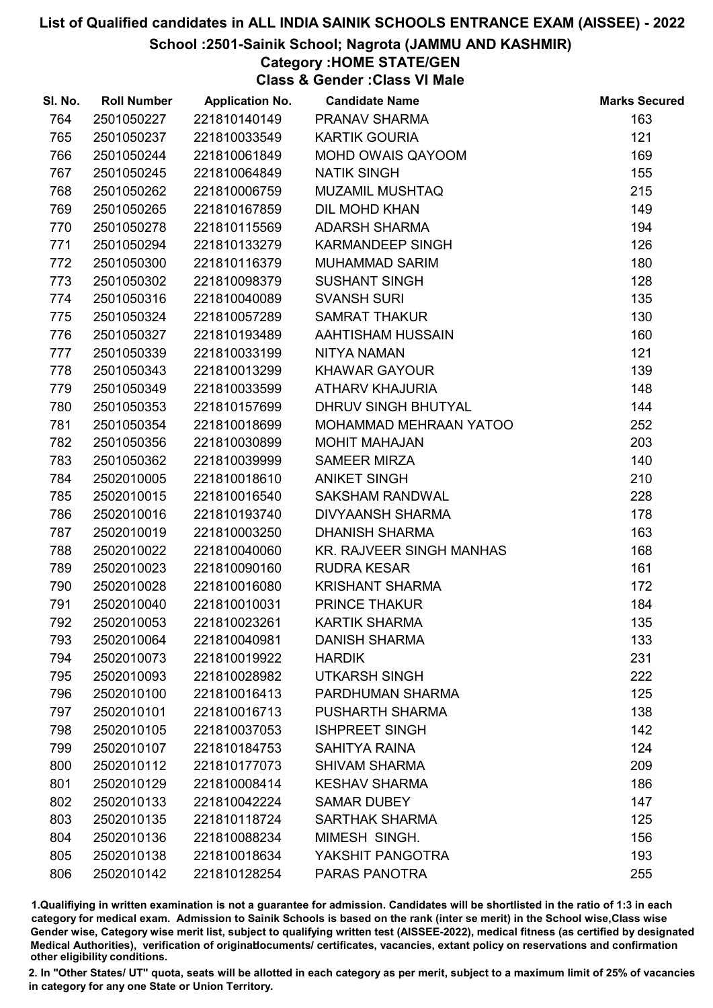#### School :2501-Sainik School; Nagrota (JAMMU AND KASHMIR)

Category :HOME STATE/GEN

Class & Gender :Class VI Male

| SI. No. | <b>Roll Number</b> | <b>Application No.</b> | <b>Candidate Name</b>           | <b>Marks Secured</b> |
|---------|--------------------|------------------------|---------------------------------|----------------------|
| 764     | 2501050227         | 221810140149           | PRANAV SHARMA                   | 163                  |
| 765     | 2501050237         | 221810033549           | <b>KARTIK GOURIA</b>            | 121                  |
| 766     | 2501050244         | 221810061849           | MOHD OWAIS QAYOOM               | 169                  |
| 767     | 2501050245         | 221810064849           | <b>NATIK SINGH</b>              | 155                  |
| 768     | 2501050262         | 221810006759           | <b>MUZAMIL MUSHTAQ</b>          | 215                  |
| 769     | 2501050265         | 221810167859           | DIL MOHD KHAN                   | 149                  |
| 770     | 2501050278         | 221810115569           | <b>ADARSH SHARMA</b>            | 194                  |
| 771     | 2501050294         | 221810133279           | <b>KARMANDEEP SINGH</b>         | 126                  |
| 772     | 2501050300         | 221810116379           | <b>MUHAMMAD SARIM</b>           | 180                  |
| 773     | 2501050302         | 221810098379           | <b>SUSHANT SINGH</b>            | 128                  |
| 774     | 2501050316         | 221810040089           | <b>SVANSH SURI</b>              | 135                  |
| 775     | 2501050324         | 221810057289           | <b>SAMRAT THAKUR</b>            | 130                  |
| 776     | 2501050327         | 221810193489           | AAHTISHAM HUSSAIN               | 160                  |
| 777     | 2501050339         | 221810033199           | NITYA NAMAN                     | 121                  |
| 778     | 2501050343         | 221810013299           | <b>KHAWAR GAYOUR</b>            | 139                  |
| 779     | 2501050349         | 221810033599           | <b>ATHARV KHAJURIA</b>          | 148                  |
| 780     | 2501050353         | 221810157699           | DHRUV SINGH BHUTYAL             | 144                  |
| 781     | 2501050354         | 221810018699           | MOHAMMAD MEHRAAN YATOO          | 252                  |
| 782     | 2501050356         | 221810030899           | <b>MOHIT MAHAJAN</b>            | 203                  |
| 783     | 2501050362         | 221810039999           | <b>SAMEER MIRZA</b>             | 140                  |
| 784     | 2502010005         | 221810018610           | <b>ANIKET SINGH</b>             | 210                  |
| 785     | 2502010015         | 221810016540           | <b>SAKSHAM RANDWAL</b>          | 228                  |
| 786     | 2502010016         | 221810193740           | <b>DIVYAANSH SHARMA</b>         | 178                  |
| 787     | 2502010019         | 221810003250           | <b>DHANISH SHARMA</b>           | 163                  |
| 788     | 2502010022         | 221810040060           | <b>KR. RAJVEER SINGH MANHAS</b> | 168                  |
| 789     | 2502010023         | 221810090160           | <b>RUDRA KESAR</b>              | 161                  |
| 790     | 2502010028         | 221810016080           | <b>KRISHANT SHARMA</b>          | 172                  |
| 791     | 2502010040         | 221810010031           | PRINCE THAKUR                   | 184                  |
| 792     | 2502010053         | 221810023261           | <b>KARTIK SHARMA</b>            | 135                  |
| 793     | 2502010064         | 221810040981           | <b>DANISH SHARMA</b>            | 133                  |
| 794     | 2502010073         | 221810019922           | <b>HARDIK</b>                   | 231                  |
| 795     | 2502010093         | 221810028982           | <b>UTKARSH SINGH</b>            | 222                  |
| 796     | 2502010100         | 221810016413           | PARDHUMAN SHARMA                | 125                  |
| 797     | 2502010101         | 221810016713           | <b>PUSHARTH SHARMA</b>          | 138                  |
| 798     | 2502010105         | 221810037053           | <b>ISHPREET SINGH</b>           | 142                  |
| 799     | 2502010107         | 221810184753           | <b>SAHITYA RAINA</b>            | 124                  |
| 800     | 2502010112         | 221810177073           | <b>SHIVAM SHARMA</b>            | 209                  |
| 801     | 2502010129         | 221810008414           | <b>KESHAV SHARMA</b>            | 186                  |
| 802     | 2502010133         | 221810042224           | <b>SAMAR DUBEY</b>              | 147                  |
| 803     | 2502010135         | 221810118724           | <b>SARTHAK SHARMA</b>           | 125                  |
| 804     | 2502010136         | 221810088234           | MIMESH SINGH.                   | 156                  |
| 805     | 2502010138         | 221810018634           | YAKSHIT PANGOTRA                | 193                  |
| 806     | 2502010142         | 221810128254           | PARAS PANOTRA                   | 255                  |

1.Qualifiying in written examination is not a guarantee for admission. Candidates will be shortlisted in the ratio of 1:3 in each category for medical exam. Admission to Sainik Schools is based on the rank (inter se merit) in the School wise,Class wise Gender wise, Category wise merit list, subject to qualifying written test (AISSEE-2022), medical fitness (as certified by designated Medical Authorities), verification of originablocuments/ certificates, vacancies, extant policy on reservations and confirmation other eligibility conditions.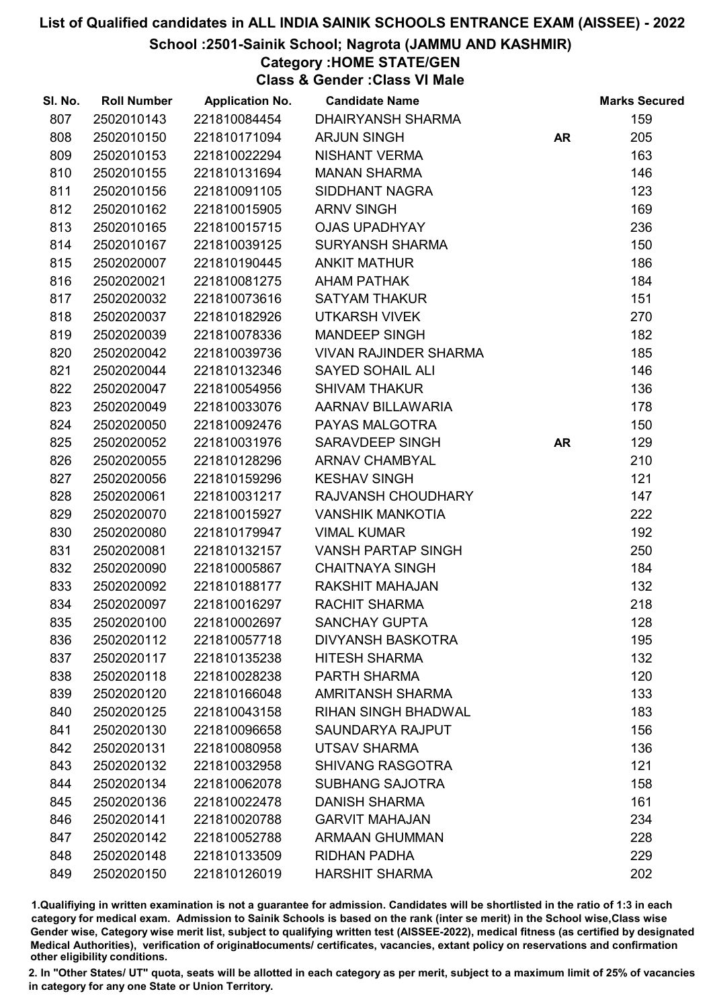#### School :2501-Sainik School; Nagrota (JAMMU AND KASHMIR)

Category :HOME STATE/GEN

Class & Gender :Class VI Male

| SI. No. | <b>Roll Number</b> | <b>Application No.</b> | <b>Candidate Name</b>        |           | <b>Marks Secured</b> |
|---------|--------------------|------------------------|------------------------------|-----------|----------------------|
| 807     | 2502010143         | 221810084454           | <b>DHAIRYANSH SHARMA</b>     |           | 159                  |
| 808     | 2502010150         | 221810171094           | <b>ARJUN SINGH</b>           | <b>AR</b> | 205                  |
| 809     | 2502010153         | 221810022294           | NISHANT VERMA                |           | 163                  |
| 810     | 2502010155         | 221810131694           | <b>MANAN SHARMA</b>          |           | 146                  |
| 811     | 2502010156         | 221810091105           | SIDDHANT NAGRA               |           | 123                  |
| 812     | 2502010162         | 221810015905           | <b>ARNV SINGH</b>            |           | 169                  |
| 813     | 2502010165         | 221810015715           | <b>OJAS UPADHYAY</b>         |           | 236                  |
| 814     | 2502010167         | 221810039125           | <b>SURYANSH SHARMA</b>       |           | 150                  |
| 815     | 2502020007         | 221810190445           | <b>ANKIT MATHUR</b>          |           | 186                  |
| 816     | 2502020021         | 221810081275           | <b>AHAM PATHAK</b>           |           | 184                  |
| 817     | 2502020032         | 221810073616           | <b>SATYAM THAKUR</b>         |           | 151                  |
| 818     | 2502020037         | 221810182926           | <b>UTKARSH VIVEK</b>         |           | 270                  |
| 819     | 2502020039         | 221810078336           | <b>MANDEEP SINGH</b>         |           | 182                  |
| 820     | 2502020042         | 221810039736           | <b>VIVAN RAJINDER SHARMA</b> |           | 185                  |
| 821     | 2502020044         | 221810132346           | <b>SAYED SOHAIL ALI</b>      |           | 146                  |
| 822     | 2502020047         | 221810054956           | <b>SHIVAM THAKUR</b>         |           | 136                  |
| 823     | 2502020049         | 221810033076           | AARNAV BILLAWARIA            |           | 178                  |
| 824     | 2502020050         | 221810092476           | PAYAS MALGOTRA               |           | 150                  |
| 825     | 2502020052         | 221810031976           | SARAVDEEP SINGH              | <b>AR</b> | 129                  |
| 826     | 2502020055         | 221810128296           | <b>ARNAV CHAMBYAL</b>        |           | 210                  |
| 827     | 2502020056         | 221810159296           | <b>KESHAV SINGH</b>          |           | 121                  |
| 828     | 2502020061         | 221810031217           | RAJVANSH CHOUDHARY           |           | 147                  |
| 829     | 2502020070         | 221810015927           | <b>VANSHIK MANKOTIA</b>      |           | 222                  |
| 830     | 2502020080         | 221810179947           | <b>VIMAL KUMAR</b>           |           | 192                  |
| 831     | 2502020081         | 221810132157           | <b>VANSH PARTAP SINGH</b>    |           | 250                  |
| 832     | 2502020090         | 221810005867           | <b>CHAITNAYA SINGH</b>       |           | 184                  |
| 833     | 2502020092         | 221810188177           | RAKSHIT MAHAJAN              |           | 132                  |
| 834     | 2502020097         | 221810016297           | RACHIT SHARMA                |           | 218                  |
| 835     | 2502020100         | 221810002697           | <b>SANCHAY GUPTA</b>         |           | 128                  |
| 836     | 2502020112         | 221810057718           | <b>DIVYANSH BASKOTRA</b>     |           | 195                  |
| 837     | 2502020117         | 221810135238           | <b>HITESH SHARMA</b>         |           | 132                  |
| 838     | 2502020118         | 221810028238           | PARTH SHARMA                 |           | 120                  |
| 839     | 2502020120         | 221810166048           | <b>AMRITANSH SHARMA</b>      |           | 133                  |
| 840     | 2502020125         | 221810043158           | <b>RIHAN SINGH BHADWAL</b>   |           | 183                  |
| 841     | 2502020130         | 221810096658           | <b>SAUNDARYA RAJPUT</b>      |           | 156                  |
| 842     | 2502020131         | 221810080958           | <b>UTSAV SHARMA</b>          |           | 136                  |
| 843     | 2502020132         | 221810032958           | <b>SHIVANG RASGOTRA</b>      |           | 121                  |
| 844     | 2502020134         | 221810062078           | <b>SUBHANG SAJOTRA</b>       |           | 158                  |
| 845     | 2502020136         | 221810022478           | <b>DANISH SHARMA</b>         |           | 161                  |
| 846     | 2502020141         | 221810020788           | <b>GARVIT MAHAJAN</b>        |           | 234                  |
| 847     | 2502020142         | 221810052788           | <b>ARMAAN GHUMMAN</b>        |           | 228                  |
| 848     | 2502020148         | 221810133509           | <b>RIDHAN PADHA</b>          |           | 229                  |
| 849     | 2502020150         | 221810126019           | <b>HARSHIT SHARMA</b>        |           | 202                  |

1.Qualifiying in written examination is not a guarantee for admission. Candidates will be shortlisted in the ratio of 1:3 in each category for medical exam. Admission to Sainik Schools is based on the rank (inter se merit) in the School wise,Class wise Gender wise, Category wise merit list, subject to qualifying written test (AISSEE-2022), medical fitness (as certified by designated Medical Authorities), verification of originablocuments/ certificates, vacancies, extant policy on reservations and confirmation other eligibility conditions.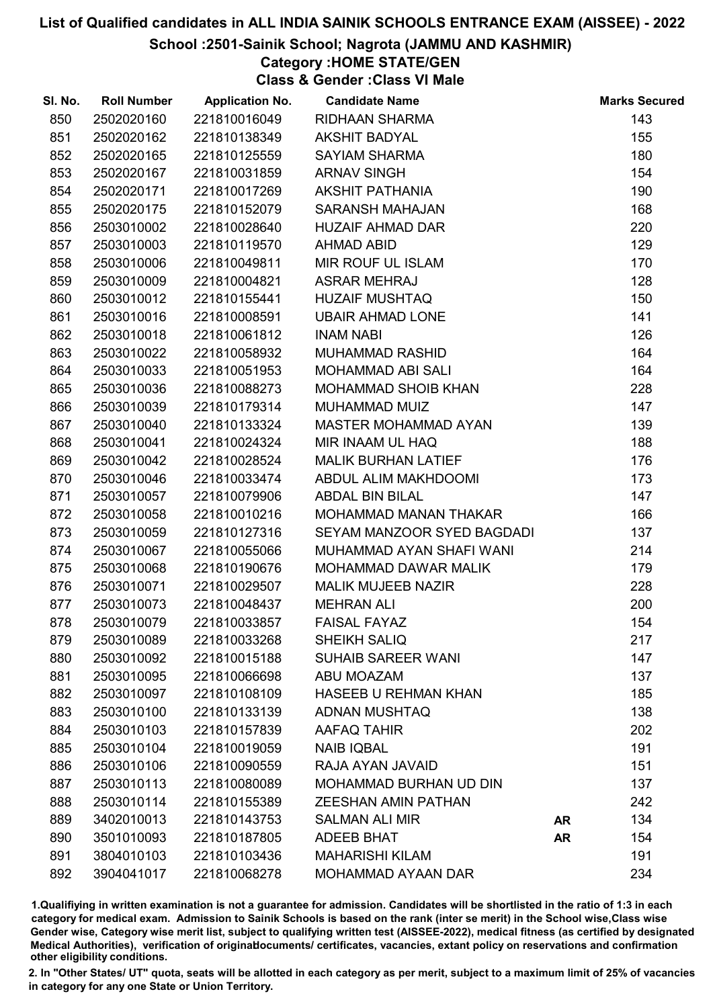#### School :2501-Sainik School; Nagrota (JAMMU AND KASHMIR)

Category :HOME STATE/GEN Class & Gender :Class VI Male

| SI. No. | <b>Roll Number</b> | <b>Application No.</b> | <b>Candidate Name</b>         |           | <b>Marks Secured</b> |
|---------|--------------------|------------------------|-------------------------------|-----------|----------------------|
| 850     | 2502020160         | 221810016049           | <b>RIDHAAN SHARMA</b>         |           | 143                  |
| 851     | 2502020162         | 221810138349           | <b>AKSHIT BADYAL</b>          |           | 155                  |
| 852     | 2502020165         | 221810125559           | <b>SAYIAM SHARMA</b>          |           | 180                  |
| 853     | 2502020167         | 221810031859           | <b>ARNAV SINGH</b>            |           | 154                  |
| 854     | 2502020171         | 221810017269           | <b>AKSHIT PATHANIA</b>        |           | 190                  |
| 855     | 2502020175         | 221810152079           | <b>SARANSH MAHAJAN</b>        |           | 168                  |
| 856     | 2503010002         | 221810028640           | <b>HUZAIF AHMAD DAR</b>       |           | 220                  |
| 857     | 2503010003         | 221810119570           | <b>AHMAD ABID</b>             |           | 129                  |
| 858     | 2503010006         | 221810049811           | MIR ROUF UL ISLAM             |           | 170                  |
| 859     | 2503010009         | 221810004821           | <b>ASRAR MEHRAJ</b>           |           | 128                  |
| 860     | 2503010012         | 221810155441           | <b>HUZAIF MUSHTAQ</b>         |           | 150                  |
| 861     | 2503010016         | 221810008591           | <b>UBAIR AHMAD LONE</b>       |           | 141                  |
| 862     | 2503010018         | 221810061812           | <b>INAM NABI</b>              |           | 126                  |
| 863     | 2503010022         | 221810058932           | <b>MUHAMMAD RASHID</b>        |           | 164                  |
| 864     | 2503010033         | 221810051953           | <b>MOHAMMAD ABI SALI</b>      |           | 164                  |
| 865     | 2503010036         | 221810088273           | MOHAMMAD SHOIB KHAN           |           | 228                  |
| 866     | 2503010039         | 221810179314           | MUHAMMAD MUIZ                 |           | 147                  |
| 867     | 2503010040         | 221810133324           | <b>MASTER MOHAMMAD AYAN</b>   |           | 139                  |
| 868     | 2503010041         | 221810024324           | MIR INAAM UL HAQ              |           | 188                  |
| 869     | 2503010042         | 221810028524           | <b>MALIK BURHAN LATIEF</b>    |           | 176                  |
| 870     | 2503010046         | 221810033474           | ABDUL ALIM MAKHDOOMI          |           | 173                  |
| 871     | 2503010057         | 221810079906           | <b>ABDAL BIN BILAL</b>        |           | 147                  |
| 872     | 2503010058         | 221810010216           | MOHAMMAD MANAN THAKAR         |           | 166                  |
| 873     | 2503010059         | 221810127316           | SEYAM MANZOOR SYED BAGDADI    |           | 137                  |
| 874     | 2503010067         | 221810055066           | MUHAMMAD AYAN SHAFI WANI      |           | 214                  |
| 875     | 2503010068         | 221810190676           | MOHAMMAD DAWAR MALIK          |           | 179                  |
| 876     | 2503010071         | 221810029507           | <b>MALIK MUJEEB NAZIR</b>     |           | 228                  |
| 877     | 2503010073         | 221810048437           | <b>MEHRAN ALI</b>             |           | 200                  |
| 878     | 2503010079         | 221810033857           | <b>FAISAL FAYAZ</b>           |           | 154                  |
| 879     | 2503010089         | 221810033268           | <b>SHEIKH SALIQ</b>           |           | 217                  |
| 880     | 2503010092         | 221810015188           | <b>SUHAIB SAREER WANI</b>     |           | 147                  |
| 881     | 2503010095         | 221810066698           | ABU MOAZAM                    |           | 137                  |
| 882     | 2503010097         | 221810108109           | <b>HASEEB U REHMAN KHAN</b>   |           | 185                  |
| 883     | 2503010100         | 221810133139           | <b>ADNAN MUSHTAQ</b>          |           | 138                  |
| 884     | 2503010103         | 221810157839           | AAFAQ TAHIR                   |           | 202                  |
| 885     | 2503010104         | 221810019059           | <b>NAIB IQBAL</b>             |           | 191                  |
| 886     | 2503010106         | 221810090559           | RAJA AYAN JAVAID              |           | 151                  |
| 887     | 2503010113         | 221810080089           | <b>MOHAMMAD BURHAN UD DIN</b> |           | 137                  |
| 888     | 2503010114         | 221810155389           | <b>ZEESHAN AMIN PATHAN</b>    |           | 242                  |
| 889     | 3402010013         | 221810143753           | <b>SALMAN ALI MIR</b>         | <b>AR</b> | 134                  |
| 890     | 3501010093         | 221810187805           | ADEEB BHAT                    | <b>AR</b> | 154                  |
| 891     | 3804010103         | 221810103436           | <b>MAHARISHI KILAM</b>        |           | 191                  |
| 892     | 3904041017         | 221810068278           | MOHAMMAD AYAAN DAR            |           | 234                  |

1.Qualifiying in written examination is not a guarantee for admission. Candidates will be shortlisted in the ratio of 1:3 in each category for medical exam. Admission to Sainik Schools is based on the rank (inter se merit) in the School wise,Class wise Gender wise, Category wise merit list, subject to qualifying written test (AISSEE-2022), medical fitness (as certified by designated Medical Authorities), verification of originablocuments/ certificates, vacancies, extant policy on reservations and confirmation other eligibility conditions.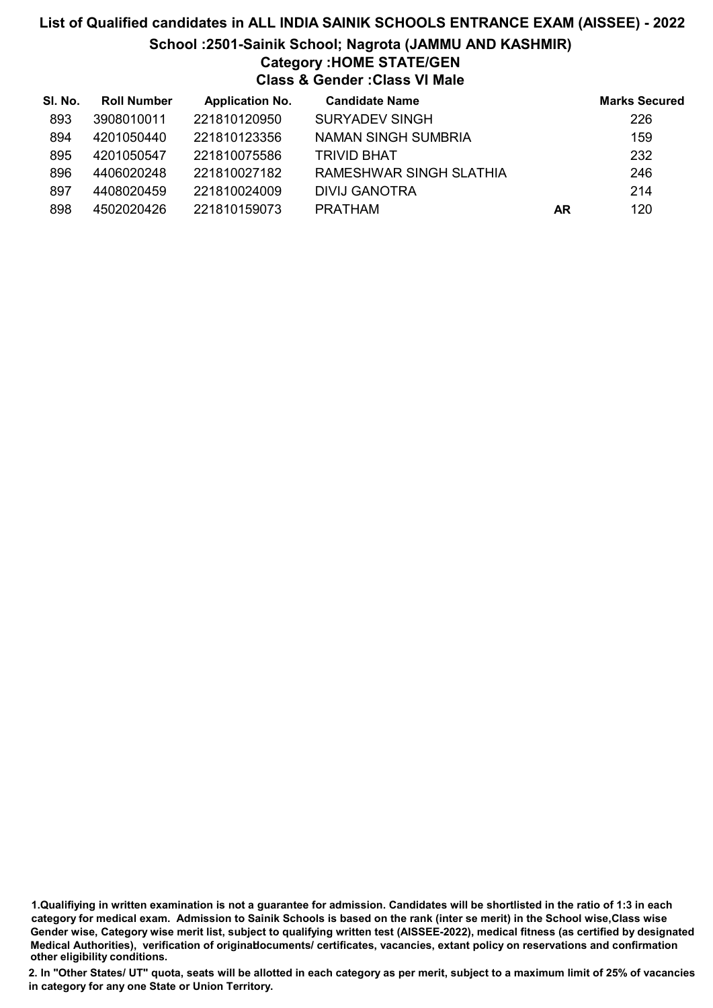# List of Qualified candidates in ALL INDIA SAINIK SCHOOLS ENTRANCE EXAM (AISSEE) - 2022 School :2501-Sainik School; Nagrota (JAMMU AND KASHMIR) Category :HOME STATE/GEN Class & Gender :Class VI Male

| SI. No. | <b>Roll Number</b> | <b>Application No.</b> | <b>Candidate Name</b>   |    | <b>Marks Secured</b> |
|---------|--------------------|------------------------|-------------------------|----|----------------------|
| 893     | 3908010011         | 221810120950           | <b>SURYADEV SINGH</b>   |    | 226                  |
| 894     | 4201050440         | 221810123356           | NAMAN SINGH SUMBRIA     |    | 159                  |
| 895     | 4201050547         | 221810075586           | <b>TRIVID BHAT</b>      |    | 232                  |
| 896     | 4406020248         | 221810027182           | RAMESHWAR SINGH SLATHIA |    | 246                  |
| 897     | 4408020459         | 221810024009           | DIVIJ GANOTRA           |    | 214                  |
| 898     | 4502020426         | 221810159073           | PRATHAM                 | AR | 120                  |

1.Qualifiying in written examination is not a guarantee for admission. Candidates will be shortlisted in the ratio of 1:3 in each category for medical exam. Admission to Sainik Schools is based on the rank (inter se merit) in the School wise,Class wise Gender wise, Category wise merit list, subject to qualifying written test (AISSEE-2022), medical fitness (as certified by designated Medical Authorities), verification of originablocuments/ certificates, vacancies, extant policy on reservations and confirmation other eligibility conditions.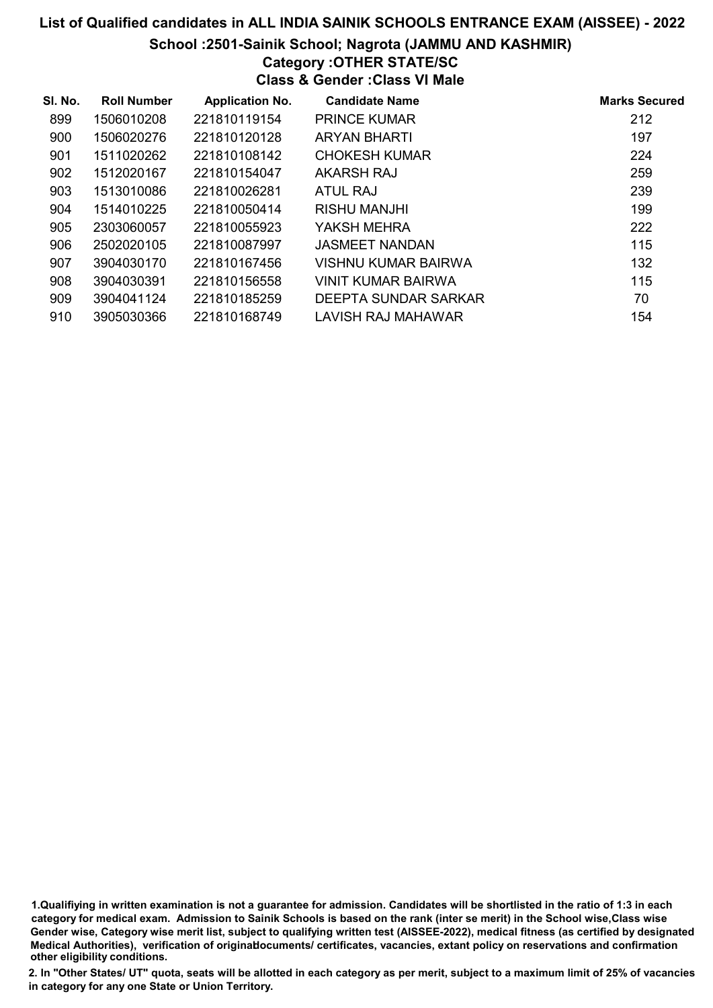#### School :2501-Sainik School; Nagrota (JAMMU AND KASHMIR) Category :OTHER STATE/SC

Class & Gender :Class VI Male

| SI. No. | <b>Roll Number</b> | <b>Application No.</b> | <b>Candidate Name</b>      | <b>Marks Secured</b> |
|---------|--------------------|------------------------|----------------------------|----------------------|
| 899     | 1506010208         | 221810119154           | <b>PRINCE KUMAR</b>        | 212                  |
| 900     | 1506020276         | 221810120128           | <b>ARYAN BHARTI</b>        | 197                  |
| 901     | 1511020262         | 221810108142           | <b>CHOKESH KUMAR</b>       | 224                  |
| 902     | 1512020167         | 221810154047           | AKARSH RAJ                 | 259                  |
| 903     | 1513010086         | 221810026281           | ATUL RAJ                   | 239                  |
| 904     | 1514010225         | 221810050414           | <b>RISHU MANJHI</b>        | 199                  |
| 905     | 2303060057         | 221810055923           | YAKSH MEHRA                | 222                  |
| 906     | 2502020105         | 221810087997           | <b>JASMEET NANDAN</b>      | 115                  |
| 907     | 3904030170         | 221810167456           | <b>VISHNU KUMAR BAIRWA</b> | 132                  |
| 908     | 3904030391         | 221810156558           | <b>VINIT KUMAR BAIRWA</b>  | 115                  |
| 909     | 3904041124         | 221810185259           | DEEPTA SUNDAR SARKAR       | 70                   |
| 910     | 3905030366         | 221810168749           | LAVISH RAJ MAHAWAR         | 154                  |

1.Qualifiying in written examination is not a guarantee for admission. Candidates will be shortlisted in the ratio of 1:3 in each category for medical exam. Admission to Sainik Schools is based on the rank (inter se merit) in the School wise,Class wise Gender wise, Category wise merit list, subject to qualifying written test (AISSEE-2022), medical fitness (as certified by designated Medical Authorities), verification of originablocuments/ certificates, vacancies, extant policy on reservations and confirmation other eligibility conditions.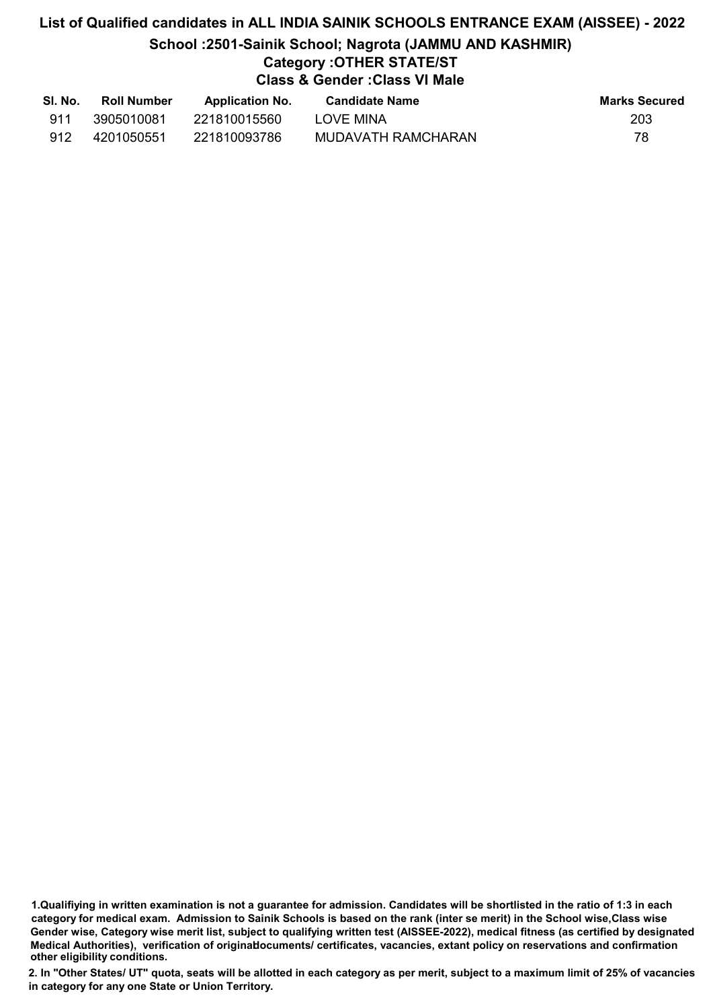# List of Qualified candidates in ALL INDIA SAINIK SCHOOLS ENTRANCE EXAM (AISSEE) - 2022 School :2501-Sainik School; Nagrota (JAMMU AND KASHMIR) Category :OTHER STATE/ST Class & Gender :Class VI Male

| SI. No. | <b>Roll Number</b> | <b>Application No.</b> | <b>Candidate Name</b> | <b>Marks Secured</b> |
|---------|--------------------|------------------------|-----------------------|----------------------|
| 911     | 3905010081         | 221810015560           | LOVE MINA             | 203                  |
| 912     | 4201050551         | 221810093786           | MUDAVATH RAMCHARAN    | 78                   |

<sup>1.</sup>Qualifiying in written examination is not a guarantee for admission. Candidates will be shortlisted in the ratio of 1:3 in each category for medical exam. Admission to Sainik Schools is based on the rank (inter se merit) in the School wise,Class wise Gender wise, Category wise merit list, subject to qualifying written test (AISSEE-2022), medical fitness (as certified by designated Medical Authorities), verification of originablocuments/ certificates, vacancies, extant policy on reservations and confirmation other eligibility conditions.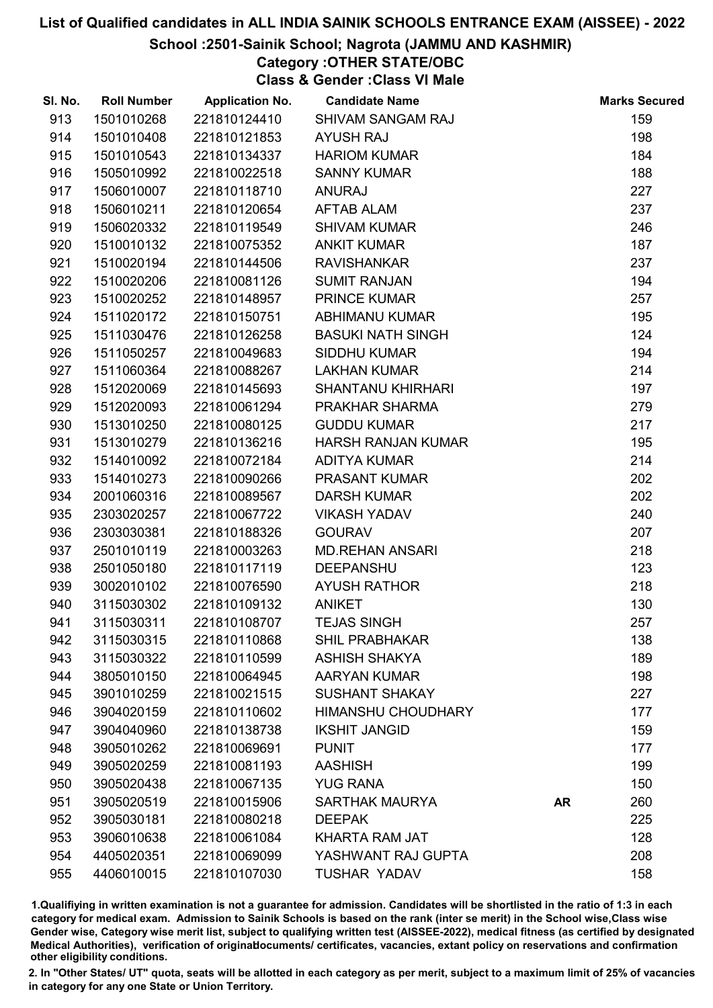#### School :2501-Sainik School; Nagrota (JAMMU AND KASHMIR)

### Category :OTHER STATE/OBC

Class & Gender :Class VI Male

| SI. No. | <b>Roll Number</b> | <b>Application No.</b> | <b>Candidate Name</b>     |           | <b>Marks Secured</b> |
|---------|--------------------|------------------------|---------------------------|-----------|----------------------|
| 913     | 1501010268         | 221810124410           | <b>SHIVAM SANGAM RAJ</b>  |           | 159                  |
| 914     | 1501010408         | 221810121853           | <b>AYUSH RAJ</b>          |           | 198                  |
| 915     | 1501010543         | 221810134337           | <b>HARIOM KUMAR</b>       |           | 184                  |
| 916     | 1505010992         | 221810022518           | <b>SANNY KUMAR</b>        |           | 188                  |
| 917     | 1506010007         | 221810118710           | <b>ANURAJ</b>             |           | 227                  |
| 918     | 1506010211         | 221810120654           | <b>AFTAB ALAM</b>         |           | 237                  |
| 919     | 1506020332         | 221810119549           | <b>SHIVAM KUMAR</b>       |           | 246                  |
| 920     | 1510010132         | 221810075352           | <b>ANKIT KUMAR</b>        |           | 187                  |
| 921     | 1510020194         | 221810144506           | <b>RAVISHANKAR</b>        |           | 237                  |
| 922     | 1510020206         | 221810081126           | <b>SUMIT RANJAN</b>       |           | 194                  |
| 923     | 1510020252         | 221810148957           | <b>PRINCE KUMAR</b>       |           | 257                  |
| 924     | 1511020172         | 221810150751           | <b>ABHIMANU KUMAR</b>     |           | 195                  |
| 925     | 1511030476         | 221810126258           | <b>BASUKI NATH SINGH</b>  |           | 124                  |
| 926     | 1511050257         | 221810049683           | <b>SIDDHU KUMAR</b>       |           | 194                  |
| 927     | 1511060364         | 221810088267           | <b>LAKHAN KUMAR</b>       |           | 214                  |
| 928     | 1512020069         | 221810145693           | <b>SHANTANU KHIRHARI</b>  |           | 197                  |
| 929     | 1512020093         | 221810061294           | PRAKHAR SHARMA            |           | 279                  |
| 930     | 1513010250         | 221810080125           | <b>GUDDU KUMAR</b>        |           | 217                  |
| 931     | 1513010279         | 221810136216           | <b>HARSH RANJAN KUMAR</b> |           | 195                  |
| 932     | 1514010092         | 221810072184           | <b>ADITYA KUMAR</b>       |           | 214                  |
| 933     | 1514010273         | 221810090266           | <b>PRASANT KUMAR</b>      |           | 202                  |
| 934     | 2001060316         | 221810089567           | <b>DARSH KUMAR</b>        |           | 202                  |
| 935     | 2303020257         | 221810067722           | <b>VIKASH YADAV</b>       |           | 240                  |
| 936     | 2303030381         | 221810188326           | <b>GOURAV</b>             |           | 207                  |
| 937     | 2501010119         | 221810003263           | <b>MD.REHAN ANSARI</b>    |           | 218                  |
| 938     | 2501050180         | 221810117119           | <b>DEEPANSHU</b>          |           | 123                  |
| 939     | 3002010102         | 221810076590           | <b>AYUSH RATHOR</b>       |           | 218                  |
| 940     | 3115030302         | 221810109132           | <b>ANIKET</b>             |           | 130                  |
| 941     | 3115030311         | 221810108707           | <b>TEJAS SINGH</b>        |           | 257                  |
| 942     | 3115030315         | 221810110868           | <b>SHIL PRABHAKAR</b>     |           | 138                  |
| 943     | 3115030322         | 221810110599           | <b>ASHISH SHAKYA</b>      |           | 189                  |
| 944     | 3805010150         | 221810064945           | <b>AARYAN KUMAR</b>       |           | 198                  |
| 945     | 3901010259         | 221810021515           | <b>SUSHANT SHAKAY</b>     |           | 227                  |
| 946     | 3904020159         | 221810110602           | <b>HIMANSHU CHOUDHARY</b> |           | 177                  |
| 947     | 3904040960         | 221810138738           | <b>IKSHIT JANGID</b>      |           | 159                  |
| 948     | 3905010262         | 221810069691           | <b>PUNIT</b>              |           | 177                  |
| 949     | 3905020259         | 221810081193           | <b>AASHISH</b>            |           | 199                  |
| 950     | 3905020438         | 221810067135           | <b>YUG RANA</b>           |           | 150                  |
| 951     | 3905020519         | 221810015906           | <b>SARTHAK MAURYA</b>     | <b>AR</b> | 260                  |
| 952     | 3905030181         | 221810080218           | <b>DEEPAK</b>             |           | 225                  |
| 953     | 3906010638         | 221810061084           | <b>KHARTA RAM JAT</b>     |           | 128                  |
| 954     | 4405020351         | 221810069099           | YASHWANT RAJ GUPTA        |           | 208                  |
| 955     | 4406010015         | 221810107030           | <b>TUSHAR YADAV</b>       |           | 158                  |

1.Qualifiying in written examination is not a guarantee for admission. Candidates will be shortlisted in the ratio of 1:3 in each category for medical exam. Admission to Sainik Schools is based on the rank (inter se merit) in the School wise,Class wise Gender wise, Category wise merit list, subject to qualifying written test (AISSEE-2022), medical fitness (as certified by designated Medical Authorities), verification of originablocuments/ certificates, vacancies, extant policy on reservations and confirmation other eligibility conditions.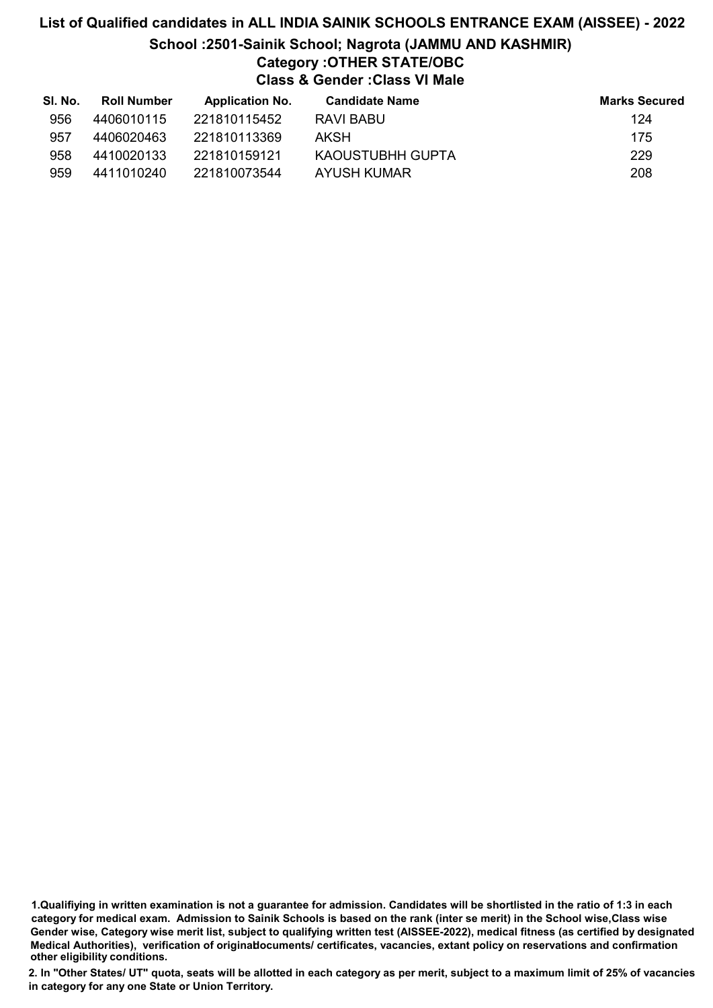# List of Qualified candidates in ALL INDIA SAINIK SCHOOLS ENTRANCE EXAM (AISSEE) - 2022 School :2501-Sainik School; Nagrota (JAMMU AND KASHMIR) Category :OTHER STATE/OBC Class & Gender :Class VI Male

| SI. No. | <b>Roll Number</b> | <b>Application No.</b> | <b>Candidate Name</b> | <b>Marks Secured</b> |
|---------|--------------------|------------------------|-----------------------|----------------------|
| 956     | 4406010115         | 221810115452           | RAVI BABU             | 124                  |
| 957     | 4406020463         | 221810113369           | AKSH                  | 175                  |
| 958     | 4410020133         | 221810159121           | KAOUSTUBHH GUPTA      | 229                  |
| 959     | 4411010240         | 221810073544           | AYUSH KUMAR           | 208                  |

1.Qualifiying in written examination is not a guarantee for admission. Candidates will be shortlisted in the ratio of 1:3 in each category for medical exam. Admission to Sainik Schools is based on the rank (inter se merit) in the School wise,Class wise Gender wise, Category wise merit list, subject to qualifying written test (AISSEE-2022), medical fitness (as certified by designated Medical Authorities), verification of originablocuments/ certificates, vacancies, extant policy on reservations and confirmation other eligibility conditions.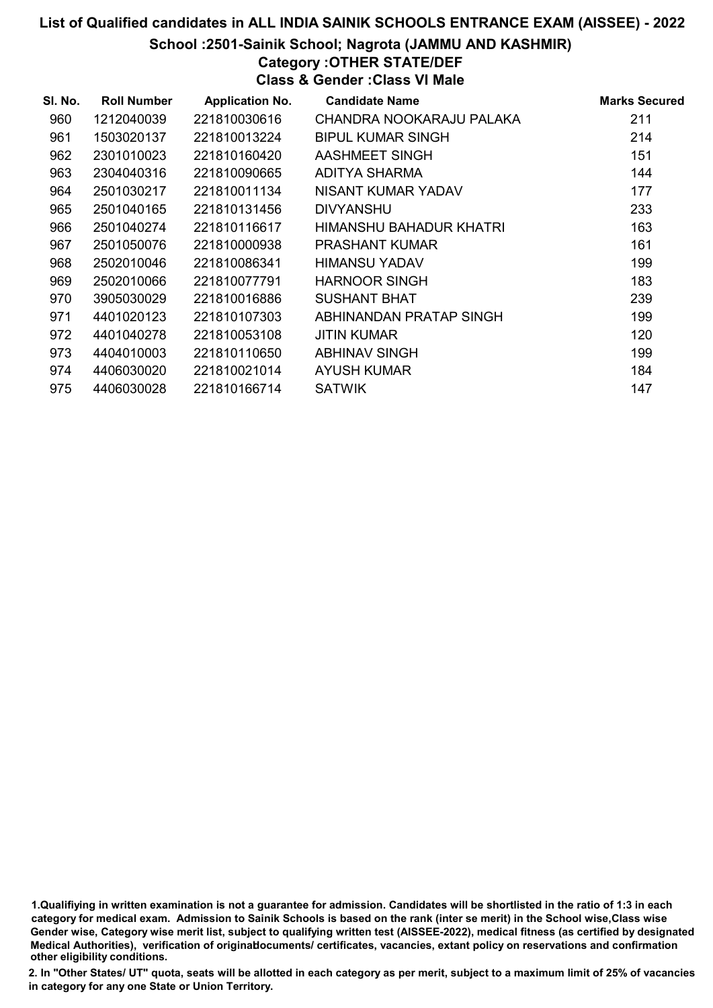School :2501-Sainik School; Nagrota (JAMMU AND KASHMIR)

# Category :OTHER STATE/DEF

Class & Gender :Class VI Male

| SI. No. | <b>Roll Number</b> | <b>Application No.</b> | <b>Candidate Name</b>    | <b>Marks Secured</b> |
|---------|--------------------|------------------------|--------------------------|----------------------|
| 960     | 1212040039         | 221810030616           | CHANDRA NOOKARAJU PALAKA | 211                  |
| 961     | 1503020137         | 221810013224           | <b>BIPUL KUMAR SINGH</b> | 214                  |
| 962     | 2301010023         | 221810160420           | AASHMEET SINGH           | 151                  |
| 963     | 2304040316         | 221810090665           | ADITYA SHARMA            | 144                  |
| 964     | 2501030217         | 221810011134           | NISANT KUMAR YADAV       | 177                  |
| 965     | 2501040165         | 221810131456           | <b>DIVYANSHU</b>         | 233                  |
| 966     | 2501040274         | 221810116617           | HIMANSHU BAHADUR KHATRI  | 163                  |
| 967     | 2501050076         | 221810000938           | <b>PRASHANT KUMAR</b>    | 161                  |
| 968     | 2502010046         | 221810086341           | <b>HIMANSU YADAV</b>     | 199                  |
| 969     | 2502010066         | 221810077791           | <b>HARNOOR SINGH</b>     | 183                  |
| 970     | 3905030029         | 221810016886           | <b>SUSHANT BHAT</b>      | 239                  |
| 971     | 4401020123         | 221810107303           | ABHINANDAN PRATAP SINGH  | 199                  |
| 972     | 4401040278         | 221810053108           | <b>JITIN KUMAR</b>       | 120                  |
| 973     | 4404010003         | 221810110650           | <b>ABHINAV SINGH</b>     | 199                  |
| 974     | 4406030020         | 221810021014           | <b>AYUSH KUMAR</b>       | 184                  |
| 975     | 4406030028         | 221810166714           | <b>SATWIK</b>            | 147                  |

1.Qualifiying in written examination is not a guarantee for admission. Candidates will be shortlisted in the ratio of 1:3 in each category for medical exam. Admission to Sainik Schools is based on the rank (inter se merit) in the School wise,Class wise Gender wise, Category wise merit list, subject to qualifying written test (AISSEE-2022), medical fitness (as certified by designated Medical Authorities), verification of originablocuments/ certificates, vacancies, extant policy on reservations and confirmation other eligibility conditions.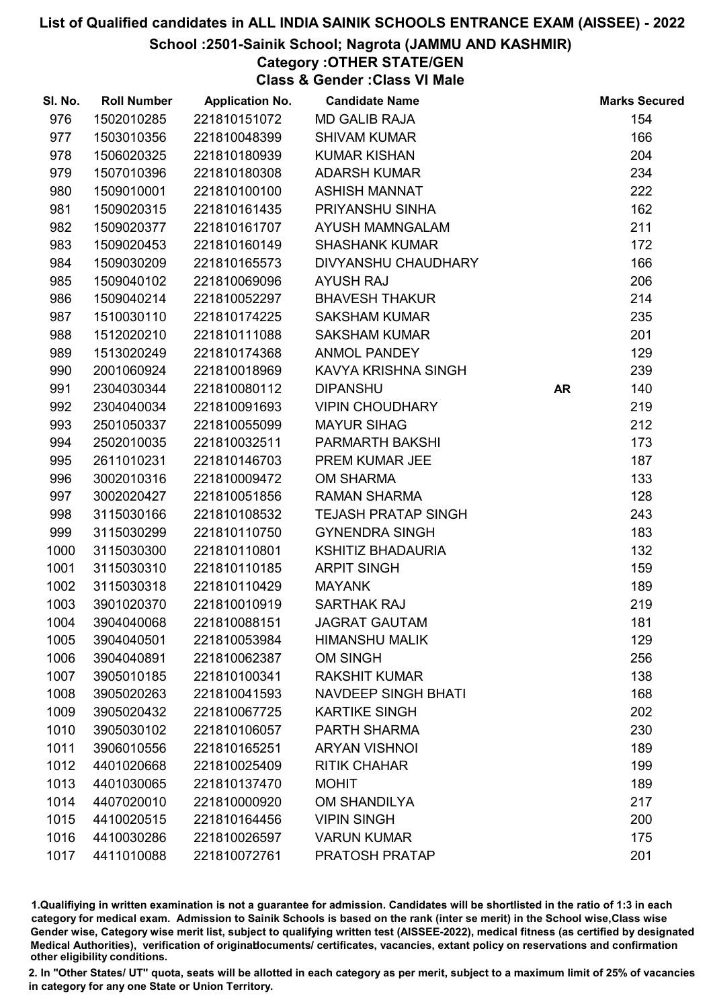#### School :2501-Sainik School; Nagrota (JAMMU AND KASHMIR)

# Category :OTHER STATE/GEN

Class & Gender :Class VI Male

| SI. No. | <b>Roll Number</b> | <b>Application No.</b> | <b>Candidate Name</b>      |           | <b>Marks Secured</b> |
|---------|--------------------|------------------------|----------------------------|-----------|----------------------|
| 976     | 1502010285         | 221810151072           | <b>MD GALIB RAJA</b>       |           | 154                  |
| 977     | 1503010356         | 221810048399           | <b>SHIVAM KUMAR</b>        |           | 166                  |
| 978     | 1506020325         | 221810180939           | <b>KUMAR KISHAN</b>        |           | 204                  |
| 979     | 1507010396         | 221810180308           | <b>ADARSH KUMAR</b>        |           | 234                  |
| 980     | 1509010001         | 221810100100           | <b>ASHISH MANNAT</b>       |           | 222                  |
| 981     | 1509020315         | 221810161435           | PRIYANSHU SINHA            |           | 162                  |
| 982     | 1509020377         | 221810161707           | AYUSH MAMNGALAM            |           | 211                  |
| 983     | 1509020453         | 221810160149           | <b>SHASHANK KUMAR</b>      |           | 172                  |
| 984     | 1509030209         | 221810165573           | DIVYANSHU CHAUDHARY        |           | 166                  |
| 985     | 1509040102         | 221810069096           | <b>AYUSH RAJ</b>           |           | 206                  |
| 986     | 1509040214         | 221810052297           | <b>BHAVESH THAKUR</b>      |           | 214                  |
| 987     | 1510030110         | 221810174225           | <b>SAKSHAM KUMAR</b>       |           | 235                  |
| 988     | 1512020210         | 221810111088           | <b>SAKSHAM KUMAR</b>       |           | 201                  |
| 989     | 1513020249         | 221810174368           | <b>ANMOL PANDEY</b>        |           | 129                  |
| 990     | 2001060924         | 221810018969           | KAVYA KRISHNA SINGH        |           | 239                  |
| 991     | 2304030344         | 221810080112           | <b>DIPANSHU</b>            | <b>AR</b> | 140                  |
| 992     | 2304040034         | 221810091693           | <b>VIPIN CHOUDHARY</b>     |           | 219                  |
| 993     | 2501050337         | 221810055099           | <b>MAYUR SIHAG</b>         |           | 212                  |
| 994     | 2502010035         | 221810032511           | PARMARTH BAKSHI            |           | 173                  |
| 995     | 2611010231         | 221810146703           | PREM KUMAR JEE             |           | 187                  |
| 996     | 3002010316         | 221810009472           | <b>OM SHARMA</b>           |           | 133                  |
| 997     | 3002020427         | 221810051856           | <b>RAMAN SHARMA</b>        |           | 128                  |
| 998     | 3115030166         | 221810108532           | <b>TEJASH PRATAP SINGH</b> |           | 243                  |
| 999     | 3115030299         | 221810110750           | <b>GYNENDRA SINGH</b>      |           | 183                  |
| 1000    | 3115030300         | 221810110801           | <b>KSHITIZ BHADAURIA</b>   |           | 132                  |
| 1001    | 3115030310         | 221810110185           | <b>ARPIT SINGH</b>         |           | 159                  |
| 1002    | 3115030318         | 221810110429           | <b>MAYANK</b>              |           | 189                  |
| 1003    | 3901020370         | 221810010919           | <b>SARTHAK RAJ</b>         |           | 219                  |
| 1004    | 3904040068         | 221810088151           | <b>JAGRAT GAUTAM</b>       |           | 181                  |
| 1005    | 3904040501         | 221810053984           | <b>HIMANSHU MALIK</b>      |           | 129                  |
| 1006    | 3904040891         | 221810062387           | <b>OM SINGH</b>            |           | 256                  |
| 1007    | 3905010185         | 221810100341           | <b>RAKSHIT KUMAR</b>       |           | 138                  |
| 1008    | 3905020263         | 221810041593           | <b>NAVDEEP SINGH BHATI</b> |           | 168                  |
| 1009    | 3905020432         | 221810067725           | <b>KARTIKE SINGH</b>       |           | 202                  |
| 1010    | 3905030102         | 221810106057           | PARTH SHARMA               |           | 230                  |
| 1011    | 3906010556         | 221810165251           | <b>ARYAN VISHNOI</b>       |           | 189                  |
| 1012    | 4401020668         | 221810025409           | <b>RITIK CHAHAR</b>        |           | 199                  |
| 1013    | 4401030065         | 221810137470           | <b>MOHIT</b>               |           | 189                  |
| 1014    | 4407020010         | 221810000920           | <b>OM SHANDILYA</b>        |           | 217                  |
| 1015    | 4410020515         | 221810164456           | <b>VIPIN SINGH</b>         |           | 200                  |
| 1016    | 4410030286         | 221810026597           | <b>VARUN KUMAR</b>         |           | 175                  |
| 1017    | 4411010088         | 221810072761           | PRATOSH PRATAP             |           | 201                  |

1.Qualifiying in written examination is not a guarantee for admission. Candidates will be shortlisted in the ratio of 1:3 in each category for medical exam. Admission to Sainik Schools is based on the rank (inter se merit) in the School wise,Class wise Gender wise, Category wise merit list, subject to qualifying written test (AISSEE-2022), medical fitness (as certified by designated Medical Authorities), verification of originablocuments/ certificates, vacancies, extant policy on reservations and confirmation other eligibility conditions.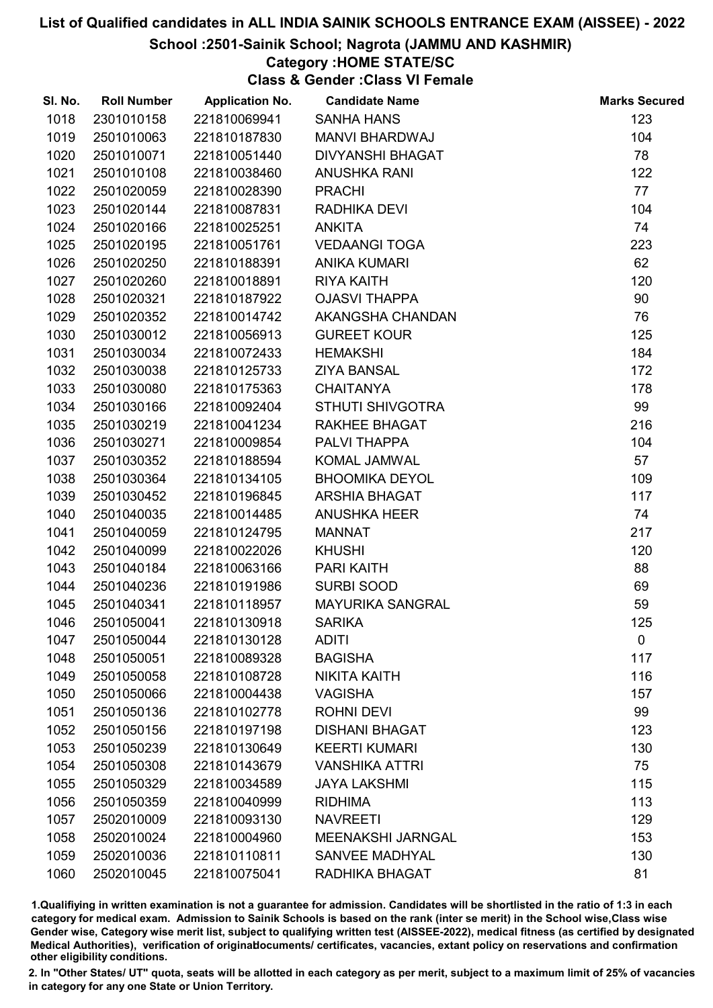#### School :2501-Sainik School; Nagrota (JAMMU AND KASHMIR)

### Category :HOME STATE/SC

Class & Gender :Class VI Female

| SI. No. | <b>Roll Number</b> | <b>Application No.</b> | <b>Candidate Name</b>    | <b>Marks Secured</b> |
|---------|--------------------|------------------------|--------------------------|----------------------|
| 1018    | 2301010158         | 221810069941           | <b>SANHA HANS</b>        | 123                  |
| 1019    | 2501010063         | 221810187830           | <b>MANVI BHARDWAJ</b>    | 104                  |
| 1020    | 2501010071         | 221810051440           | <b>DIVYANSHI BHAGAT</b>  | 78                   |
| 1021    | 2501010108         | 221810038460           | <b>ANUSHKA RANI</b>      | 122                  |
| 1022    | 2501020059         | 221810028390           | <b>PRACHI</b>            | 77                   |
| 1023    | 2501020144         | 221810087831           | RADHIKA DEVI             | 104                  |
| 1024    | 2501020166         | 221810025251           | <b>ANKITA</b>            | 74                   |
| 1025    | 2501020195         | 221810051761           | <b>VEDAANGI TOGA</b>     | 223                  |
| 1026    | 2501020250         | 221810188391           | <b>ANIKA KUMARI</b>      | 62                   |
| 1027    | 2501020260         | 221810018891           | <b>RIYA KAITH</b>        | 120                  |
| 1028    | 2501020321         | 221810187922           | <b>OJASVI THAPPA</b>     | 90                   |
| 1029    | 2501020352         | 221810014742           | AKANGSHA CHANDAN         | 76                   |
| 1030    | 2501030012         | 221810056913           | <b>GUREET KOUR</b>       | 125                  |
| 1031    | 2501030034         | 221810072433           | <b>HEMAKSHI</b>          | 184                  |
| 1032    | 2501030038         | 221810125733           | <b>ZIYA BANSAL</b>       | 172                  |
| 1033    | 2501030080         | 221810175363           | <b>CHAITANYA</b>         | 178                  |
| 1034    | 2501030166         | 221810092404           | <b>STHUTI SHIVGOTRA</b>  | 99                   |
| 1035    | 2501030219         | 221810041234           | <b>RAKHEE BHAGAT</b>     | 216                  |
| 1036    | 2501030271         | 221810009854           | PALVI THAPPA             | 104                  |
| 1037    | 2501030352         | 221810188594           | KOMAL JAMWAL             | 57                   |
| 1038    | 2501030364         | 221810134105           | <b>BHOOMIKA DEYOL</b>    | 109                  |
| 1039    | 2501030452         | 221810196845           | <b>ARSHIA BHAGAT</b>     | 117                  |
| 1040    | 2501040035         | 221810014485           | ANUSHKA HEER             | 74                   |
| 1041    | 2501040059         | 221810124795           | <b>MANNAT</b>            | 217                  |
| 1042    | 2501040099         | 221810022026           | <b>KHUSHI</b>            | 120                  |
| 1043    | 2501040184         | 221810063166           | PARI KAITH               | 88                   |
| 1044    | 2501040236         | 221810191986           | <b>SURBI SOOD</b>        | 69                   |
| 1045    | 2501040341         | 221810118957           | <b>MAYURIKA SANGRAL</b>  | 59                   |
| 1046    | 2501050041         | 221810130918           | <b>SARIKA</b>            | 125                  |
| 1047    | 2501050044         | 221810130128           | <b>ADITI</b>             | $\mathbf 0$          |
| 1048    | 2501050051         | 221810089328           | <b>BAGISHA</b>           | 117                  |
| 1049    | 2501050058         | 221810108728           | <b>NIKITA KAITH</b>      | 116                  |
| 1050    | 2501050066         | 221810004438           | <b>VAGISHA</b>           | 157                  |
| 1051    | 2501050136         | 221810102778           | <b>ROHNI DEVI</b>        | 99                   |
| 1052    | 2501050156         | 221810197198           | <b>DISHANI BHAGAT</b>    | 123                  |
| 1053    | 2501050239         | 221810130649           | <b>KEERTI KUMARI</b>     | 130                  |
| 1054    | 2501050308         | 221810143679           | <b>VANSHIKA ATTRI</b>    | 75                   |
| 1055    | 2501050329         | 221810034589           | <b>JAYA LAKSHMI</b>      | 115                  |
| 1056    | 2501050359         | 221810040999           | <b>RIDHIMA</b>           | 113                  |
| 1057    | 2502010009         | 221810093130           | <b>NAVREETI</b>          | 129                  |
| 1058    | 2502010024         | 221810004960           | <b>MEENAKSHI JARNGAL</b> | 153                  |
| 1059    | 2502010036         | 221810110811           | <b>SANVEE MADHYAL</b>    | 130                  |
| 1060    | 2502010045         | 221810075041           | RADHIKA BHAGAT           | 81                   |

1.Qualifiying in written examination is not a guarantee for admission. Candidates will be shortlisted in the ratio of 1:3 in each category for medical exam. Admission to Sainik Schools is based on the rank (inter se merit) in the School wise,Class wise Gender wise, Category wise merit list, subject to qualifying written test (AISSEE-2022), medical fitness (as certified by designated Medical Authorities), verification of originablocuments/ certificates, vacancies, extant policy on reservations and confirmation other eligibility conditions.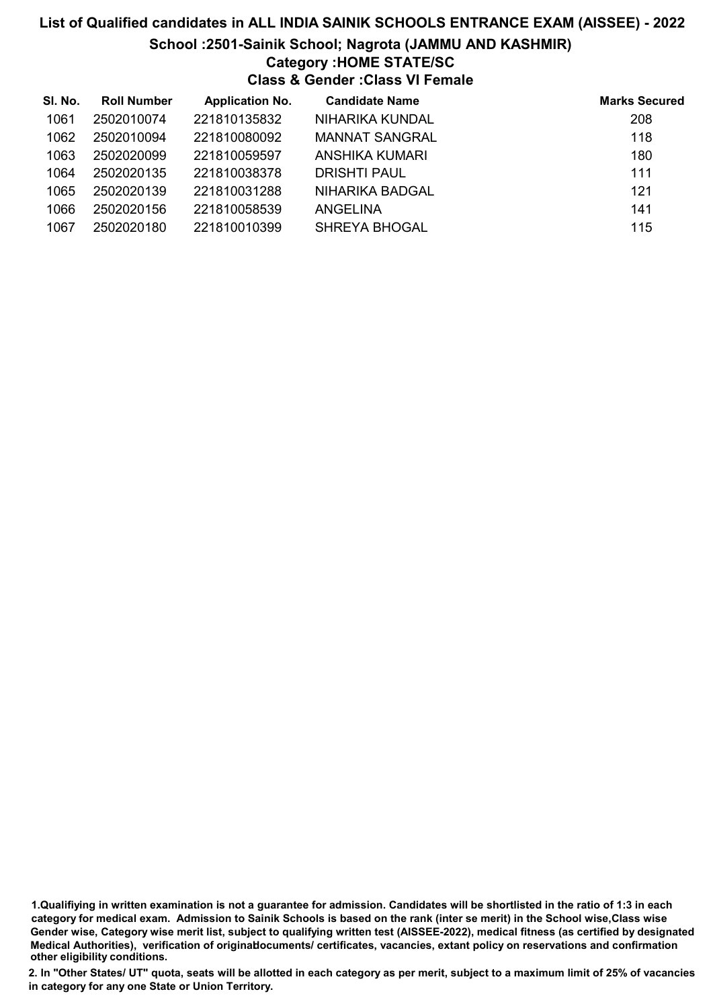#### School :2501-Sainik School; Nagrota (JAMMU AND KASHMIR)

#### Category :HOME STATE/SC

Class & Gender :Class VI Female

| SI. No. | <b>Roll Number</b> | <b>Application No.</b> | <b>Candidate Name</b>  | <b>Marks Secured</b> |
|---------|--------------------|------------------------|------------------------|----------------------|
| 1061    | 2502010074         | 221810135832           | NIHARIKA KUNDAL        | 208                  |
| 1062    | 2502010094         | 221810080092           | <b>MANNAT SANGRAL</b>  | 118                  |
| 1063    | 2502020099         | 221810059597           | ANSHIKA KUMARI         | 180                  |
| 1064    | 2502020135         | 221810038378           | DRISHTI PAUL           | 111                  |
| 1065    | 2502020139         | 221810031288           | <b>NIHARIKA BADGAL</b> | 121                  |
| 1066    | 2502020156         | 221810058539           | ANGELINA               | 141                  |
| 1067    | 2502020180         | 221810010399           | <b>SHREYA BHOGAL</b>   | 115                  |

<sup>1.</sup>Qualifiying in written examination is not a guarantee for admission. Candidates will be shortlisted in the ratio of 1:3 in each category for medical exam. Admission to Sainik Schools is based on the rank (inter se merit) in the School wise,Class wise Gender wise, Category wise merit list, subject to qualifying written test (AISSEE-2022), medical fitness (as certified by designated Medical Authorities), verification of originablocuments/ certificates, vacancies, extant policy on reservations and confirmation other eligibility conditions.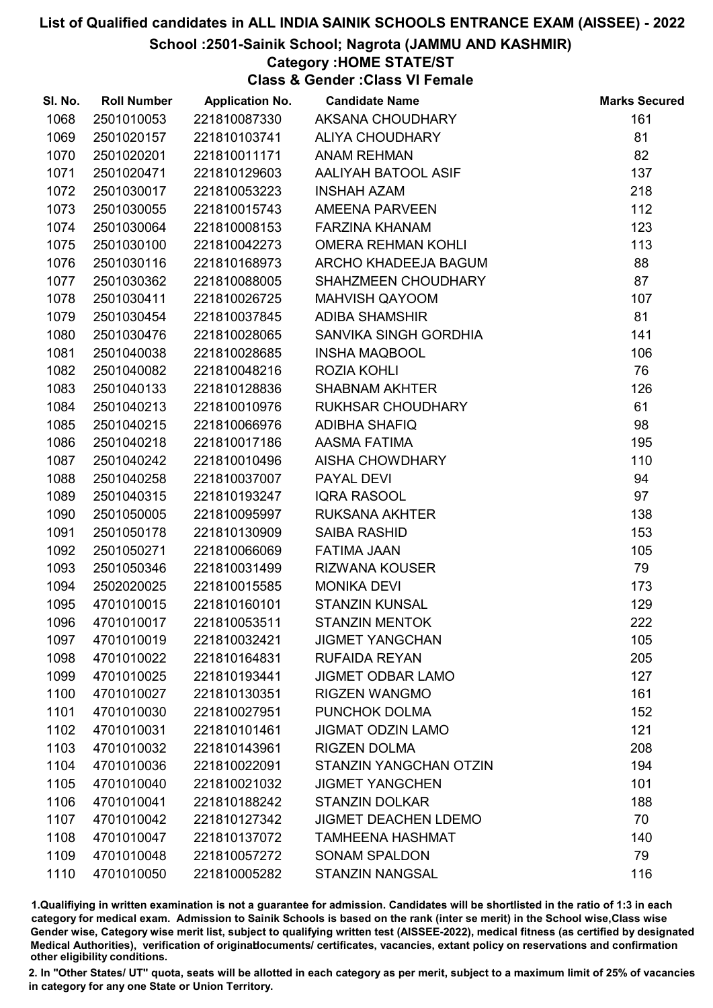#### School :2501-Sainik School; Nagrota (JAMMU AND KASHMIR)

#### Category :HOME STATE/ST

Class & Gender :Class VI Female

| SI. No. | <b>Roll Number</b> | <b>Application No.</b> | <b>Candidate Name</b>         | <b>Marks Secured</b> |
|---------|--------------------|------------------------|-------------------------------|----------------------|
| 1068    | 2501010053         | 221810087330           | AKSANA CHOUDHARY              | 161                  |
| 1069    | 2501020157         | 221810103741           | ALIYA CHOUDHARY               | 81                   |
| 1070    | 2501020201         | 221810011171           | <b>ANAM REHMAN</b>            | 82                   |
| 1071    | 2501020471         | 221810129603           | AALIYAH BATOOL ASIF           | 137                  |
| 1072    | 2501030017         | 221810053223           | <b>INSHAH AZAM</b>            | 218                  |
| 1073    | 2501030055         | 221810015743           | AMEENA PARVEEN                | 112                  |
| 1074    | 2501030064         | 221810008153           | <b>FARZINA KHANAM</b>         | 123                  |
| 1075    | 2501030100         | 221810042273           | <b>OMERA REHMAN KOHLI</b>     | 113                  |
| 1076    | 2501030116         | 221810168973           | ARCHO KHADEEJA BAGUM          | 88                   |
| 1077    | 2501030362         | 221810088005           | SHAHZMEEN CHOUDHARY           | 87                   |
| 1078    | 2501030411         | 221810026725           | <b>MAHVISH QAYOOM</b>         | 107                  |
| 1079    | 2501030454         | 221810037845           | <b>ADIBA SHAMSHIR</b>         | 81                   |
| 1080    | 2501030476         | 221810028065           | SANVIKA SINGH GORDHIA         | 141                  |
| 1081    | 2501040038         | 221810028685           | <b>INSHA MAQBOOL</b>          | 106                  |
| 1082    | 2501040082         | 221810048216           | ROZIA KOHLI                   | 76                   |
| 1083    | 2501040133         | 221810128836           | <b>SHABNAM AKHTER</b>         | 126                  |
| 1084    | 2501040213         | 221810010976           | RUKHSAR CHOUDHARY             | 61                   |
| 1085    | 2501040215         | 221810066976           | <b>ADIBHA SHAFIQ</b>          | 98                   |
| 1086    | 2501040218         | 221810017186           | AASMA FATIMA                  | 195                  |
| 1087    | 2501040242         | 221810010496           | AISHA CHOWDHARY               | 110                  |
| 1088    | 2501040258         | 221810037007           | PAYAL DEVI                    | 94                   |
| 1089    | 2501040315         | 221810193247           | <b>IQRA RASOOL</b>            | 97                   |
| 1090    | 2501050005         | 221810095997           | <b>RUKSANA AKHTER</b>         | 138                  |
| 1091    | 2501050178         | 221810130909           | <b>SAIBA RASHID</b>           | 153                  |
| 1092    | 2501050271         | 221810066069           | <b>FATIMA JAAN</b>            | 105                  |
| 1093    | 2501050346         | 221810031499           | RIZWANA KOUSER                | 79                   |
| 1094    | 2502020025         | 221810015585           | <b>MONIKA DEVI</b>            | 173                  |
| 1095    | 4701010015         | 221810160101           | <b>STANZIN KUNSAL</b>         | 129                  |
| 1096    | 4701010017         | 221810053511           | <b>STANZIN MENTOK</b>         | 222                  |
| 1097    | 4701010019         | 221810032421           | <b>JIGMET YANGCHAN</b>        | 105                  |
| 1098    | 4701010022         | 221810164831           | <b>RUFAIDA REYAN</b>          | 205                  |
| 1099    | 4701010025         | 221810193441           | <b>JIGMET ODBAR LAMO</b>      | 127                  |
| 1100    | 4701010027         | 221810130351           | <b>RIGZEN WANGMO</b>          | 161                  |
| 1101    | 4701010030         | 221810027951           | PUNCHOK DOLMA                 | 152                  |
| 1102    | 4701010031         | 221810101461           | <b>JIGMAT ODZIN LAMO</b>      | 121                  |
| 1103    | 4701010032         | 221810143961           | <b>RIGZEN DOLMA</b>           | 208                  |
| 1104    | 4701010036         | 221810022091           | <b>STANZIN YANGCHAN OTZIN</b> | 194                  |
| 1105    | 4701010040         | 221810021032           | <b>JIGMET YANGCHEN</b>        | 101                  |
| 1106    | 4701010041         | 221810188242           | <b>STANZIN DOLKAR</b>         | 188                  |
| 1107    | 4701010042         | 221810127342           | <b>JIGMET DEACHEN LDEMO</b>   | 70                   |
| 1108    | 4701010047         | 221810137072           | <b>TAMHEENA HASHMAT</b>       | 140                  |
| 1109    | 4701010048         | 221810057272           | <b>SONAM SPALDON</b>          | 79                   |
| 1110    | 4701010050         | 221810005282           | <b>STANZIN NANGSAL</b>        | 116                  |

1.Qualifiying in written examination is not a guarantee for admission. Candidates will be shortlisted in the ratio of 1:3 in each category for medical exam. Admission to Sainik Schools is based on the rank (inter se merit) in the School wise,Class wise Gender wise, Category wise merit list, subject to qualifying written test (AISSEE-2022), medical fitness (as certified by designated Medical Authorities), verification of originablocuments/ certificates, vacancies, extant policy on reservations and confirmation other eligibility conditions.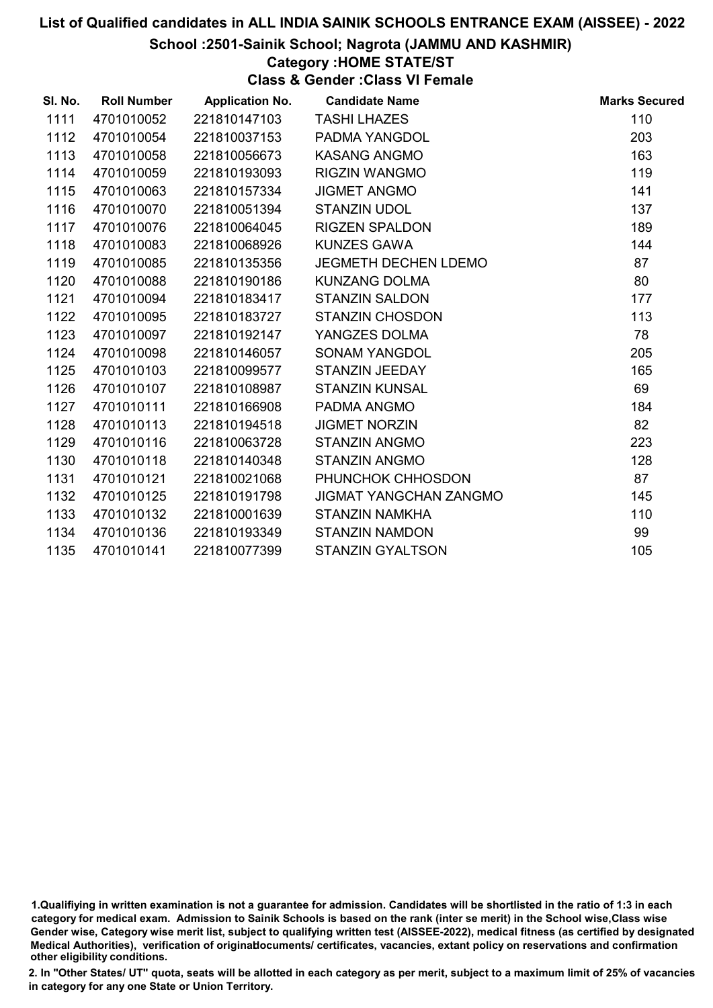School :2501-Sainik School; Nagrota (JAMMU AND KASHMIR)

Category :HOME STATE/ST

Class & Gender :Class VI Female

| SI. No. | <b>Roll Number</b> | <b>Application No.</b> | <b>Candidate Name</b>         | <b>Marks Secured</b> |
|---------|--------------------|------------------------|-------------------------------|----------------------|
| 1111    | 4701010052         | 221810147103           | <b>TASHI LHAZES</b>           | 110                  |
| 1112    | 4701010054         | 221810037153           | PADMA YANGDOL                 | 203                  |
| 1113    | 4701010058         | 221810056673           | <b>KASANG ANGMO</b>           | 163                  |
| 1114    | 4701010059         | 221810193093           | <b>RIGZIN WANGMO</b>          | 119                  |
| 1115    | 4701010063         | 221810157334           | <b>JIGMET ANGMO</b>           | 141                  |
| 1116    | 4701010070         | 221810051394           | <b>STANZIN UDOL</b>           | 137                  |
| 1117    | 4701010076         | 221810064045           | <b>RIGZEN SPALDON</b>         | 189                  |
| 1118    | 4701010083         | 221810068926           | <b>KUNZES GAWA</b>            | 144                  |
| 1119    | 4701010085         | 221810135356           | JEGMETH DECHEN LDEMO          | 87                   |
| 1120    | 4701010088         | 221810190186           | <b>KUNZANG DOLMA</b>          | 80                   |
| 1121    | 4701010094         | 221810183417           | <b>STANZIN SALDON</b>         | 177                  |
| 1122    | 4701010095         | 221810183727           | <b>STANZIN CHOSDON</b>        | 113                  |
| 1123    | 4701010097         | 221810192147           | YANGZES DOLMA                 | 78                   |
| 1124    | 4701010098         | 221810146057           | <b>SONAM YANGDOL</b>          | 205                  |
| 1125    | 4701010103         | 221810099577           | STANZIN JEEDAY                | 165                  |
| 1126    | 4701010107         | 221810108987           | <b>STANZIN KUNSAL</b>         | 69                   |
| 1127    | 4701010111         | 221810166908           | PADMA ANGMO                   | 184                  |
| 1128    | 4701010113         | 221810194518           | <b>JIGMET NORZIN</b>          | 82                   |
| 1129    | 4701010116         | 221810063728           | <b>STANZIN ANGMO</b>          | 223                  |
| 1130    | 4701010118         | 221810140348           | <b>STANZIN ANGMO</b>          | 128                  |
| 1131    | 4701010121         | 221810021068           | PHUNCHOK CHHOSDON             | 87                   |
| 1132    | 4701010125         | 221810191798           | <b>JIGMAT YANGCHAN ZANGMO</b> | 145                  |
| 1133    | 4701010132         | 221810001639           | <b>STANZIN NAMKHA</b>         | 110                  |
| 1134    | 4701010136         | 221810193349           | <b>STANZIN NAMDON</b>         | 99                   |
| 1135    | 4701010141         | 221810077399           | <b>STANZIN GYALTSON</b>       | 105                  |

1.Qualifiying in written examination is not a guarantee for admission. Candidates will be shortlisted in the ratio of 1:3 in each category for medical exam. Admission to Sainik Schools is based on the rank (inter se merit) in the School wise,Class wise Gender wise, Category wise merit list, subject to qualifying written test (AISSEE-2022), medical fitness (as certified by designated Medical Authorities), verification of originablocuments/ certificates, vacancies, extant policy on reservations and confirmation other eligibility conditions.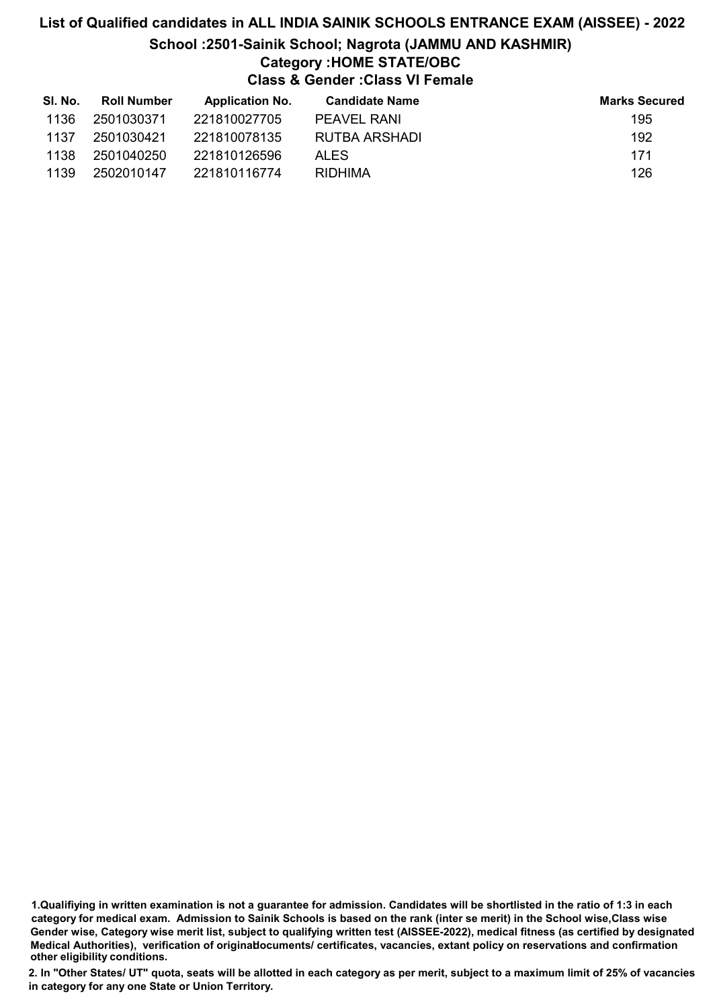# List of Qualified candidates in ALL INDIA SAINIK SCHOOLS ENTRANCE EXAM (AISSEE) - 2022 School :2501-Sainik School; Nagrota (JAMMU AND KASHMIR) Category :HOME STATE/OBC Class & Gender :Class VI Female

| SI. No. | <b>Roll Number</b> | <b>Application No.</b> | <b>Candidate Name</b> | <b>Marks Secured</b> |
|---------|--------------------|------------------------|-----------------------|----------------------|
| 1136    | 2501030371         | 221810027705           | PEAVEL RANI           | 195                  |
| 1137    | 2501030421         | 221810078135           | RUTBA ARSHADI         | 192                  |
| 1138    | 2501040250         | 221810126596           | ALES.                 | 171                  |
| 1139    | 2502010147         | 221810116774           | RIDHIMA               | 126                  |

<sup>1.</sup>Qualifiying in written examination is not a guarantee for admission. Candidates will be shortlisted in the ratio of 1:3 in each category for medical exam. Admission to Sainik Schools is based on the rank (inter se merit) in the School wise,Class wise Gender wise, Category wise merit list, subject to qualifying written test (AISSEE-2022), medical fitness (as certified by designated Medical Authorities), verification of originablocuments/ certificates, vacancies, extant policy on reservations and confirmation other eligibility conditions.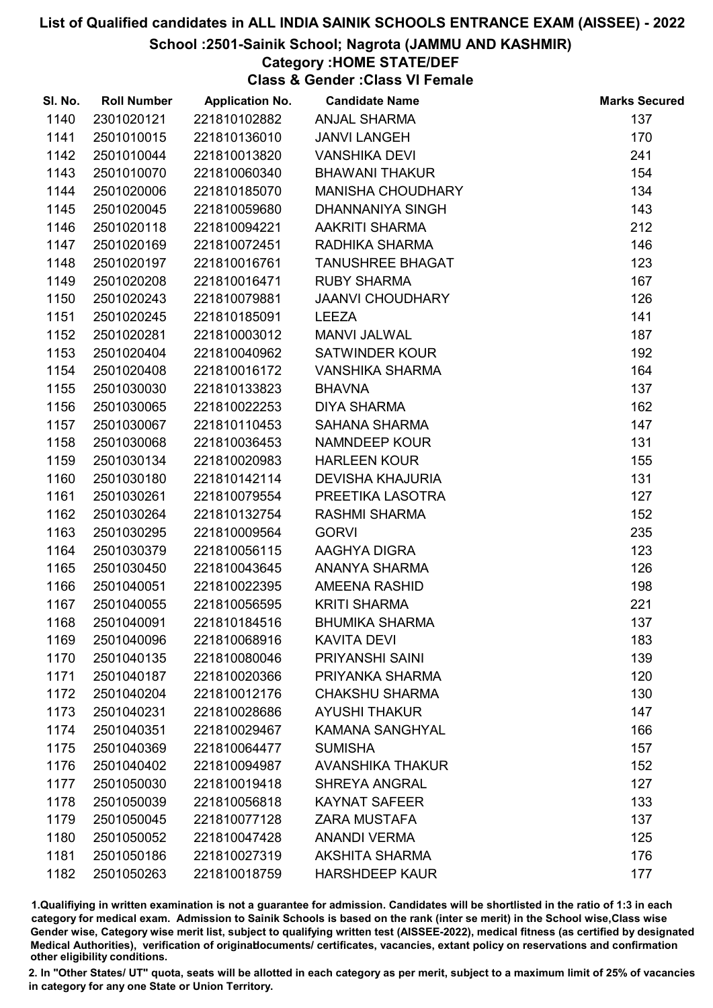#### School :2501-Sainik School; Nagrota (JAMMU AND KASHMIR)

# Category :HOME STATE/DEF

Class & Gender :Class VI Female

| SI. No. | <b>Roll Number</b> | <b>Application No.</b> | <b>Candidate Name</b>    | <b>Marks Secured</b> |
|---------|--------------------|------------------------|--------------------------|----------------------|
| 1140    | 2301020121         | 221810102882           | <b>ANJAL SHARMA</b>      | 137                  |
| 1141    | 2501010015         | 221810136010           | <b>JANVI LANGEH</b>      | 170                  |
| 1142    | 2501010044         | 221810013820           | <b>VANSHIKA DEVI</b>     | 241                  |
| 1143    | 2501010070         | 221810060340           | <b>BHAWANI THAKUR</b>    | 154                  |
| 1144    | 2501020006         | 221810185070           | <b>MANISHA CHOUDHARY</b> | 134                  |
| 1145    | 2501020045         | 221810059680           | <b>DHANNANIYA SINGH</b>  | 143                  |
| 1146    | 2501020118         | 221810094221           | <b>AAKRITI SHARMA</b>    | 212                  |
| 1147    | 2501020169         | 221810072451           | RADHIKA SHARMA           | 146                  |
| 1148    | 2501020197         | 221810016761           | <b>TANUSHREE BHAGAT</b>  | 123                  |
| 1149    | 2501020208         | 221810016471           | <b>RUBY SHARMA</b>       | 167                  |
| 1150    | 2501020243         | 221810079881           | <b>JAANVI CHOUDHARY</b>  | 126                  |
| 1151    | 2501020245         | 221810185091           | <b>LEEZA</b>             | 141                  |
| 1152    | 2501020281         | 221810003012           | <b>MANVI JALWAL</b>      | 187                  |
| 1153    | 2501020404         | 221810040962           | <b>SATWINDER KOUR</b>    | 192                  |
| 1154    | 2501020408         | 221810016172           | <b>VANSHIKA SHARMA</b>   | 164                  |
| 1155    | 2501030030         | 221810133823           | <b>BHAVNA</b>            | 137                  |
| 1156    | 2501030065         | 221810022253           | <b>DIYA SHARMA</b>       | 162                  |
| 1157    | 2501030067         | 221810110453           | <b>SAHANA SHARMA</b>     | 147                  |
| 1158    | 2501030068         | 221810036453           | <b>NAMNDEEP KOUR</b>     | 131                  |
| 1159    | 2501030134         | 221810020983           | <b>HARLEEN KOUR</b>      | 155                  |
| 1160    | 2501030180         | 221810142114           | <b>DEVISHA KHAJURIA</b>  | 131                  |
| 1161    | 2501030261         | 221810079554           | PREETIKA LASOTRA         | 127                  |
| 1162    | 2501030264         | 221810132754           | <b>RASHMI SHARMA</b>     | 152                  |
| 1163    | 2501030295         | 221810009564           | <b>GORVI</b>             | 235                  |
| 1164    | 2501030379         | 221810056115           | AAGHYA DIGRA             | 123                  |
| 1165    | 2501030450         | 221810043645           | ANANYA SHARMA            | 126                  |
| 1166    | 2501040051         | 221810022395           | AMEENA RASHID            | 198                  |
| 1167    | 2501040055         | 221810056595           | <b>KRITI SHARMA</b>      | 221                  |
| 1168    | 2501040091         | 221810184516           | <b>BHUMIKA SHARMA</b>    | 137                  |
| 1169    | 2501040096         | 221810068916           | <b>KAVITA DEVI</b>       | 183                  |
| 1170    | 2501040135         | 221810080046           | <b>PRIYANSHI SAINI</b>   | 139                  |
| 1171    | 2501040187         | 221810020366           | PRIYANKA SHARMA          | 120                  |
| 1172    | 2501040204         | 221810012176           | <b>CHAKSHU SHARMA</b>    | 130                  |
| 1173    | 2501040231         | 221810028686           | <b>AYUSHI THAKUR</b>     | 147                  |
| 1174    | 2501040351         | 221810029467           | <b>KAMANA SANGHYAL</b>   | 166                  |
| 1175    | 2501040369         | 221810064477           | <b>SUMISHA</b>           | 157                  |
| 1176    | 2501040402         | 221810094987           | <b>AVANSHIKA THAKUR</b>  | 152                  |
| 1177    | 2501050030         | 221810019418           | <b>SHREYA ANGRAL</b>     | 127                  |
| 1178    | 2501050039         | 221810056818           | <b>KAYNAT SAFEER</b>     | 133                  |
| 1179    | 2501050045         | 221810077128           | <b>ZARA MUSTAFA</b>      | 137                  |
| 1180    | 2501050052         | 221810047428           | <b>ANANDI VERMA</b>      | 125                  |
| 1181    | 2501050186         | 221810027319           | <b>AKSHITA SHARMA</b>    | 176                  |
| 1182    | 2501050263         | 221810018759           | <b>HARSHDEEP KAUR</b>    | 177                  |

1.Qualifiying in written examination is not a guarantee for admission. Candidates will be shortlisted in the ratio of 1:3 in each category for medical exam. Admission to Sainik Schools is based on the rank (inter se merit) in the School wise,Class wise Gender wise, Category wise merit list, subject to qualifying written test (AISSEE-2022), medical fitness (as certified by designated Medical Authorities), verification of originablocuments/ certificates, vacancies, extant policy on reservations and confirmation other eligibility conditions.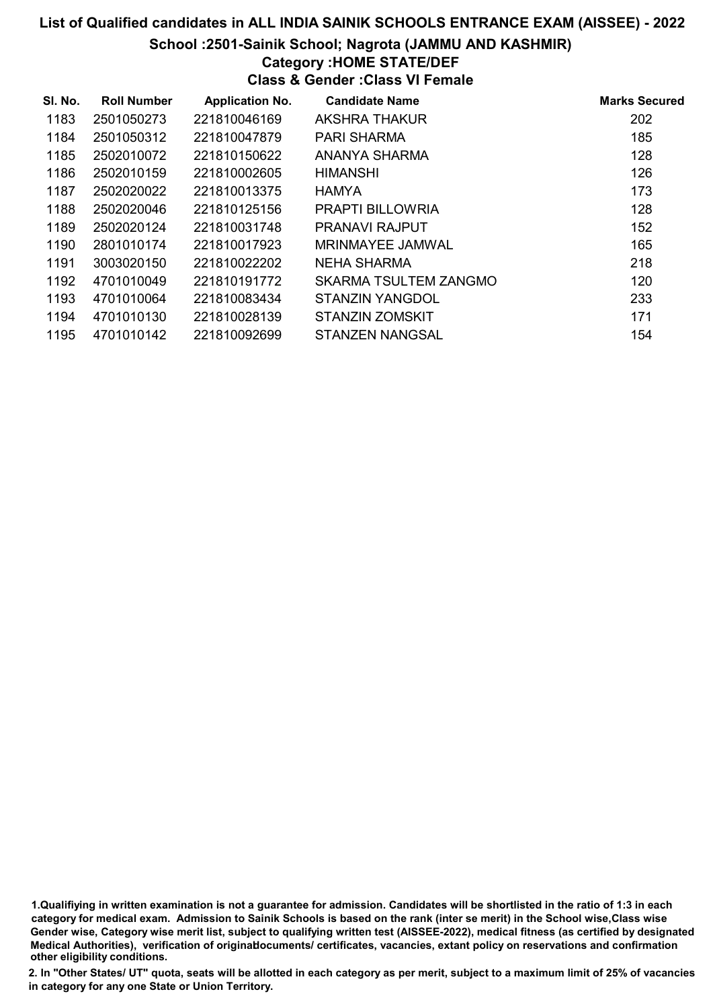#### School :2501-Sainik School; Nagrota (JAMMU AND KASHMIR)

# Category :HOME STATE/DEF

Class & Gender :Class VI Female

| SI. No. | <b>Roll Number</b> | <b>Application No.</b> | <b>Candidate Name</b>   | <b>Marks Secured</b> |
|---------|--------------------|------------------------|-------------------------|----------------------|
| 1183    | 2501050273         | 221810046169           | AKSHRA THAKUR           | 202                  |
| 1184    | 2501050312         | 221810047879           | PARI SHARMA             | 185                  |
| 1185    | 2502010072         | 221810150622           | ANANYA SHARMA           | 128                  |
| 1186    | 2502010159         | 221810002605           | <b>HIMANSHI</b>         | 126                  |
| 1187    | 2502020022         | 221810013375           | <b>HAMYA</b>            | 173                  |
| 1188    | 2502020046         | 221810125156           | <b>PRAPTI BILLOWRIA</b> | 128                  |
| 1189    | 2502020124         | 221810031748           | <b>PRANAVI RAJPUT</b>   | 152                  |
| 1190    | 2801010174         | 221810017923           | MRINMAYEE JAMWAL        | 165                  |
| 1191    | 3003020150         | 221810022202           | NEHA SHARMA             | 218                  |
| 1192    | 4701010049         | 221810191772           | SKARMA TSULTEM ZANGMO   | 120                  |
| 1193    | 4701010064         | 221810083434           | STANZIN YANGDOL         | 233                  |
| 1194    | 4701010130         | 221810028139           | STANZIN ZOMSKIT         | 171                  |
| 1195    | 4701010142         | 221810092699           | STANZEN NANGSAL         | 154                  |

1.Qualifiying in written examination is not a guarantee for admission. Candidates will be shortlisted in the ratio of 1:3 in each category for medical exam. Admission to Sainik Schools is based on the rank (inter se merit) in the School wise,Class wise Gender wise, Category wise merit list, subject to qualifying written test (AISSEE-2022), medical fitness (as certified by designated Medical Authorities), verification of originablocuments/ certificates, vacancies, extant policy on reservations and confirmation other eligibility conditions.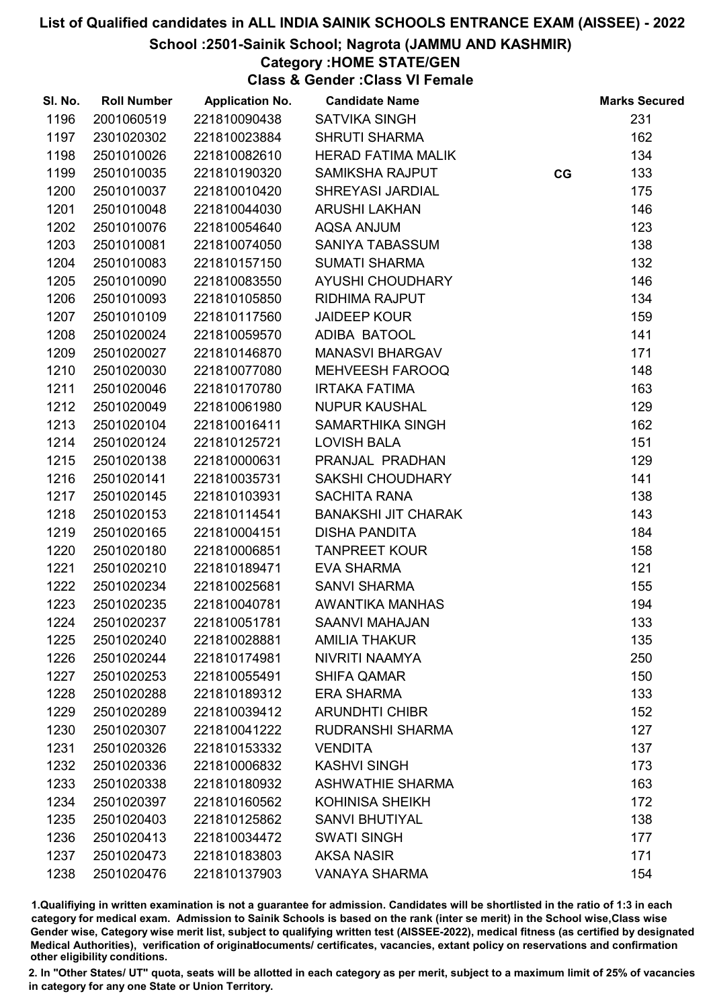#### School :2501-Sainik School; Nagrota (JAMMU AND KASHMIR)

Category :HOME STATE/GEN

Class & Gender :Class VI Female

| SI. No. | <b>Roll Number</b> | <b>Application No.</b> | <b>Candidate Name</b>      |    | <b>Marks Secured</b> |
|---------|--------------------|------------------------|----------------------------|----|----------------------|
| 1196    | 2001060519         | 221810090438           | <b>SATVIKA SINGH</b>       |    | 231                  |
| 1197    | 2301020302         | 221810023884           | <b>SHRUTI SHARMA</b>       |    | 162                  |
| 1198    | 2501010026         | 221810082610           | <b>HERAD FATIMA MALIK</b>  |    | 134                  |
| 1199    | 2501010035         | 221810190320           | <b>SAMIKSHA RAJPUT</b>     | CG | 133                  |
| 1200    | 2501010037         | 221810010420           | SHREYASI JARDIAL           |    | 175                  |
| 1201    | 2501010048         | 221810044030           | <b>ARUSHI LAKHAN</b>       |    | 146                  |
| 1202    | 2501010076         | 221810054640           | <b>AQSA ANJUM</b>          |    | 123                  |
| 1203    | 2501010081         | 221810074050           | SANIYA TABASSUM            |    | 138                  |
| 1204    | 2501010083         | 221810157150           | <b>SUMATI SHARMA</b>       |    | 132                  |
| 1205    | 2501010090         | 221810083550           | AYUSHI CHOUDHARY           |    | 146                  |
| 1206    | 2501010093         | 221810105850           | <b>RIDHIMA RAJPUT</b>      |    | 134                  |
| 1207    | 2501010109         | 221810117560           | <b>JAIDEEP KOUR</b>        |    | 159                  |
| 1208    | 2501020024         | 221810059570           | ADIBA BATOOL               |    | 141                  |
| 1209    | 2501020027         | 221810146870           | <b>MANASVI BHARGAV</b>     |    | 171                  |
| 1210    | 2501020030         | 221810077080           | MEHVEESH FAROOQ            |    | 148                  |
| 1211    | 2501020046         | 221810170780           | <b>IRTAKA FATIMA</b>       |    | 163                  |
| 1212    | 2501020049         | 221810061980           | <b>NUPUR KAUSHAL</b>       |    | 129                  |
| 1213    | 2501020104         | 221810016411           | SAMARTHIKA SINGH           |    | 162                  |
| 1214    | 2501020124         | 221810125721           | <b>LOVISH BALA</b>         |    | 151                  |
| 1215    | 2501020138         | 221810000631           | PRANJAL PRADHAN            |    | 129                  |
| 1216    | 2501020141         | 221810035731           | SAKSHI CHOUDHARY           |    | 141                  |
| 1217    | 2501020145         | 221810103931           | <b>SACHITA RANA</b>        |    | 138                  |
| 1218    | 2501020153         | 221810114541           | <b>BANAKSHI JIT CHARAK</b> |    | 143                  |
| 1219    | 2501020165         | 221810004151           | <b>DISHA PANDITA</b>       |    | 184                  |
| 1220    | 2501020180         | 221810006851           | <b>TANPREET KOUR</b>       |    | 158                  |
| 1221    | 2501020210         | 221810189471           | <b>EVA SHARMA</b>          |    | 121                  |
| 1222    | 2501020234         | 221810025681           | <b>SANVI SHARMA</b>        |    | 155                  |
| 1223    | 2501020235         | 221810040781           | AWANTIKA MANHAS            |    | 194                  |
| 1224    | 2501020237         | 221810051781           | <b>SAANVI MAHAJAN</b>      |    | 133                  |
| 1225    | 2501020240         | 221810028881           | <b>AMILIA THAKUR</b>       |    | 135                  |
| 1226    | 2501020244         | 221810174981           | NIVRITI NAAMYA             |    | 250                  |
| 1227    | 2501020253         | 221810055491           | <b>SHIFA QAMAR</b>         |    | 150                  |
| 1228    | 2501020288         | 221810189312           | <b>ERA SHARMA</b>          |    | 133                  |
| 1229    | 2501020289         | 221810039412           | <b>ARUNDHTI CHIBR</b>      |    | 152                  |
| 1230    | 2501020307         | 221810041222           | <b>RUDRANSHI SHARMA</b>    |    | 127                  |
| 1231    | 2501020326         | 221810153332           | <b>VENDITA</b>             |    | 137                  |
| 1232    | 2501020336         | 221810006832           | <b>KASHVI SINGH</b>        |    | 173                  |
| 1233    | 2501020338         | 221810180932           | <b>ASHWATHIE SHARMA</b>    |    | 163                  |
| 1234    | 2501020397         | 221810160562           | <b>KOHINISA SHEIKH</b>     |    | 172                  |
| 1235    | 2501020403         | 221810125862           | <b>SANVI BHUTIYAL</b>      |    | 138                  |
| 1236    | 2501020413         | 221810034472           | <b>SWATI SINGH</b>         |    | 177                  |
| 1237    | 2501020473         | 221810183803           | <b>AKSA NASIR</b>          |    | 171                  |
| 1238    | 2501020476         | 221810137903           | <b>VANAYA SHARMA</b>       |    | 154                  |

1.Qualifiying in written examination is not a guarantee for admission. Candidates will be shortlisted in the ratio of 1:3 in each category for medical exam. Admission to Sainik Schools is based on the rank (inter se merit) in the School wise,Class wise Gender wise, Category wise merit list, subject to qualifying written test (AISSEE-2022), medical fitness (as certified by designated Medical Authorities), verification of originablocuments/ certificates, vacancies, extant policy on reservations and confirmation other eligibility conditions.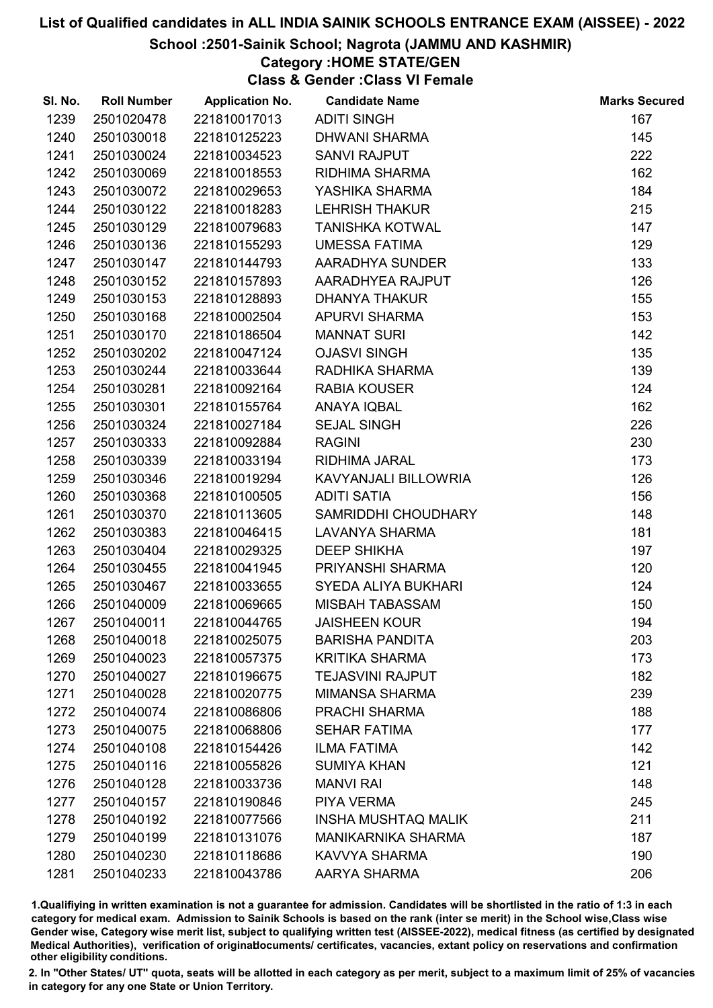#### School :2501-Sainik School; Nagrota (JAMMU AND KASHMIR)

### Category :HOME STATE/GEN

Class & Gender :Class VI Female

| SI. No. | <b>Roll Number</b> | <b>Application No.</b> | <b>Candidate Name</b>      | <b>Marks Secured</b> |
|---------|--------------------|------------------------|----------------------------|----------------------|
| 1239    | 2501020478         | 221810017013           | <b>ADITI SINGH</b>         | 167                  |
| 1240    | 2501030018         | 221810125223           | <b>DHWANI SHARMA</b>       | 145                  |
| 1241    | 2501030024         | 221810034523           | <b>SANVI RAJPUT</b>        | 222                  |
| 1242    | 2501030069         | 221810018553           | RIDHIMA SHARMA             | 162                  |
| 1243    | 2501030072         | 221810029653           | YASHIKA SHARMA             | 184                  |
| 1244    | 2501030122         | 221810018283           | <b>LEHRISH THAKUR</b>      | 215                  |
| 1245    | 2501030129         | 221810079683           | <b>TANISHKA KOTWAL</b>     | 147                  |
| 1246    | 2501030136         | 221810155293           | <b>UMESSA FATIMA</b>       | 129                  |
| 1247    | 2501030147         | 221810144793           | AARADHYA SUNDER            | 133                  |
| 1248    | 2501030152         | 221810157893           | AARADHYEA RAJPUT           | 126                  |
| 1249    | 2501030153         | 221810128893           | <b>DHANYA THAKUR</b>       | 155                  |
| 1250    | 2501030168         | 221810002504           | <b>APURVI SHARMA</b>       | 153                  |
| 1251    | 2501030170         | 221810186504           | <b>MANNAT SURI</b>         | 142                  |
| 1252    | 2501030202         | 221810047124           | <b>OJASVI SINGH</b>        | 135                  |
| 1253    | 2501030244         | 221810033644           | RADHIKA SHARMA             | 139                  |
| 1254    | 2501030281         | 221810092164           | <b>RABIA KOUSER</b>        | 124                  |
| 1255    | 2501030301         | 221810155764           | <b>ANAYA IQBAL</b>         | 162                  |
| 1256    | 2501030324         | 221810027184           | <b>SEJAL SINGH</b>         | 226                  |
| 1257    | 2501030333         | 221810092884           | <b>RAGINI</b>              | 230                  |
| 1258    | 2501030339         | 221810033194           | RIDHIMA JARAL              | 173                  |
| 1259    | 2501030346         | 221810019294           | KAVYANJALI BILLOWRIA       | 126                  |
| 1260    | 2501030368         | 221810100505           | <b>ADITI SATIA</b>         | 156                  |
| 1261    | 2501030370         | 221810113605           | SAMRIDDHI CHOUDHARY        | 148                  |
| 1262    | 2501030383         | 221810046415           | LAVANYA SHARMA             | 181                  |
| 1263    | 2501030404         | 221810029325           | <b>DEEP SHIKHA</b>         | 197                  |
| 1264    | 2501030455         | 221810041945           | PRIYANSHI SHARMA           | 120                  |
| 1265    | 2501030467         | 221810033655           | SYEDA ALIYA BUKHARI        | 124                  |
| 1266    | 2501040009         | 221810069665           | <b>MISBAH TABASSAM</b>     | 150                  |
| 1267    | 2501040011         | 221810044765           | <b>JAISHEEN KOUR</b>       | 194                  |
| 1268    | 2501040018         | 221810025075           | <b>BARISHA PANDITA</b>     | 203                  |
| 1269    | 2501040023         | 221810057375           | <b>KRITIKA SHARMA</b>      | 173                  |
| 1270    | 2501040027         | 221810196675           | <b>TEJASVINI RAJPUT</b>    | 182                  |
| 1271    | 2501040028         | 221810020775           | <b>MIMANSA SHARMA</b>      | 239                  |
| 1272    | 2501040074         | 221810086806           | <b>PRACHI SHARMA</b>       | 188                  |
| 1273    | 2501040075         | 221810068806           | <b>SEHAR FATIMA</b>        | 177                  |
| 1274    | 2501040108         | 221810154426           | <b>ILMA FATIMA</b>         | 142                  |
| 1275    | 2501040116         | 221810055826           | <b>SUMIYA KHAN</b>         | 121                  |
| 1276    | 2501040128         | 221810033736           | <b>MANVI RAI</b>           | 148                  |
| 1277    | 2501040157         | 221810190846           | <b>PIYA VERMA</b>          | 245                  |
| 1278    | 2501040192         | 221810077566           | <b>INSHA MUSHTAQ MALIK</b> | 211                  |
| 1279    | 2501040199         | 221810131076           | <b>MANIKARNIKA SHARMA</b>  | 187                  |
| 1280    | 2501040230         | 221810118686           | KAVVYA SHARMA              | 190                  |
| 1281    | 2501040233         | 221810043786           | AARYA SHARMA               | 206                  |

1.Qualifiying in written examination is not a guarantee for admission. Candidates will be shortlisted in the ratio of 1:3 in each category for medical exam. Admission to Sainik Schools is based on the rank (inter se merit) in the School wise,Class wise Gender wise, Category wise merit list, subject to qualifying written test (AISSEE-2022), medical fitness (as certified by designated Medical Authorities), verification of originablocuments/ certificates, vacancies, extant policy on reservations and confirmation other eligibility conditions.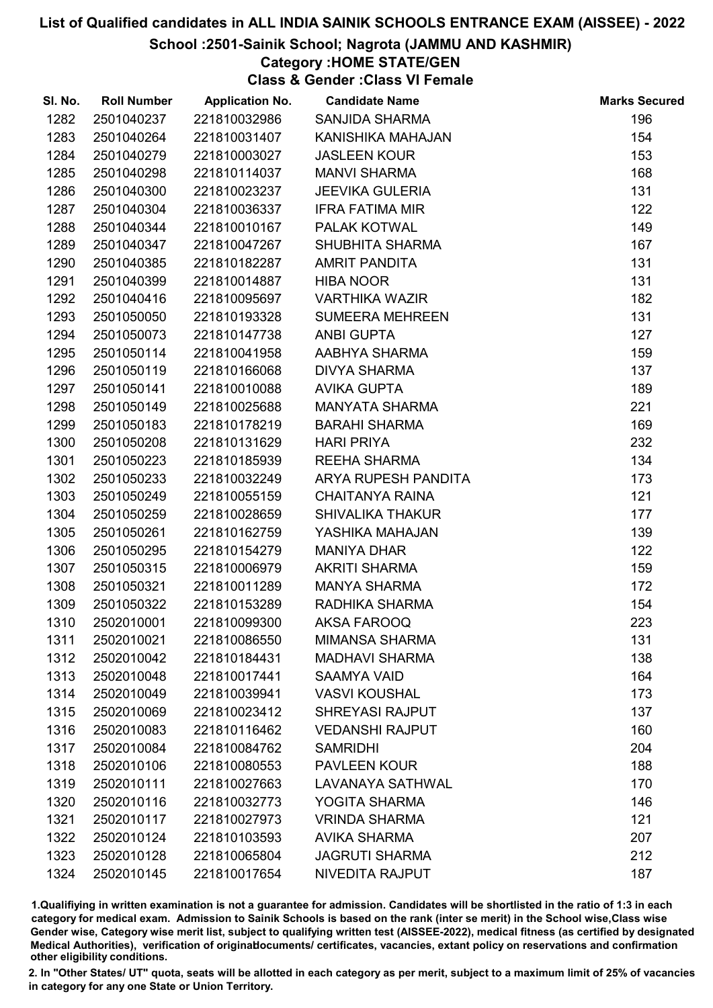#### School :2501-Sainik School; Nagrota (JAMMU AND KASHMIR)

### Category :HOME STATE/GEN

Class & Gender :Class VI Female

| SI. No. | <b>Roll Number</b> | <b>Application No.</b> | <b>Candidate Name</b>   | <b>Marks Secured</b> |
|---------|--------------------|------------------------|-------------------------|----------------------|
| 1282    | 2501040237         | 221810032986           | <b>SANJIDA SHARMA</b>   | 196                  |
| 1283    | 2501040264         | 221810031407           | KANISHIKA MAHAJAN       | 154                  |
| 1284    | 2501040279         | 221810003027           | <b>JASLEEN KOUR</b>     | 153                  |
| 1285    | 2501040298         | 221810114037           | <b>MANVI SHARMA</b>     | 168                  |
| 1286    | 2501040300         | 221810023237           | <b>JEEVIKA GULERIA</b>  | 131                  |
| 1287    | 2501040304         | 221810036337           | <b>IFRA FATIMA MIR</b>  | 122                  |
| 1288    | 2501040344         | 221810010167           | PALAK KOTWAL            | 149                  |
| 1289    | 2501040347         | 221810047267           | <b>SHUBHITA SHARMA</b>  | 167                  |
| 1290    | 2501040385         | 221810182287           | <b>AMRIT PANDITA</b>    | 131                  |
| 1291    | 2501040399         | 221810014887           | <b>HIBA NOOR</b>        | 131                  |
| 1292    | 2501040416         | 221810095697           | <b>VARTHIKA WAZIR</b>   | 182                  |
| 1293    | 2501050050         | 221810193328           | <b>SUMEERA MEHREEN</b>  | 131                  |
| 1294    | 2501050073         | 221810147738           | ANBI GUPTA              | 127                  |
| 1295    | 2501050114         | 221810041958           | AABHYA SHARMA           | 159                  |
| 1296    | 2501050119         | 221810166068           | <b>DIVYA SHARMA</b>     | 137                  |
| 1297    | 2501050141         | 221810010088           | <b>AVIKA GUPTA</b>      | 189                  |
| 1298    | 2501050149         | 221810025688           | MANYATA SHARMA          | 221                  |
| 1299    | 2501050183         | 221810178219           | <b>BARAHI SHARMA</b>    | 169                  |
| 1300    | 2501050208         | 221810131629           | <b>HARI PRIYA</b>       | 232                  |
| 1301    | 2501050223         | 221810185939           | <b>REEHA SHARMA</b>     | 134                  |
| 1302    | 2501050233         | 221810032249           | ARYA RUPESH PANDITA     | 173                  |
| 1303    | 2501050249         | 221810055159           | <b>CHAITANYA RAINA</b>  | 121                  |
| 1304    | 2501050259         | 221810028659           | <b>SHIVALIKA THAKUR</b> | 177                  |
| 1305    | 2501050261         | 221810162759           | YASHIKA MAHAJAN         | 139                  |
| 1306    | 2501050295         | 221810154279           | <b>MANIYA DHAR</b>      | 122                  |
| 1307    | 2501050315         | 221810006979           | <b>AKRITI SHARMA</b>    | 159                  |
| 1308    | 2501050321         | 221810011289           | <b>MANYA SHARMA</b>     | 172                  |
| 1309    | 2501050322         | 221810153289           | RADHIKA SHARMA          | 154                  |
| 1310    | 2502010001         | 221810099300           | AKSA FAROOQ             | 223                  |
| 1311    | 2502010021         | 221810086550           | <b>MIMANSA SHARMA</b>   | 131                  |
| 1312    | 2502010042         | 221810184431           | <b>MADHAVI SHARMA</b>   | 138                  |
| 1313    | 2502010048         | 221810017441           | <b>SAAMYA VAID</b>      | 164                  |
| 1314    | 2502010049         | 221810039941           | <b>VASVI KOUSHAL</b>    | 173                  |
| 1315    | 2502010069         | 221810023412           | <b>SHREYASI RAJPUT</b>  | 137                  |
| 1316    | 2502010083         | 221810116462           | <b>VEDANSHI RAJPUT</b>  | 160                  |
| 1317    | 2502010084         | 221810084762           | <b>SAMRIDHI</b>         | 204                  |
| 1318    | 2502010106         | 221810080553           | <b>PAVLEEN KOUR</b>     | 188                  |
| 1319    | 2502010111         | 221810027663           | LAVANAYA SATHWAL        | 170                  |
| 1320    | 2502010116         | 221810032773           | YOGITA SHARMA           | 146                  |
| 1321    | 2502010117         | 221810027973           | <b>VRINDA SHARMA</b>    | 121                  |
| 1322    | 2502010124         | 221810103593           | <b>AVIKA SHARMA</b>     | 207                  |
| 1323    | 2502010128         | 221810065804           | <b>JAGRUTI SHARMA</b>   | 212                  |
| 1324    | 2502010145         | 221810017654           | NIVEDITA RAJPUT         | 187                  |

1.Qualifiying in written examination is not a guarantee for admission. Candidates will be shortlisted in the ratio of 1:3 in each category for medical exam. Admission to Sainik Schools is based on the rank (inter se merit) in the School wise,Class wise Gender wise, Category wise merit list, subject to qualifying written test (AISSEE-2022), medical fitness (as certified by designated Medical Authorities), verification of originablocuments/ certificates, vacancies, extant policy on reservations and confirmation other eligibility conditions.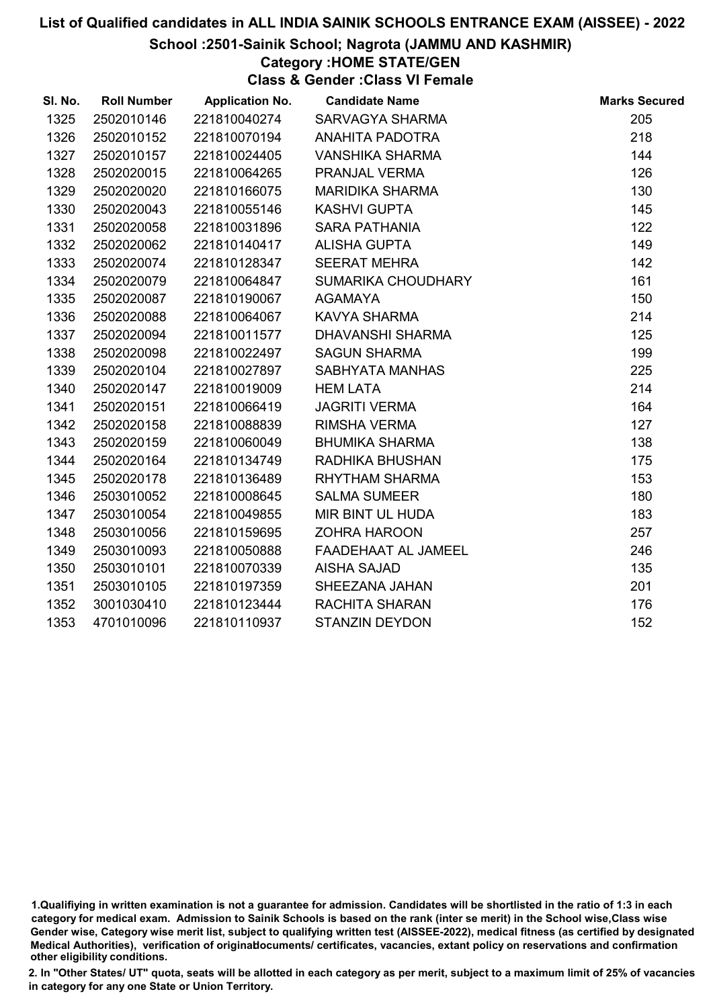#### School :2501-Sainik School; Nagrota (JAMMU AND KASHMIR)

Category :HOME STATE/GEN

Class & Gender :Class VI Female

| SI. No. | <b>Roll Number</b> | <b>Application No.</b> | <b>Candidate Name</b>  | <b>Marks Secured</b> |
|---------|--------------------|------------------------|------------------------|----------------------|
| 1325    | 2502010146         | 221810040274           | SARVAGYA SHARMA        | 205                  |
| 1326    | 2502010152         | 221810070194           | <b>ANAHITA PADOTRA</b> | 218                  |
| 1327    | 2502010157         | 221810024405           | <b>VANSHIKA SHARMA</b> | 144                  |
| 1328    | 2502020015         | 221810064265           | PRANJAL VERMA          | 126                  |
| 1329    | 2502020020         | 221810166075           | <b>MARIDIKA SHARMA</b> | 130                  |
| 1330    | 2502020043         | 221810055146           | <b>KASHVI GUPTA</b>    | 145                  |
| 1331    | 2502020058         | 221810031896           | <b>SARA PATHANIA</b>   | 122                  |
| 1332    | 2502020062         | 221810140417           | <b>ALISHA GUPTA</b>    | 149                  |
| 1333    | 2502020074         | 221810128347           | <b>SEERAT MEHRA</b>    | 142                  |
| 1334    | 2502020079         | 221810064847           | SUMARIKA CHOUDHARY     | 161                  |
| 1335    | 2502020087         | 221810190067           | <b>AGAMAYA</b>         | 150                  |
| 1336    | 2502020088         | 221810064067           | <b>KAVYA SHARMA</b>    | 214                  |
| 1337    | 2502020094         | 221810011577           | DHAVANSHI SHARMA       | 125                  |
| 1338    | 2502020098         | 221810022497           | <b>SAGUN SHARMA</b>    | 199                  |
| 1339    | 2502020104         | 221810027897           | SABHYATA MANHAS        | 225                  |
| 1340    | 2502020147         | 221810019009           | <b>HEM LATA</b>        | 214                  |
| 1341    | 2502020151         | 221810066419           | <b>JAGRITI VERMA</b>   | 164                  |
| 1342    | 2502020158         | 221810088839           | RIMSHA VERMA           | 127                  |
| 1343    | 2502020159         | 221810060049           | <b>BHUMIKA SHARMA</b>  | 138                  |
| 1344    | 2502020164         | 221810134749           | RADHIKA BHUSHAN        | 175                  |
| 1345    | 2502020178         | 221810136489           | RHYTHAM SHARMA         | 153                  |
| 1346    | 2503010052         | 221810008645           | <b>SALMA SUMEER</b>    | 180                  |
| 1347    | 2503010054         | 221810049855           | MIR BINT UL HUDA       | 183                  |
| 1348    | 2503010056         | 221810159695           | <b>ZOHRA HAROON</b>    | 257                  |
| 1349    | 2503010093         | 221810050888           | FAADEHAAT AL JAMEEL    | 246                  |
| 1350    | 2503010101         | 221810070339           | <b>AISHA SAJAD</b>     | 135                  |
| 1351    | 2503010105         | 221810197359           | SHEEZANA JAHAN         | 201                  |
| 1352    | 3001030410         | 221810123444           | <b>RACHITA SHARAN</b>  | 176                  |
| 1353    | 4701010096         | 221810110937           | <b>STANZIN DEYDON</b>  | 152                  |

<sup>1.</sup>Qualifiying in written examination is not a guarantee for admission. Candidates will be shortlisted in the ratio of 1:3 in each category for medical exam. Admission to Sainik Schools is based on the rank (inter se merit) in the School wise,Class wise Gender wise, Category wise merit list, subject to qualifying written test (AISSEE-2022), medical fitness (as certified by designated Medical Authorities), verification of originablocuments/ certificates, vacancies, extant policy on reservations and confirmation other eligibility conditions.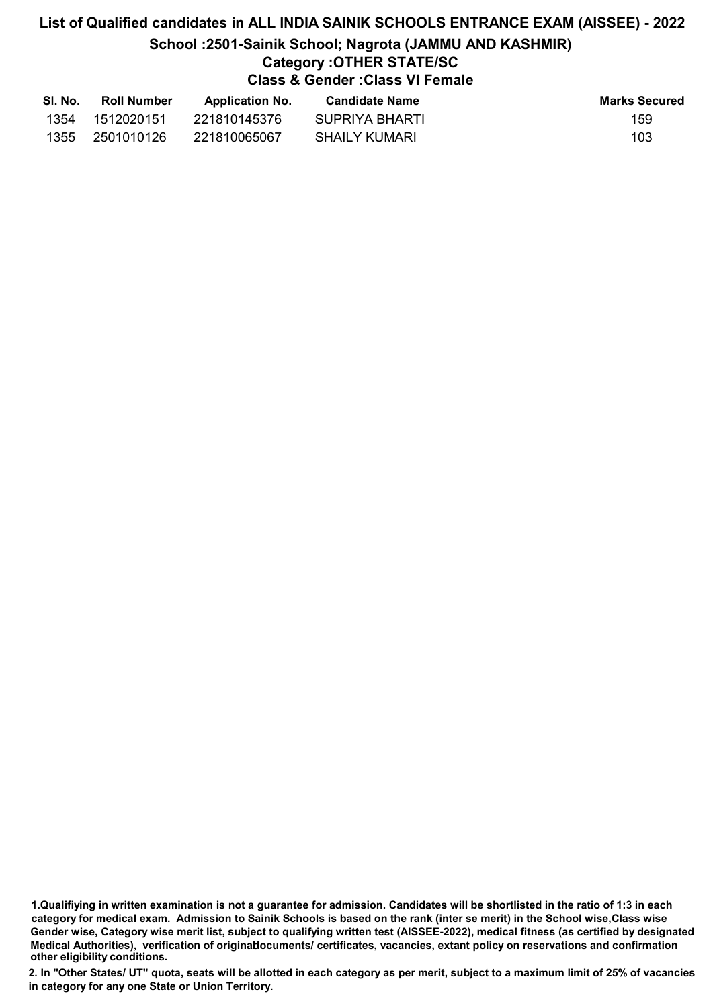# List of Qualified candidates in ALL INDIA SAINIK SCHOOLS ENTRANCE EXAM (AISSEE) - 2022 School :2501-Sainik School; Nagrota (JAMMU AND KASHMIR) Category :OTHER STATE/SC Class & Gender :Class VI Female

| SI. No. | <b>Roll Number</b> | <b>Application No.</b> | <b>Candidate Name</b> | <b>Marks Secured</b> |
|---------|--------------------|------------------------|-----------------------|----------------------|
| 1354    | 1512020151         | 221810145376           | SUPRIYA BHARTI        | 159                  |
| 1355    | 2501010126         | 221810065067           | SHAILY KUMARI         | 103                  |

<sup>1.</sup>Qualifiying in written examination is not a guarantee for admission. Candidates will be shortlisted in the ratio of 1:3 in each category for medical exam. Admission to Sainik Schools is based on the rank (inter se merit) in the School wise,Class wise Gender wise, Category wise merit list, subject to qualifying written test (AISSEE-2022), medical fitness (as certified by designated Medical Authorities), verification of originablocuments/ certificates, vacancies, extant policy on reservations and confirmation other eligibility conditions.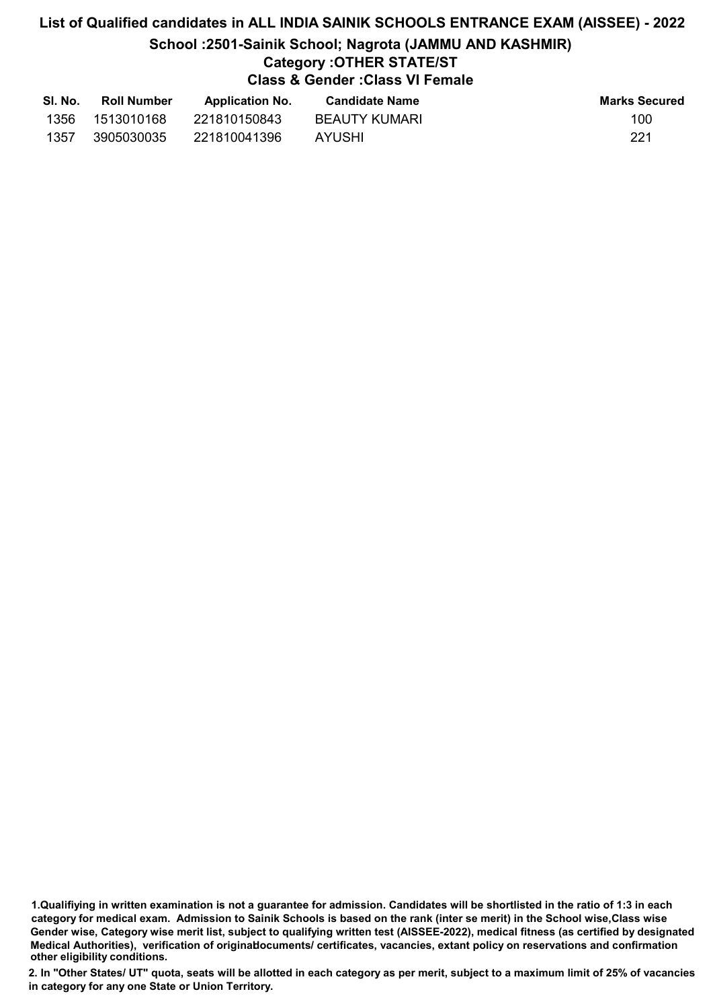# List of Qualified candidates in ALL INDIA SAINIK SCHOOLS ENTRANCE EXAM (AISSEE) - 2022 School :2501-Sainik School; Nagrota (JAMMU AND KASHMIR) Category :OTHER STATE/ST Class & Gender :Class VI Female

| SI. No. | <b>Roll Number</b> | <b>Application No.</b> | <b>Candidate Name</b> | Marks Secured |
|---------|--------------------|------------------------|-----------------------|---------------|
| 1356    | 1513010168         | 221810150843           | BEAUTY KUMARI         | 100           |
| 1357    | 3905030035         | 221810041396           | AYUSHI                | 221           |

<sup>1.</sup>Qualifiying in written examination is not a guarantee for admission. Candidates will be shortlisted in the ratio of 1:3 in each category for medical exam. Admission to Sainik Schools is based on the rank (inter se merit) in the School wise,Class wise Gender wise, Category wise merit list, subject to qualifying written test (AISSEE-2022), medical fitness (as certified by designated Medical Authorities), verification of originablocuments/ certificates, vacancies, extant policy on reservations and confirmation other eligibility conditions.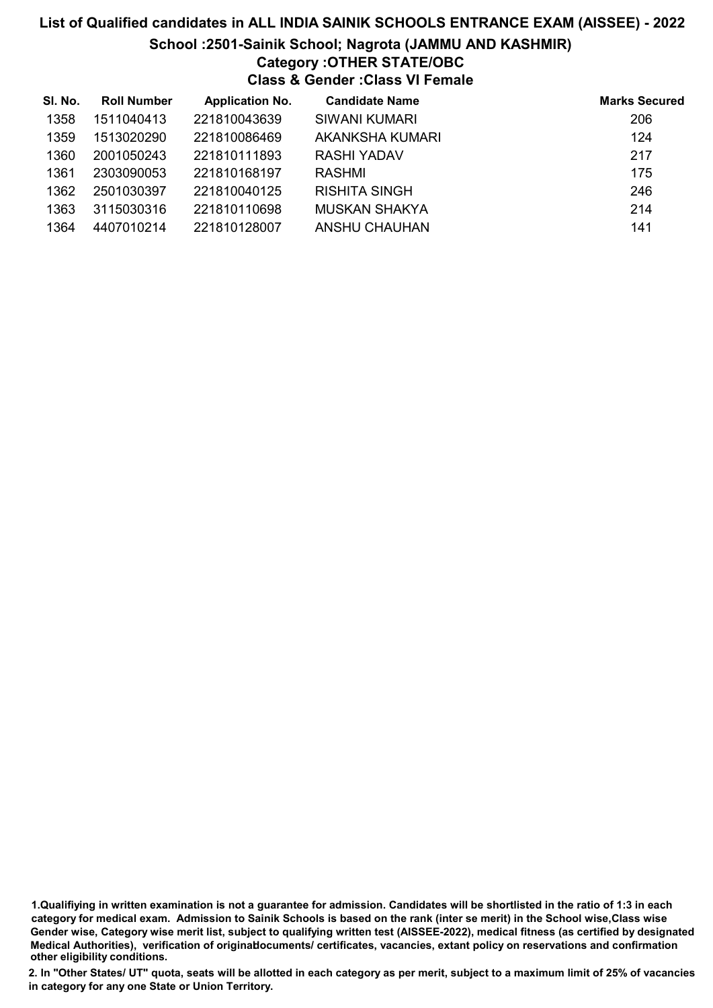#### School :2501-Sainik School; Nagrota (JAMMU AND KASHMIR)

# Category :OTHER STATE/OBC

Class & Gender :Class VI Female

| SI. No. | <b>Roll Number</b> | <b>Application No.</b> | <b>Candidate Name</b> | <b>Marks Secured</b> |
|---------|--------------------|------------------------|-----------------------|----------------------|
| 1358    | 1511040413         | 221810043639           | SIWANI KUMARI         | 206                  |
| 1359    | 1513020290         | 221810086469           | AKANKSHA KUMARI       | 124                  |
| 1360    | 2001050243         | 221810111893           | RASHI YADAV           | 217                  |
| 1361    | 2303090053         | 221810168197           | RASHMI                | 175                  |
| 1362    | 2501030397         | 221810040125           | <b>RISHITA SINGH</b>  | 246                  |
| 1363    | 3115030316         | 221810110698           | <b>MUSKAN SHAKYA</b>  | 214                  |
| 1364    | 4407010214         | 221810128007           | ANSHU CHAUHAN         | 141                  |

1.Qualifiying in written examination is not a guarantee for admission. Candidates will be shortlisted in the ratio of 1:3 in each category for medical exam. Admission to Sainik Schools is based on the rank (inter se merit) in the School wise,Class wise Gender wise, Category wise merit list, subject to qualifying written test (AISSEE-2022), medical fitness (as certified by designated Medical Authorities), verification of originablocuments/ certificates, vacancies, extant policy on reservations and confirmation other eligibility conditions.